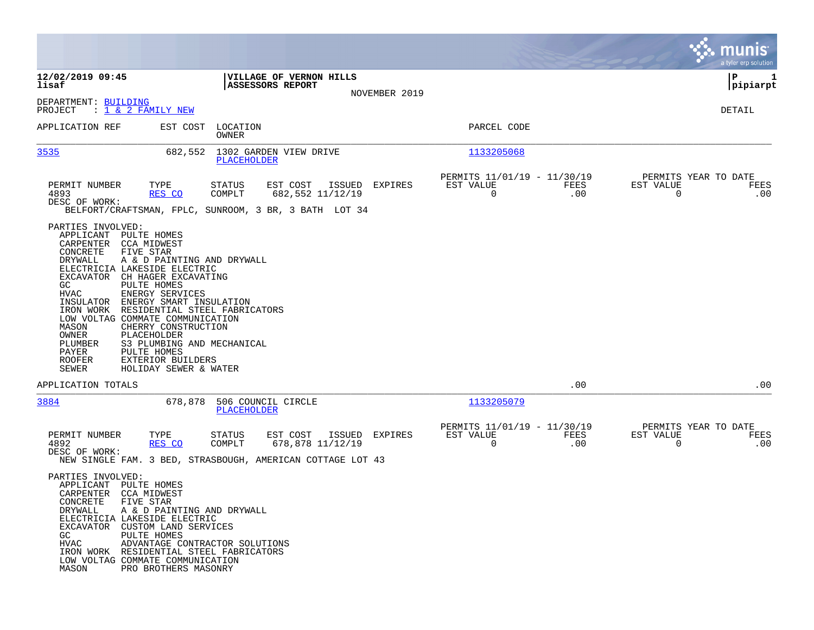|                                                                                                                                                                                                                                                                                                                                                                                                                                                                                                                            |                                                                                                                          |               |                                                                        | munis<br>a tyler erp solution                                   |
|----------------------------------------------------------------------------------------------------------------------------------------------------------------------------------------------------------------------------------------------------------------------------------------------------------------------------------------------------------------------------------------------------------------------------------------------------------------------------------------------------------------------------|--------------------------------------------------------------------------------------------------------------------------|---------------|------------------------------------------------------------------------|-----------------------------------------------------------------|
| 12/02/2019 09:45<br>lisaf                                                                                                                                                                                                                                                                                                                                                                                                                                                                                                  | VILLAGE OF VERNON HILLS<br><b>ASSESSORS REPORT</b>                                                                       |               |                                                                        | l P<br>1<br> pipiarpt                                           |
| DEPARTMENT: BUILDING<br>: <u>1 &amp; 2 FAMILY NEW</u><br>PROJECT                                                                                                                                                                                                                                                                                                                                                                                                                                                           |                                                                                                                          | NOVEMBER 2019 |                                                                        | DETAIL                                                          |
| EST COST<br>APPLICATION REF                                                                                                                                                                                                                                                                                                                                                                                                                                                                                                | LOCATION<br>OWNER                                                                                                        |               | PARCEL CODE                                                            |                                                                 |
| 3535                                                                                                                                                                                                                                                                                                                                                                                                                                                                                                                       | 682,552 1302 GARDEN VIEW DRIVE<br>PLACEHOLDER                                                                            |               | 1133205068                                                             |                                                                 |
| TYPE<br>PERMIT NUMBER<br>4893<br>RES CO<br>DESC OF WORK:                                                                                                                                                                                                                                                                                                                                                                                                                                                                   | EST COST<br>ISSUED<br>STATUS<br>COMPLT<br>682,552 11/12/19<br>BELFORT/CRAFTSMAN, FPLC, SUNROOM, 3 BR, 3 BATH LOT 34      | EXPIRES       | PERMITS 11/01/19 - 11/30/19<br>EST VALUE<br>FEES<br>$\mathbf 0$<br>.00 | PERMITS YEAR TO DATE<br>EST VALUE<br>FEES<br>$\Omega$<br>.00    |
| PARTIES INVOLVED:<br>APPLICANT<br>PULTE HOMES<br>CARPENTER CCA MIDWEST<br>CONCRETE<br>FIVE STAR<br>DRYWALL<br>ELECTRICIA LAKESIDE ELECTRIC<br>EXCAVATOR CH HAGER EXCAVATING<br>PULTE HOMES<br>GC.<br>HVAC<br>ENERGY SERVICES<br>INSULATOR ENERGY SMART INSULATION<br>IRON WORK RESIDENTIAL STEEL FABRICATORS<br>LOW VOLTAG COMMATE COMMUNICATION<br>MASON<br>CHERRY CONSTRUCTION<br>OWNER<br>PLACEHOLDER<br>PLUMBER<br>PAYER<br>PULTE HOMES<br><b>ROOFER</b><br><b>EXTERIOR BUILDERS</b><br>SEWER<br>HOLIDAY SEWER & WATER | A & D PAINTING AND DRYWALL<br>S3 PLUMBING AND MECHANICAL                                                                 |               |                                                                        |                                                                 |
| APPLICATION TOTALS                                                                                                                                                                                                                                                                                                                                                                                                                                                                                                         |                                                                                                                          |               | .00                                                                    | .00                                                             |
| 3884                                                                                                                                                                                                                                                                                                                                                                                                                                                                                                                       | 506 COUNCIL CIRCLE<br>678,878<br>PLACEHOLDER                                                                             |               | 1133205079                                                             |                                                                 |
| PERMIT NUMBER<br>TYPE<br>4892<br>RES CO<br>DESC OF WORK:                                                                                                                                                                                                                                                                                                                                                                                                                                                                   | EST COST<br>ISSUED<br>STATUS<br>678,878 11/12/19<br>COMPLT<br>NEW SINGLE FAM. 3 BED, STRASBOUGH, AMERICAN COTTAGE LOT 43 | EXPIRES       | PERMITS 11/01/19 - 11/30/19<br>EST VALUE<br>FEES<br>$\mathbf 0$<br>.00 | PERMITS YEAR TO DATE<br>EST VALUE<br>FEES<br>$\mathbf 0$<br>.00 |
| PARTIES INVOLVED:<br>APPLICANT<br>PULTE HOMES<br>CARPENTER CCA MIDWEST<br>CONCRETE<br>FIVE STAR<br>DRYWALL<br>ELECTRICIA LAKESIDE ELECTRIC<br>EXCAVATOR CUSTOM LAND SERVICES<br>GC<br>PULTE HOMES<br>HVAC<br>IRON WORK RESIDENTIAL STEEL FABRICATORS<br>LOW VOLTAG COMMATE COMMUNICATION<br>MASON<br>PRO BROTHERS MASONRY                                                                                                                                                                                                  | A & D PAINTING AND DRYWALL<br>ADVANTAGE CONTRACTOR SOLUTIONS                                                             |               |                                                                        |                                                                 |

 $\mathcal{L}^{\text{max}}$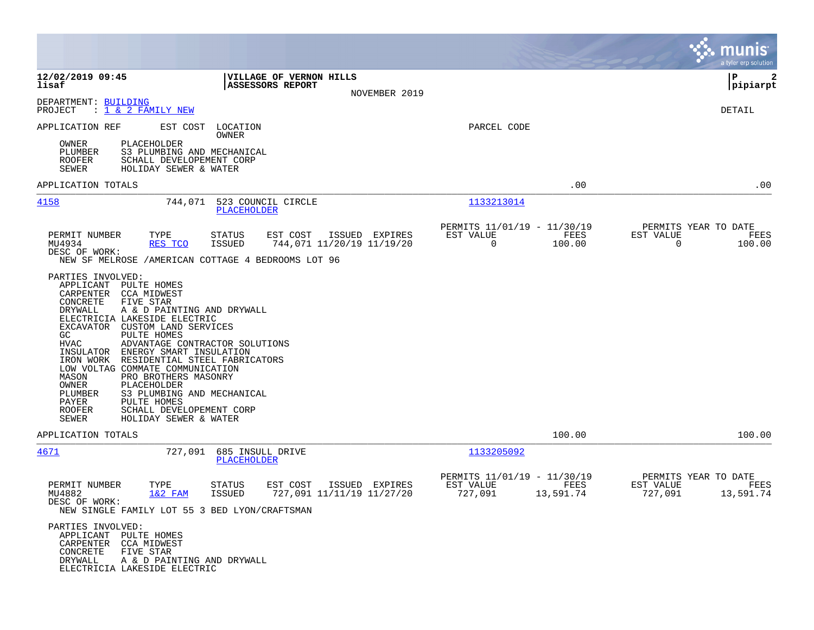|                                                                                                                                                                                                                                                                                                                                                                                                                                                                                                                                                                                                                                                                         |                                                                           | munis<br>a tyler erp solution                                            |
|-------------------------------------------------------------------------------------------------------------------------------------------------------------------------------------------------------------------------------------------------------------------------------------------------------------------------------------------------------------------------------------------------------------------------------------------------------------------------------------------------------------------------------------------------------------------------------------------------------------------------------------------------------------------------|---------------------------------------------------------------------------|--------------------------------------------------------------------------|
| 12/02/2019 09:45<br>VILLAGE OF VERNON HILLS<br>lisaf<br>ASSESSORS REPORT<br>NOVEMBER 2019                                                                                                                                                                                                                                                                                                                                                                                                                                                                                                                                                                               |                                                                           | l P<br>$\mathbf{2}$<br> pipiarpt                                         |
| DEPARTMENT: BUILDING<br>$: 1 \& 2$ FAMILY NEW<br>PROJECT                                                                                                                                                                                                                                                                                                                                                                                                                                                                                                                                                                                                                |                                                                           | <b>DETAIL</b>                                                            |
| APPLICATION REF<br>EST COST LOCATION<br>OWNER                                                                                                                                                                                                                                                                                                                                                                                                                                                                                                                                                                                                                           | PARCEL CODE                                                               |                                                                          |
| PLACEHOLDER<br>OWNER<br>PLUMBER<br>S3 PLUMBING AND MECHANICAL<br><b>ROOFER</b><br>SCHALL DEVELOPEMENT CORP<br>SEWER<br>HOLIDAY SEWER & WATER                                                                                                                                                                                                                                                                                                                                                                                                                                                                                                                            |                                                                           |                                                                          |
| APPLICATION TOTALS                                                                                                                                                                                                                                                                                                                                                                                                                                                                                                                                                                                                                                                      | .00                                                                       | .00                                                                      |
| 4158<br>744,071 523 COUNCIL CIRCLE<br><b>PLACEHOLDER</b>                                                                                                                                                                                                                                                                                                                                                                                                                                                                                                                                                                                                                | 1133213014                                                                |                                                                          |
| PERMIT NUMBER<br>TYPE<br>STATUS<br>EST COST<br>ISSUED EXPIRES<br>MU4934<br>RES TCO<br><b>ISSUED</b><br>744,071 11/20/19 11/19/20<br>DESC OF WORK:                                                                                                                                                                                                                                                                                                                                                                                                                                                                                                                       | PERMITS 11/01/19 - 11/30/19<br>EST VALUE<br>FEES<br>$\mathbf 0$<br>100.00 | PERMITS YEAR TO DATE<br>EST VALUE<br>FEES<br>$\Omega$<br>100.00          |
| NEW SF MELROSE / AMERICAN COTTAGE 4 BEDROOMS LOT 96<br>PARTIES INVOLVED:<br>APPLICANT PULTE HOMES<br>CARPENTER CCA MIDWEST<br>CONCRETE<br>FIVE STAR<br>DRYWALL<br>A & D PAINTING AND DRYWALL<br>ELECTRICIA LAKESIDE ELECTRIC<br>EXCAVATOR CUSTOM LAND SERVICES<br>GC<br>PULTE HOMES<br><b>HVAC</b><br>ADVANTAGE CONTRACTOR SOLUTIONS<br>INSULATOR<br>ENERGY SMART INSULATION<br>IRON WORK<br>RESIDENTIAL STEEL FABRICATORS<br>LOW VOLTAG COMMATE COMMUNICATION<br>PRO BROTHERS MASONRY<br>MASON<br>OWNER<br>PLACEHOLDER<br>PLUMBER<br>S3 PLUMBING AND MECHANICAL<br>PAYER<br>PULTE HOMES<br><b>ROOFER</b><br>SCHALL DEVELOPEMENT CORP<br>SEWER<br>HOLIDAY SEWER & WATER |                                                                           |                                                                          |
| APPLICATION TOTALS                                                                                                                                                                                                                                                                                                                                                                                                                                                                                                                                                                                                                                                      | 100.00                                                                    | 100.00                                                                   |
| 4671<br>727,091<br>685 INSULL DRIVE<br>PLACEHOLDER                                                                                                                                                                                                                                                                                                                                                                                                                                                                                                                                                                                                                      | 1133205092                                                                |                                                                          |
| PERMIT NUMBER<br>TYPE<br><b>STATUS</b><br>EST COST<br>ISSUED EXPIRES<br>$1&2$ FAM<br>727,091 11/11/19 11/27/20<br>MU4882<br><b>ISSUED</b><br>DESC OF WORK:<br>NEW SINGLE FAMILY LOT 55 3 BED LYON/CRAFTSMAN                                                                                                                                                                                                                                                                                                                                                                                                                                                             | PERMITS 11/01/19 - 11/30/19<br>EST VALUE<br>FEES<br>727,091<br>13,591.74  | PERMITS YEAR TO DATE<br>EST VALUE<br><b>FEES</b><br>727,091<br>13,591.74 |
| PARTIES INVOLVED:<br>APPLICANT PULTE HOMES<br>CARPENTER<br>CCA MIDWEST<br><b>CONCRETE</b><br>FIVE STAR<br>A & D PAINTING AND DRYWALL<br>DRYWALL<br>ELECTRICIA LAKESIDE ELECTRIC                                                                                                                                                                                                                                                                                                                                                                                                                                                                                         |                                                                           |                                                                          |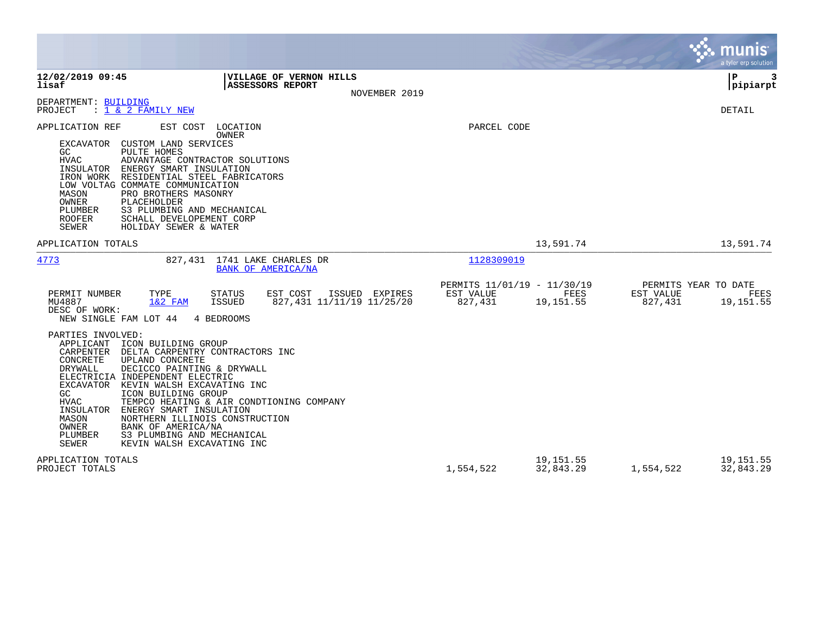|                                                                                                                                                                                                                                                                                                                                                                                                                                                                                                            |                                                                                                         |                                                     |                        |                                              | a tyler erp solution      |
|------------------------------------------------------------------------------------------------------------------------------------------------------------------------------------------------------------------------------------------------------------------------------------------------------------------------------------------------------------------------------------------------------------------------------------------------------------------------------------------------------------|---------------------------------------------------------------------------------------------------------|-----------------------------------------------------|------------------------|----------------------------------------------|---------------------------|
| 12/02/2019 09:45<br>lisaf                                                                                                                                                                                                                                                                                                                                                                                                                                                                                  | VILLAGE OF VERNON HILLS<br><b>ASSESSORS REPORT</b><br>NOVEMBER 2019                                     |                                                     |                        |                                              | $\mathbf{P}$<br> pipiarpt |
| DEPARTMENT: BUILDING<br>: 1 & 2 FAMILY NEW<br>PROJECT                                                                                                                                                                                                                                                                                                                                                                                                                                                      |                                                                                                         |                                                     |                        |                                              | DETAIL                    |
| APPLICATION REF<br>EST COST LOCATION<br>CUSTOM LAND SERVICES<br>EXCAVATOR<br>GC<br>PULTE HOMES<br><b>HVAC</b><br>ADVANTAGE CONTRACTOR SOLUTIONS<br>ENERGY SMART INSULATION<br>INSULATOR<br>RESIDENTIAL STEEL FABRICATORS<br>IRON WORK<br>LOW VOLTAG COMMATE COMMUNICATION<br>MASON<br>PRO BROTHERS MASONRY<br>OWNER<br>PLACEHOLDER<br>S3 PLUMBING AND MECHANICAL<br>PLUMBER<br><b>ROOFER</b><br>SCHALL DEVELOPEMENT CORP<br>SEWER<br>HOLIDAY SEWER & WATER                                                 | OWNER                                                                                                   | PARCEL CODE                                         |                        |                                              |                           |
| APPLICATION TOTALS                                                                                                                                                                                                                                                                                                                                                                                                                                                                                         |                                                                                                         |                                                     | 13,591.74              |                                              | 13,591.74                 |
| 4773                                                                                                                                                                                                                                                                                                                                                                                                                                                                                                       | 827,431 1741 LAKE CHARLES DR<br>BANK OF AMERICA/NA                                                      | 1128309019                                          |                        |                                              |                           |
| PERMIT NUMBER<br>TYPE<br>MU4887<br>$1&2$ FAM<br>DESC OF WORK:<br>NEW SINGLE FAM LOT 44                                                                                                                                                                                                                                                                                                                                                                                                                     | <b>STATUS</b><br>EST COST<br>ISSUED EXPIRES<br><b>ISSUED</b><br>827,431 11/11/19 11/25/20<br>4 BEDROOMS | PERMITS 11/01/19 - 11/30/19<br>EST VALUE<br>827,431 | FEES<br>19,151.55      | PERMITS YEAR TO DATE<br>EST VALUE<br>827,431 | FEES<br>19,151.55         |
| PARTIES INVOLVED:<br>ICON BUILDING GROUP<br>APPLICANT<br>CARPENTER DELTA CARPENTRY CONTRACTORS INC<br>CONCRETE<br>UPLAND CONCRETE<br><b>DRYWALL</b><br>DECICCO PAINTING & DRYWALL<br>ELECTRICIA INDEPENDENT ELECTRIC<br>EXCAVATOR<br>KEVIN WALSH EXCAVATING INC<br>GC<br>ICON BUILDING GROUP<br>HVAC<br>INSULATOR ENERGY SMART INSULATION<br>MASON<br>NORTHERN ILLINOIS CONSTRUCTION<br>OWNER<br>BANK OF AMERICA/NA<br>PLUMBER<br>S3 PLUMBING AND MECHANICAL<br><b>SEWER</b><br>KEVIN WALSH EXCAVATING INC | TEMPCO HEATING & AIR CONDTIONING COMPANY                                                                |                                                     |                        |                                              |                           |
| APPLICATION TOTALS<br>PROJECT TOTALS                                                                                                                                                                                                                                                                                                                                                                                                                                                                       |                                                                                                         | 1,554,522                                           | 19,151.55<br>32,843.29 | 1,554,522                                    | 19, 151, 55<br>32,843.29  |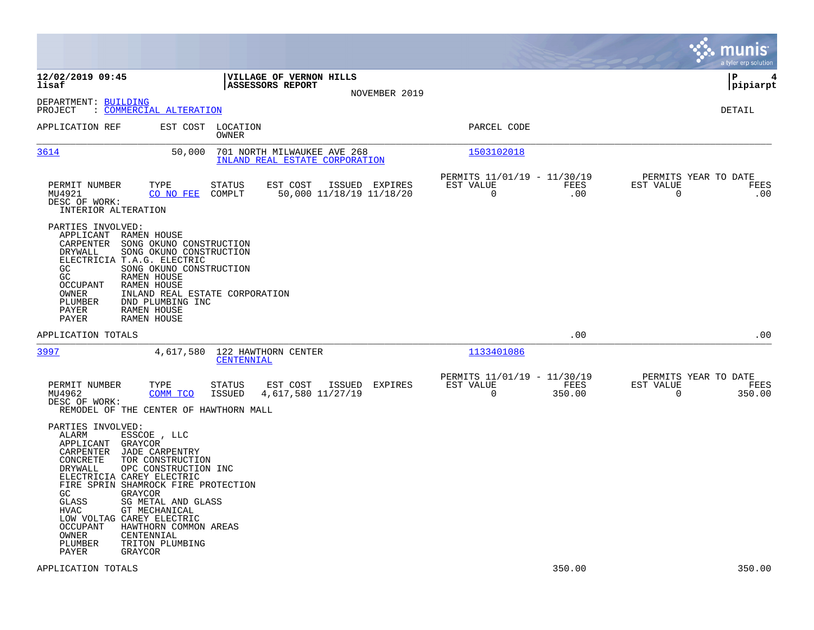|                                                                                                                                                                                                                                                                                                                                                                                                                                                                                         |                                                                                   |                                                                           | munis<br>a tyler erp solution                                   |
|-----------------------------------------------------------------------------------------------------------------------------------------------------------------------------------------------------------------------------------------------------------------------------------------------------------------------------------------------------------------------------------------------------------------------------------------------------------------------------------------|-----------------------------------------------------------------------------------|---------------------------------------------------------------------------|-----------------------------------------------------------------|
| 12/02/2019 09:45<br>lisaf                                                                                                                                                                                                                                                                                                                                                                                                                                                               | VILLAGE OF VERNON HILLS<br><b>ASSESSORS REPORT</b><br>NOVEMBER 2019               |                                                                           | ΙP<br>4<br> pipiarpt                                            |
| DEPARTMENT: BUILDING<br>: COMMERCIAL ALTERATION<br>PROJECT                                                                                                                                                                                                                                                                                                                                                                                                                              |                                                                                   |                                                                           | DETAIL                                                          |
| APPLICATION REF                                                                                                                                                                                                                                                                                                                                                                                                                                                                         | EST COST LOCATION<br>OWNER                                                        | PARCEL CODE                                                               |                                                                 |
| 3614<br>50,000                                                                                                                                                                                                                                                                                                                                                                                                                                                                          | 701 NORTH MILWAUKEE AVE 268<br>INLAND REAL ESTATE CORPORATION                     | 1503102018                                                                |                                                                 |
| PERMIT NUMBER<br>TYPE<br>MU4921<br>CO NO FEE<br>DESC OF WORK:<br>INTERIOR ALTERATION                                                                                                                                                                                                                                                                                                                                                                                                    | <b>STATUS</b><br>EST COST<br>ISSUED EXPIRES<br>COMPLT<br>50,000 11/18/19 11/18/20 | PERMITS 11/01/19 - 11/30/19<br>EST VALUE<br>FEES<br>$\mathbf 0$<br>.00    | PERMITS YEAR TO DATE<br>EST VALUE<br>FEES<br>$\mathbf 0$<br>.00 |
| PARTIES INVOLVED:<br>APPLICANT RAMEN HOUSE<br>CARPENTER<br>SONG OKUNO CONSTRUCTION<br>DRYWALL<br>SONG OKUNO CONSTRUCTION<br>ELECTRICIA T.A.G. ELECTRIC<br>GC<br>SONG OKUNO CONSTRUCTION<br>GC<br>RAMEN HOUSE<br><b>OCCUPANT</b><br>RAMEN HOUSE<br>OWNER<br>PLUMBER<br>DND PLUMBING INC<br>PAYER<br>RAMEN HOUSE<br>PAYER<br><b>RAMEN HOUSE</b>                                                                                                                                           | INLAND REAL ESTATE CORPORATION                                                    |                                                                           |                                                                 |
| APPLICATION TOTALS                                                                                                                                                                                                                                                                                                                                                                                                                                                                      |                                                                                   | .00                                                                       | .00                                                             |
| 3997                                                                                                                                                                                                                                                                                                                                                                                                                                                                                    | 4,617,580 122 HAWTHORN CENTER<br>CENTENNIAL                                       | 1133401086                                                                |                                                                 |
| PERMIT NUMBER<br>TYPE<br>COMM TCO<br>MU4962<br>DESC OF WORK:<br>REMODEL OF THE CENTER OF HAWTHORN MALL                                                                                                                                                                                                                                                                                                                                                                                  | <b>STATUS</b><br>EST COST<br>ISSUED<br>EXPIRES<br>4,617,580 11/27/19<br>ISSUED    | PERMITS 11/01/19 - 11/30/19<br>EST VALUE<br>FEES<br>$\mathbf 0$<br>350.00 | PERMITS YEAR TO DATE<br>EST VALUE<br>FEES<br>350.00<br>0        |
| PARTIES INVOLVED:<br>ALARM<br>ESSCOE, LLC<br>APPLICANT<br>GRAYCOR<br>CARPENTER<br><b>JADE CARPENTRY</b><br>CONCRETE<br>TOR CONSTRUCTION<br>DRYWALL<br>OPC CONSTRUCTION INC<br>ELECTRICIA CAREY ELECTRIC<br>FIRE SPRIN SHAMROCK FIRE PROTECTION<br>GC<br>GRAYCOR<br><b>GLASS</b><br>SG METAL AND GLASS<br><b>HVAC</b><br>GT MECHANICAL<br>LOW VOLTAG CAREY ELECTRIC<br><b>OCCUPANT</b><br>HAWTHORN COMMON AREAS<br>OWNER<br>CENTENNIAL<br>PLUMBER<br>TRITON PLUMBING<br>PAYER<br>GRAYCOR |                                                                                   |                                                                           |                                                                 |
| APPLICATION TOTALS                                                                                                                                                                                                                                                                                                                                                                                                                                                                      |                                                                                   | 350.00                                                                    | 350.00                                                          |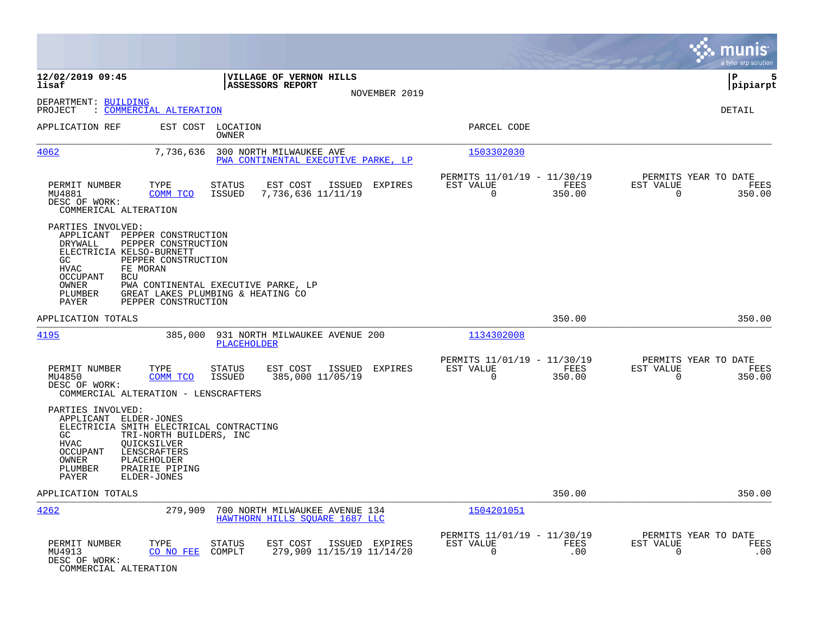|                                                                                                                                                                              |                                                                                                                                                           |                                |                                                                  |                |                                                      |                |                                                  | munis<br>a tyler erp solution |
|------------------------------------------------------------------------------------------------------------------------------------------------------------------------------|-----------------------------------------------------------------------------------------------------------------------------------------------------------|--------------------------------|------------------------------------------------------------------|----------------|------------------------------------------------------|----------------|--------------------------------------------------|-------------------------------|
| 12/02/2019 09:45<br>lisaf                                                                                                                                                    |                                                                                                                                                           |                                | <b>VILLAGE OF VERNON HILLS</b><br><b>ASSESSORS REPORT</b>        | NOVEMBER 2019  |                                                      |                |                                                  | ΙP<br>5<br> pipiarpt          |
| DEPARTMENT: BUILDING<br>PROJECT                                                                                                                                              | : COMMERCIAL ALTERATION                                                                                                                                   |                                |                                                                  |                |                                                      |                |                                                  | DETAIL                        |
| APPLICATION REF                                                                                                                                                              |                                                                                                                                                           | EST COST LOCATION<br>OWNER     |                                                                  |                | PARCEL CODE                                          |                |                                                  |                               |
| 4062                                                                                                                                                                         | 7,736,636                                                                                                                                                 |                                | 300 NORTH MILWAUKEE AVE<br>PWA CONTINENTAL EXECUTIVE PARKE, LP   |                | 1503302030                                           |                |                                                  |                               |
| PERMIT NUMBER<br>MU4881<br>DESC OF WORK:<br>COMMERICAL ALTERATION                                                                                                            | TYPE<br>COMM TCO                                                                                                                                          | <b>STATUS</b><br><b>ISSUED</b> | EST COST<br>ISSUED<br>7,736,636 11/11/19                         | EXPIRES        | PERMITS 11/01/19 - 11/30/19<br>EST VALUE<br>$\Omega$ | FEES<br>350.00 | PERMITS YEAR TO DATE<br>EST VALUE<br>$\Omega$    | FEES<br>350.00                |
| PARTIES INVOLVED:<br>APPLICANT PEPPER CONSTRUCTION<br>DRYWALL<br>ELECTRICIA KELSO-BURNETT<br>GC<br><b>HVAC</b><br><b>OCCUPANT</b><br><b>BCU</b><br>OWNER<br>PLUMBER<br>PAYER | PEPPER CONSTRUCTION<br>PEPPER CONSTRUCTION<br>FE MORAN<br>PWA CONTINENTAL EXECUTIVE PARKE, LP<br>GREAT LAKES PLUMBING & HEATING CO<br>PEPPER CONSTRUCTION |                                |                                                                  |                |                                                      |                |                                                  |                               |
| APPLICATION TOTALS                                                                                                                                                           |                                                                                                                                                           |                                |                                                                  |                |                                                      | 350.00         |                                                  | 350.00                        |
| 4195                                                                                                                                                                         | 385,000                                                                                                                                                   | PLACEHOLDER                    | 931 NORTH MILWAUKEE AVENUE 200                                   |                | 1134302008                                           |                |                                                  |                               |
| PERMIT NUMBER<br>MU4850<br>DESC OF WORK:<br>COMMERCIAL ALTERATION - LENSCRAFTERS                                                                                             | TYPE<br>COMM TCO                                                                                                                                          | STATUS<br><b>ISSUED</b>        | EST COST<br>ISSUED<br>385,000 11/05/19                           | EXPIRES        | PERMITS 11/01/19 - 11/30/19<br>EST VALUE<br>0        | FEES<br>350.00 | PERMITS YEAR TO DATE<br>EST VALUE<br>$\mathbf 0$ | FEES<br>350.00                |
| PARTIES INVOLVED:<br>APPLICANT ELDER-JONES<br>ELECTRICIA SMITH ELECTRICAL CONTRACTING<br>GC<br><b>HVAC</b><br><b>OCCUPANT</b><br>OWNER<br>PLUMBER<br>PAYER                   | TRI-NORTH BUILDERS, INC<br>OUICKSILVER<br>LENSCRAFTERS<br><b>PLACEHOLDER</b><br>PRAIRIE PIPING<br>ELDER-JONES                                             |                                |                                                                  |                |                                                      |                |                                                  |                               |
| APPLICATION TOTALS                                                                                                                                                           |                                                                                                                                                           |                                |                                                                  |                |                                                      | 350.00         |                                                  | 350.00                        |
| 4262                                                                                                                                                                         | 279,909                                                                                                                                                   |                                | 700 NORTH MILWAUKEE AVENUE 134<br>HAWTHORN HILLS SOUARE 1687 LLC |                | 1504201051                                           |                |                                                  |                               |
| PERMIT NUMBER<br>MU4913<br>DESC OF WORK:<br>COMMERCIAL ALTERATION                                                                                                            | TYPE<br>CO NO FEE                                                                                                                                         | STATUS<br>COMPLT               | EST COST<br>279,909 11/15/19 11/14/20                            | ISSUED EXPIRES | PERMITS 11/01/19 - 11/30/19<br>EST VALUE<br>0        | FEES<br>.00    | PERMITS YEAR TO DATE<br>EST VALUE<br>0           | FEES<br>.00                   |

**Contract**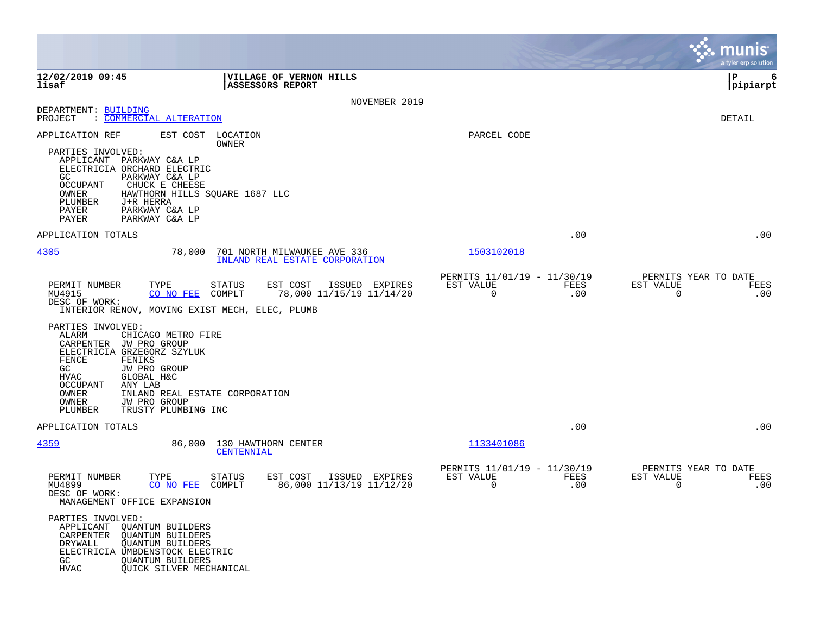|                                                                                                                                                                                                                                                                            |                                                                                   |                                                                        | a tyler erp solution                                            |
|----------------------------------------------------------------------------------------------------------------------------------------------------------------------------------------------------------------------------------------------------------------------------|-----------------------------------------------------------------------------------|------------------------------------------------------------------------|-----------------------------------------------------------------|
| 12/02/2019 09:45<br>lisaf                                                                                                                                                                                                                                                  | VILLAGE OF VERNON HILLS<br><b>ASSESSORS REPORT</b>                                |                                                                        | l P<br>6<br> pipiarpt                                           |
|                                                                                                                                                                                                                                                                            | NOVEMBER 2019                                                                     |                                                                        |                                                                 |
| DEPARTMENT: BUILDING<br>: COMMERCIAL ALTERATION<br>PROJECT                                                                                                                                                                                                                 |                                                                                   |                                                                        | DETAIL                                                          |
| APPLICATION REF<br>PARTIES INVOLVED:<br>APPLICANT PARKWAY C&A LP<br>ELECTRICIA ORCHARD ELECTRIC<br>PARKWAY C&A LP<br>GC<br>CHUCK E CHEESE<br><b>OCCUPANT</b><br>OWNER<br>J+R HERRA<br>PLUMBER<br>PAYER<br>PARKWAY C&A LP                                                   | EST COST LOCATION<br>OWNER<br>HAWTHORN HILLS SQUARE 1687 LLC                      | PARCEL CODE                                                            |                                                                 |
| PAYER<br>PARKWAY C&A LP                                                                                                                                                                                                                                                    |                                                                                   |                                                                        |                                                                 |
| APPLICATION TOTALS                                                                                                                                                                                                                                                         |                                                                                   | .00                                                                    | .00                                                             |
| 4305<br>78,000                                                                                                                                                                                                                                                             | 701 NORTH MILWAUKEE AVE 336<br>INLAND REAL ESTATE CORPORATION                     | 1503102018                                                             |                                                                 |
| PERMIT NUMBER<br>TYPE<br>MU4915<br>CO NO FEE<br>DESC OF WORK:<br>INTERIOR RENOV, MOVING EXIST MECH, ELEC, PLUMB                                                                                                                                                            | STATUS<br>EST COST<br>ISSUED EXPIRES<br>COMPLT<br>78,000 11/15/19 11/14/20        | PERMITS 11/01/19 - 11/30/19<br>EST VALUE<br>FEES<br>$\mathbf 0$<br>.00 | PERMITS YEAR TO DATE<br>EST VALUE<br>FEES<br>$\mathbf 0$<br>.00 |
| PARTIES INVOLVED:<br>ALARM<br>CHICAGO METRO FIRE<br>CARPENTER JW PRO GROUP<br>ELECTRICIA GRZEGORZ SZYLUK<br>FENCE<br>FENIKS<br>GC.<br>JW PRO GROUP<br><b>HVAC</b><br>GLOBAL H&C<br>ANY LAB<br>OCCUPANT<br>OWNER<br>JW PRO GROUP<br>OWNER<br>PLUMBER<br>TRUSTY PLUMBING INC | INLAND REAL ESTATE CORPORATION                                                    |                                                                        |                                                                 |
| APPLICATION TOTALS                                                                                                                                                                                                                                                         |                                                                                   | .00                                                                    | $.00 \,$                                                        |
| <u>4359</u><br>86,000                                                                                                                                                                                                                                                      | 130 HAWTHORN CENTER<br>CENTENNIAL                                                 | 1133401086                                                             |                                                                 |
| PERMIT NUMBER<br>TYPE<br>CO NO FEE<br>MU4899<br>DESC OF WORK:<br>MANAGEMENT OFFICE EXPANSION                                                                                                                                                                               | EST COST<br>ISSUED EXPIRES<br><b>STATUS</b><br>86,000 11/13/19 11/12/20<br>COMPLT | PERMITS 11/01/19 - 11/30/19<br>EST VALUE<br>FEES<br>$\mathbf 0$<br>.00 | PERMITS YEAR TO DATE<br>EST VALUE<br>FEES<br>0<br>.00           |
| PARTIES INVOLVED:<br>APPLICANT<br><b>QUANTUM BUILDERS</b><br>CARPENTER<br><b>OUANTUM BUILDERS</b><br>DRYWALL<br><b>QUANTUM BUILDERS</b><br>ELECTRICIA UMBDENSTOCK ELECTRIC<br>GC<br><b>OUANTUM BUILDERS</b><br><b>HVAC</b><br>QUICK SILVER MECHANICAL                      |                                                                                   |                                                                        |                                                                 |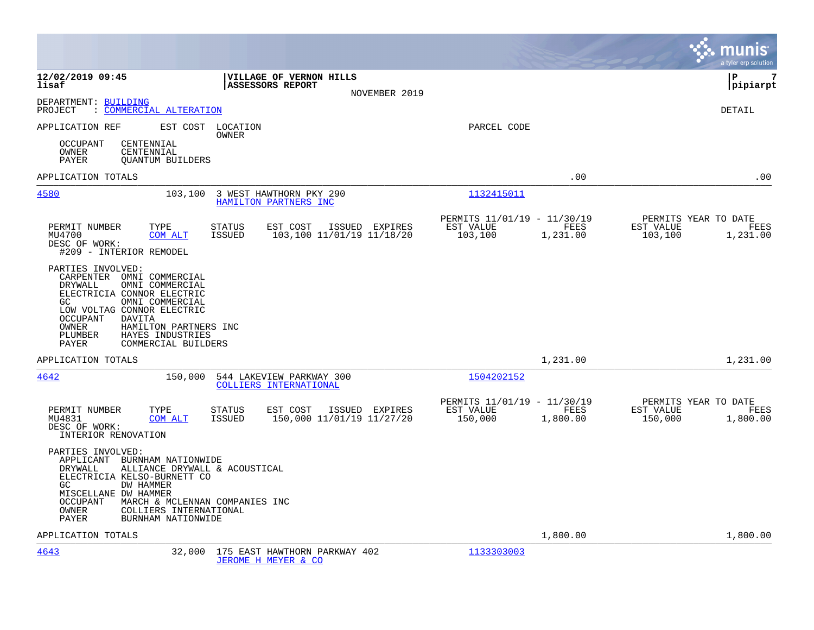|                                                                                                                                                                                                                                                                                                         |                                                                                           |                                                                         | munis<br>a tyler erp solution                                    |
|---------------------------------------------------------------------------------------------------------------------------------------------------------------------------------------------------------------------------------------------------------------------------------------------------------|-------------------------------------------------------------------------------------------|-------------------------------------------------------------------------|------------------------------------------------------------------|
| 12/02/2019 09:45<br>lisaf                                                                                                                                                                                                                                                                               | VILLAGE OF VERNON HILLS<br>ASSESSORS REPORT<br>NOVEMBER 2019                              |                                                                         | 7<br>l P<br> pipiarpt                                            |
| DEPARTMENT: BUILDING<br>COMMERCIAL ALTERATION<br>PROJECT                                                                                                                                                                                                                                                |                                                                                           |                                                                         | DETAIL                                                           |
| APPLICATION REF<br>EST COST<br>OCCUPANT<br>CENTENNIAL                                                                                                                                                                                                                                                   | LOCATION<br><b>OWNER</b>                                                                  | PARCEL CODE                                                             |                                                                  |
| OWNER<br>CENTENNIAL<br>PAYER<br><b>OUANTUM BUILDERS</b>                                                                                                                                                                                                                                                 |                                                                                           |                                                                         |                                                                  |
| APPLICATION TOTALS                                                                                                                                                                                                                                                                                      |                                                                                           | .00                                                                     | .00                                                              |
| 4580<br>103,100                                                                                                                                                                                                                                                                                         | 3 WEST HAWTHORN PKY 290<br>HAMILTON PARTNERS INC                                          | 1132415011                                                              |                                                                  |
| PERMIT NUMBER<br>TYPE<br>MU4700<br>COM ALT<br>DESC OF WORK:<br>#209 - INTERIOR REMODEL                                                                                                                                                                                                                  | <b>STATUS</b><br>EST COST<br>ISSUED EXPIRES<br><b>ISSUED</b><br>103,100 11/01/19 11/18/20 | PERMITS 11/01/19 - 11/30/19<br>EST VALUE<br>FEES<br>103,100<br>1,231.00 | PERMITS YEAR TO DATE<br>EST VALUE<br>FEES<br>103,100<br>1,231.00 |
| PARTIES INVOLVED:<br>CARPENTER OMNI COMMERCIAL<br><b>DRYWALL</b><br>OMNI COMMERCIAL<br>ELECTRICIA CONNOR ELECTRIC<br>GC.<br>OMNI COMMERCIAL<br>LOW VOLTAG CONNOR ELECTRIC<br><b>OCCUPANT</b><br>DAVITA<br>OWNER<br>HAMILTON PARTNERS INC<br>PLUMBER<br>HAYES INDUSTRIES<br>PAYER<br>COMMERCIAL BUILDERS |                                                                                           |                                                                         |                                                                  |
| APPLICATION TOTALS                                                                                                                                                                                                                                                                                      |                                                                                           | 1,231.00                                                                | 1,231.00                                                         |
| 4642<br>150,000                                                                                                                                                                                                                                                                                         | 544 LAKEVIEW PARKWAY 300<br>COLLIERS INTERNATIONAL                                        | 1504202152                                                              |                                                                  |
| PERMIT NUMBER<br>TYPE<br>MU4831<br>COM ALT<br>DESC OF WORK:<br>INTERIOR RENOVATION                                                                                                                                                                                                                      | STATUS<br>EST COST<br>ISSUED EXPIRES<br>150,000 11/01/19 11/27/20<br>ISSUED               | PERMITS 11/01/19 - 11/30/19<br>FEES<br>EST VALUE<br>150,000<br>1,800.00 | PERMITS YEAR TO DATE<br>EST VALUE<br>FEES<br>150,000<br>1,800.00 |
| PARTIES INVOLVED:<br>APPLICANT BURNHAM NATIONWIDE<br>ALLIANCE DRYWALL & ACOUSTICAL<br>DRYWALL<br>ELECTRICIA KELSO-BURNETT CO<br>GC.<br>DW HAMMER<br>MISCELLANE DW HAMMER<br>OCCUPANT<br>MARCH & MCLENNAN COMPANIES INC<br>OWNER<br>COLLIERS INTERNATIONAL<br>PAYER<br>BURNHAM NATIONWIDE                |                                                                                           |                                                                         |                                                                  |
| APPLICATION TOTALS                                                                                                                                                                                                                                                                                      |                                                                                           | 1,800.00                                                                | 1,800.00                                                         |
| 4643<br>32,000                                                                                                                                                                                                                                                                                          | 175 EAST HAWTHORN PARKWAY 402<br>JEROME H MEYER & CO                                      | 1133303003                                                              |                                                                  |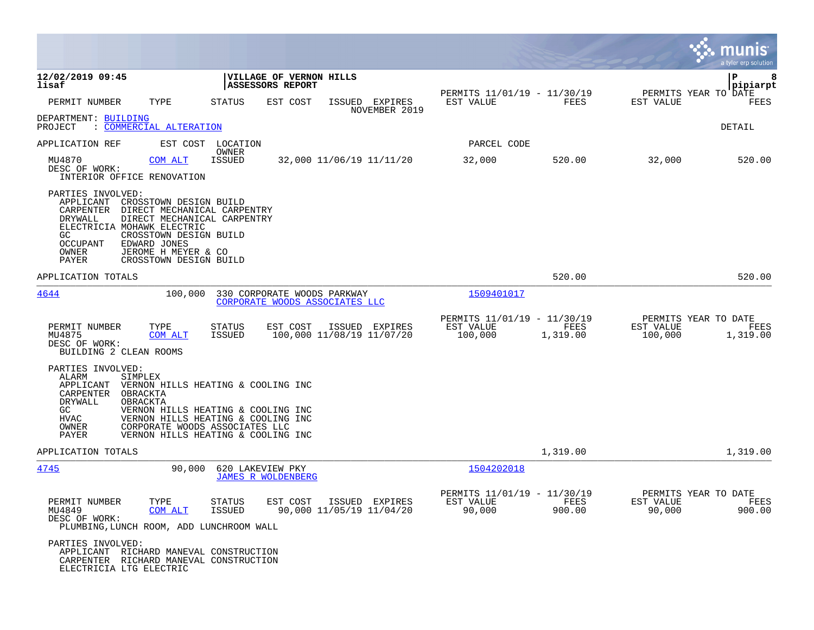|                                                                                                                                    |                                                                                                                                                                                        |                                |                                                               |        |                                             |                                                     |                  |                                              | a tyler erp solution |
|------------------------------------------------------------------------------------------------------------------------------------|----------------------------------------------------------------------------------------------------------------------------------------------------------------------------------------|--------------------------------|---------------------------------------------------------------|--------|---------------------------------------------|-----------------------------------------------------|------------------|----------------------------------------------|----------------------|
| 12/02/2019 09:45<br>lisaf                                                                                                          |                                                                                                                                                                                        |                                | VILLAGE OF VERNON HILLS<br>ASSESSORS REPORT                   |        |                                             |                                                     |                  |                                              | ΙP<br>8<br>pipiarpt  |
| PERMIT NUMBER                                                                                                                      | TYPE                                                                                                                                                                                   | <b>STATUS</b>                  | EST COST                                                      | ISSUED | EXPIRES<br>NOVEMBER 2019                    | PERMITS 11/01/19 - 11/30/19<br>EST VALUE            | FEES             | PERMITS YEAR TO DATE<br>EST VALUE            | FEES                 |
| DEPARTMENT: BUILDING<br>PROJECT                                                                                                    | <u>COMMERCIAL ALTERATION</u>                                                                                                                                                           |                                |                                                               |        |                                             |                                                     |                  |                                              | DETAIL               |
| APPLICATION REF                                                                                                                    |                                                                                                                                                                                        | EST COST LOCATION<br>OWNER     |                                                               |        |                                             | PARCEL CODE                                         |                  |                                              |                      |
| MU4870<br>DESC OF WORK:<br>INTERIOR OFFICE RENOVATION                                                                              | COM ALT                                                                                                                                                                                | <b>ISSUED</b>                  |                                                               |        | 32,000 11/06/19 11/11/20                    | 32,000                                              | 520.00           | 32,000                                       | 520.00               |
| PARTIES INVOLVED:<br>APPLICANT<br>CARPENTER<br><b>DRYWALL</b><br>ELECTRICIA MOHAWK ELECTRIC<br>GC.<br>OCCUPANT<br>OWNER<br>PAYER   | CROSSTOWN DESIGN BUILD<br>DIRECT MECHANICAL CARPENTRY<br>DIRECT MECHANICAL CARPENTRY<br>CROSSTOWN DESIGN BUILD<br>EDWARD JONES<br>JEROME H MEYER & CO<br>CROSSTOWN DESIGN BUILD        |                                |                                                               |        |                                             |                                                     |                  |                                              |                      |
| APPLICATION TOTALS                                                                                                                 |                                                                                                                                                                                        |                                |                                                               |        |                                             |                                                     | 520.00           |                                              | 520.00               |
| 4644                                                                                                                               | 100,000                                                                                                                                                                                |                                | 330 CORPORATE WOODS PARKWAY<br>CORPORATE WOODS ASSOCIATES LLC |        |                                             | 1509401017                                          |                  |                                              |                      |
| PERMIT NUMBER<br>MU4875<br>DESC OF WORK:<br>BUILDING 2 CLEAN ROOMS                                                                 | TYPE<br>COM ALT                                                                                                                                                                        | <b>STATUS</b><br><b>ISSUED</b> | EST COST                                                      |        | ISSUED EXPIRES<br>100,000 11/08/19 11/07/20 | PERMITS 11/01/19 - 11/30/19<br>EST VALUE<br>100,000 | FEES<br>1,319.00 | PERMITS YEAR TO DATE<br>EST VALUE<br>100,000 | FEES<br>1,319.00     |
| PARTIES INVOLVED:<br>ALARM<br>SIMPLEX<br>APPLICANT<br>CARPENTER<br>OBRACKTA<br>DRYWALL<br>OBRACKTA<br>GC<br>HVAC<br>OWNER<br>PAYER | VERNON HILLS HEATING & COOLING INC<br>VERNON HILLS HEATING & COOLING INC<br>VERNON HILLS HEATING & COOLING INC<br>CORPORATE WOODS ASSOCIATES LLC<br>VERNON HILLS HEATING & COOLING INC |                                |                                                               |        |                                             |                                                     |                  |                                              |                      |
| APPLICATION TOTALS                                                                                                                 |                                                                                                                                                                                        |                                |                                                               |        |                                             |                                                     | 1,319.00         |                                              | 1,319.00             |
| 4745                                                                                                                               | 90,000                                                                                                                                                                                 | 620 LAKEVIEW PKY               | <b>JAMES R WOLDENBERG</b>                                     |        |                                             | 1504202018                                          |                  |                                              |                      |
| PERMIT NUMBER<br>MU4849<br>DESC OF WORK:<br>PLUMBING, LUNCH ROOM, ADD LUNCHROOM WALL                                               | TYPE<br>COM ALT                                                                                                                                                                        | <b>STATUS</b><br><b>ISSUED</b> | EST COST                                                      |        | ISSUED EXPIRES<br>90,000 11/05/19 11/04/20  | PERMITS 11/01/19 - 11/30/19<br>EST VALUE<br>90,000  | FEES<br>900.00   | PERMITS YEAR TO DATE<br>EST VALUE<br>90,000  | FEES<br>900.00       |
| PARTIES INVOLVED:<br>APPLICANT RICHARD MANEVAL CONSTRUCTION<br>CARPENTER RICHARD MANEVAL CONSTRUCTION<br>ELECTRICIA LTG ELECTRIC   |                                                                                                                                                                                        |                                |                                                               |        |                                             |                                                     |                  |                                              |                      |

 $\mathcal{L}^{\text{max}}$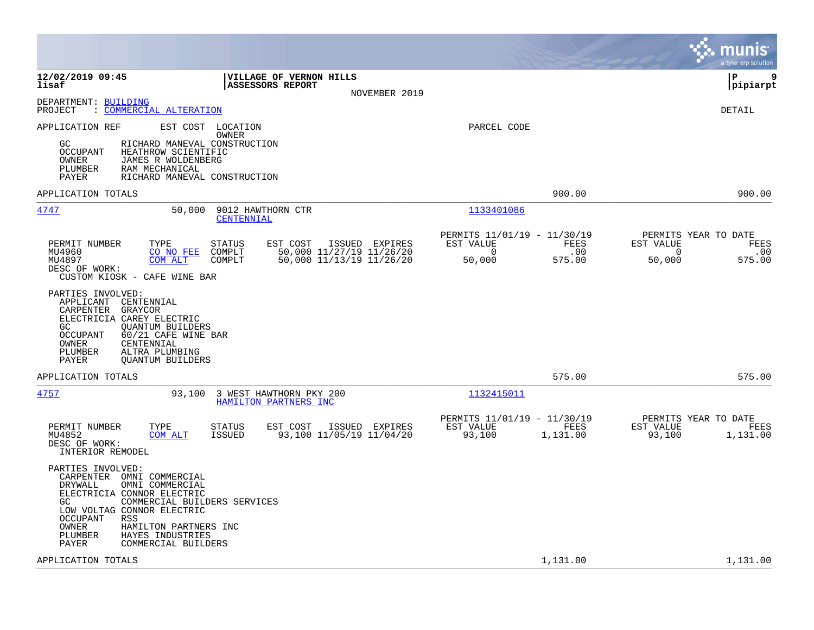|                                                                                                                                                                                                                                                                                                               |                                                                                         | munis<br>a tyler erp solution                                                          |
|---------------------------------------------------------------------------------------------------------------------------------------------------------------------------------------------------------------------------------------------------------------------------------------------------------------|-----------------------------------------------------------------------------------------|----------------------------------------------------------------------------------------|
| 12/02/2019 09:45<br><b>VILLAGE OF VERNON HILLS</b><br>ASSESSORS REPORT<br>lisaf<br>NOVEMBER 2019                                                                                                                                                                                                              |                                                                                         | l P<br>9<br> pipiarpt                                                                  |
| DEPARTMENT: BUILDING<br>: COMMERCIAL ALTERATION<br>PROJECT                                                                                                                                                                                                                                                    |                                                                                         | DETAIL                                                                                 |
| EST COST<br>APPLICATION REF<br>LOCATION<br><b>OWNER</b><br>GC<br>RICHARD MANEVAL CONSTRUCTION<br><b>OCCUPANT</b><br>HEATHROW SCIENTIFIC<br>OWNER<br>JAMES R WOLDENBERG<br>RAM MECHANICAL<br>PLUMBER<br>PAYER<br>RICHARD MANEVAL CONSTRUCTION                                                                  | PARCEL CODE                                                                             |                                                                                        |
| APPLICATION TOTALS                                                                                                                                                                                                                                                                                            | 900.00                                                                                  | 900.00                                                                                 |
| 4747<br>50,000<br>9012 HAWTHORN CTR<br>CENTENNIAL                                                                                                                                                                                                                                                             | 1133401086                                                                              |                                                                                        |
| PERMIT NUMBER<br>TYPE<br><b>STATUS</b><br>EST COST<br>ISSUED EXPIRES<br>CO NO FEE<br>50,000 11/27/19 11/26/20<br>MU4960<br>COMPLT<br>MU4897<br>COM ALT<br>COMPLT<br>50,000 11/13/19 11/26/20<br>DESC OF WORK:<br>CUSTOM KIOSK - CAFE WINE BAR                                                                 | PERMITS 11/01/19 - 11/30/19<br>EST VALUE<br>FEES<br>$\Omega$<br>.00<br>50,000<br>575.00 | PERMITS YEAR TO DATE<br>EST VALUE<br>FEES<br>$\overline{0}$<br>.00<br>50,000<br>575.00 |
| PARTIES INVOLVED:<br>CENTENNIAL<br>APPLICANT<br>CARPENTER<br>GRAYCOR<br>ELECTRICIA CAREY ELECTRIC<br>GC<br><b>QUANTUM BUILDERS</b><br>OCCUPANT<br>60/21 CAFE WINE BAR<br>OWNER<br>CENTENNIAL<br>PLUMBER<br>ALTRA PLUMBING<br>PAYER<br><b>OUANTUM BUILDERS</b>                                                 |                                                                                         |                                                                                        |
| APPLICATION TOTALS                                                                                                                                                                                                                                                                                            | 575.00                                                                                  | 575.00                                                                                 |
| 4757<br>93,100<br>3 WEST HAWTHORN PKY 200<br>HAMILTON PARTNERS INC                                                                                                                                                                                                                                            | 1132415011                                                                              |                                                                                        |
| PERMIT NUMBER<br>TYPE<br><b>STATUS</b><br>EST COST<br>ISSUED EXPIRES<br>MU4852<br>COM ALT<br><b>ISSUED</b><br>93,100 11/05/19 11/04/20<br>DESC OF WORK:<br>INTERIOR REMODEL                                                                                                                                   | PERMITS 11/01/19 - 11/30/19<br>EST VALUE<br>FEES<br>93,100<br>1,131.00                  | PERMITS YEAR TO DATE<br>EST VALUE<br>FEES<br>93,100<br>1,131.00                        |
| PARTIES INVOLVED:<br>CARPENTER<br>OMNI COMMERCIAL<br>DRYWALL<br>OMNI COMMERCIAL<br>ELECTRICIA CONNOR ELECTRIC<br>GC.<br>COMMERCIAL BUILDERS SERVICES<br>LOW VOLTAG CONNOR ELECTRIC<br>OCCUPANT<br><b>RSS</b><br>OWNER<br>HAMILTON PARTNERS INC<br>PLUMBER<br>HAYES INDUSTRIES<br>PAYER<br>COMMERCIAL BUILDERS |                                                                                         |                                                                                        |
| APPLICATION TOTALS                                                                                                                                                                                                                                                                                            | 1,131.00                                                                                | 1,131.00                                                                               |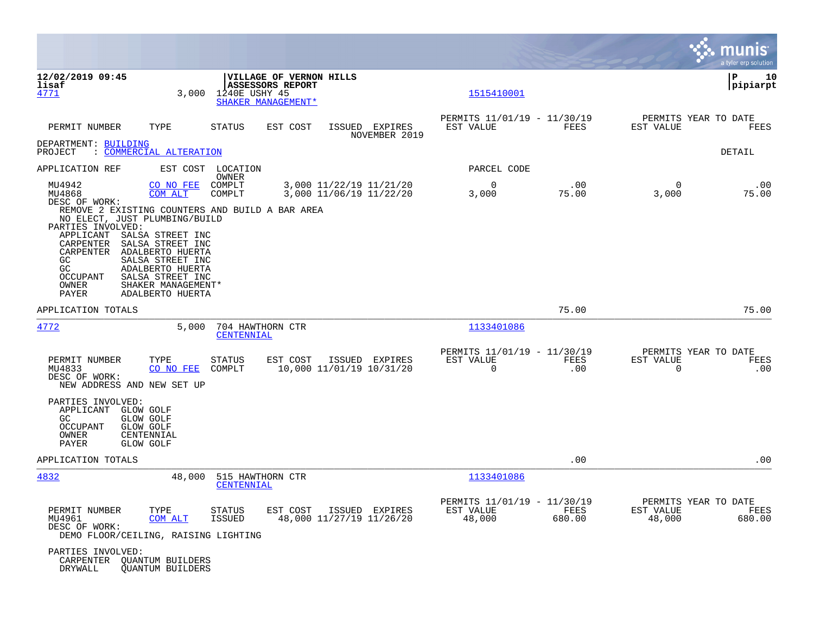|                                                                                                                                                                                               |                                                                                                                                                                |                                |                                                                   |                                                    |                                                         |                    |                          | munis<br>a tyler erp solution          |
|-----------------------------------------------------------------------------------------------------------------------------------------------------------------------------------------------|----------------------------------------------------------------------------------------------------------------------------------------------------------------|--------------------------------|-------------------------------------------------------------------|----------------------------------------------------|---------------------------------------------------------|--------------------|--------------------------|----------------------------------------|
| 12/02/2019 09:45<br>lisaf<br>4771                                                                                                                                                             | 3,000                                                                                                                                                          | 1240E USHY 45                  | VILLAGE OF VERNON HILLS<br>ASSESSORS REPORT<br>SHAKER MANAGEMENT* |                                                    | 1515410001                                              |                    |                          | ΙP<br>10<br> pipiarpt                  |
| PERMIT NUMBER                                                                                                                                                                                 | TYPE                                                                                                                                                           | STATUS                         | EST COST                                                          | ISSUED EXPIRES<br>NOVEMBER 2019                    | PERMITS 11/01/19 - 11/30/19<br>EST VALUE                | FEES               | EST VALUE                | PERMITS YEAR TO DATE<br>FEES           |
| DEPARTMENT: BUILDING<br>PROJECT                                                                                                                                                               | : COMMERCIAL ALTERATION                                                                                                                                        |                                |                                                                   |                                                    |                                                         |                    |                          | <b>DETAIL</b>                          |
| APPLICATION REF                                                                                                                                                                               |                                                                                                                                                                | EST COST LOCATION<br>OWNER     |                                                                   |                                                    | PARCEL CODE                                             |                    |                          |                                        |
| MU4942<br>MU4868<br>DESC OF WORK:                                                                                                                                                             | CO NO FEE<br>COM ALT                                                                                                                                           | COMPLT<br>COMPLT               |                                                                   | 3,000 11/22/19 11/21/20<br>3,000 11/06/19 11/22/20 | 0<br>3,000                                              | .00<br>75.00       | $\Omega$<br>3,000        | .00<br>75.00                           |
| REMOVE 2 EXISTING COUNTERS AND BUILD A BAR AREA<br>NO ELECT, JUST PLUMBING/BUILD<br>PARTIES INVOLVED:<br>APPLICANT<br>CARPENTER<br>CARPENTER<br>GC<br>GC<br><b>OCCUPANT</b><br>OWNER<br>PAYER | SALSA STREET INC<br>SALSA STREET INC<br>ADALBERTO HUERTA<br>SALSA STREET INC<br>ADALBERTO HUERTA<br>SALSA STREET INC<br>SHAKER MANAGEMENT*<br>ADALBERTO HUERTA |                                |                                                                   |                                                    |                                                         |                    |                          |                                        |
| APPLICATION TOTALS                                                                                                                                                                            |                                                                                                                                                                |                                |                                                                   |                                                    |                                                         | 75.00              |                          | 75.00                                  |
| 4772                                                                                                                                                                                          | 5,000                                                                                                                                                          | 704 HAWTHORN CTR<br>CENTENNIAL |                                                                   |                                                    | 1133401086                                              |                    |                          |                                        |
| PERMIT NUMBER<br>MU4833<br>DESC OF WORK:<br>NEW ADDRESS AND NEW SET UP                                                                                                                        | TYPE<br>CO NO FEE                                                                                                                                              | <b>STATUS</b><br>COMPLT        | EST COST                                                          | ISSUED EXPIRES<br>10,000 11/01/19 10/31/20         | PERMITS 11/01/19 - 11/30/19<br>EST VALUE<br>$\mathbf 0$ | <b>FEES</b><br>.00 | EST VALUE<br>$\mathbf 0$ | PERMITS YEAR TO DATE<br>FEES<br>.00    |
| PARTIES INVOLVED:<br>APPLICANT<br><b>GC</b><br><b>OCCUPANT</b><br>OWNER<br>PAYER                                                                                                              | GLOW GOLF<br><b>GLOW GOLF</b><br><b>GLOW GOLF</b><br>CENTENNIAL<br><b>GLOW GOLF</b>                                                                            |                                |                                                                   |                                                    |                                                         |                    |                          |                                        |
| APPLICATION TOTALS                                                                                                                                                                            |                                                                                                                                                                |                                |                                                                   |                                                    |                                                         | .00                |                          | .00                                    |
| 4832                                                                                                                                                                                          | 48,000                                                                                                                                                         | 515 HAWTHORN CTR<br>CENTENNIAL |                                                                   |                                                    | 1133401086                                              |                    |                          |                                        |
| PERMIT NUMBER<br>MU4961<br>DESC OF WORK:<br>DEMO FLOOR/CEILING, RAISING LIGHTING                                                                                                              | TYPE<br><b>COM ALT</b>                                                                                                                                         | <b>STATUS</b><br><b>ISSUED</b> | EST COST                                                          | ISSUED EXPIRES<br>48,000 11/27/19 11/26/20         | PERMITS 11/01/19 - 11/30/19<br>EST VALUE<br>48,000      | FEES<br>680.00     | EST VALUE<br>48,000      | PERMITS YEAR TO DATE<br>FEES<br>680.00 |
| PARTIES INVOLVED:<br>CARPENTER QUANTUM BUILDERS<br>DRYWALL                                                                                                                                    | <b>OUANTUM BUILDERS</b>                                                                                                                                        |                                |                                                                   |                                                    |                                                         |                    |                          |                                        |

and the contract of the contract of the contract of the contract of the contract of the contract of the contract of

the contract of the contract of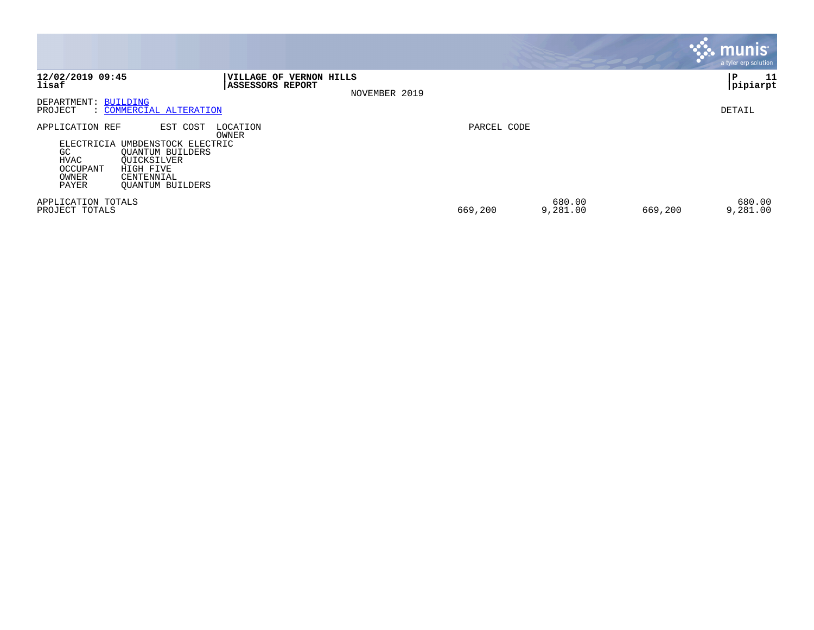|                                                              |                                                                                                                                             |                                             |               |             |                    |         | <b>munis</b><br>a tyler erp solution |
|--------------------------------------------------------------|---------------------------------------------------------------------------------------------------------------------------------------------|---------------------------------------------|---------------|-------------|--------------------|---------|--------------------------------------|
| 12/02/2019 09:45<br>lisaf                                    |                                                                                                                                             | VILLAGE OF VERNON HILLS<br>ASSESSORS REPORT | NOVEMBER 2019 |             |                    |         | 11<br> P<br> pipiarpt                |
| DEPARTMENT: BUILDING<br>PROJECT                              | : COMMERCIAL ALTERATION                                                                                                                     |                                             |               |             |                    |         | DETAIL                               |
| APPLICATION REF<br>GC.<br>HVAC<br>OCCUPANT<br>OWNER<br>PAYER | EST COST<br>ELECTRICIA UMBDENSTOCK ELECTRIC<br><b>OUANTUM BUILDERS</b><br>OUICKSILVER<br>HIGH FIVE<br>CENTENNIAL<br><b>OUANTUM BUILDERS</b> | LOCATION<br>OWNER                           |               | PARCEL CODE |                    |         |                                      |
| APPLICATION TOTALS<br>PROJECT TOTALS                         |                                                                                                                                             |                                             |               | 669,200     | 680.00<br>9,281.00 | 669,200 | 680.00<br>9,281.00                   |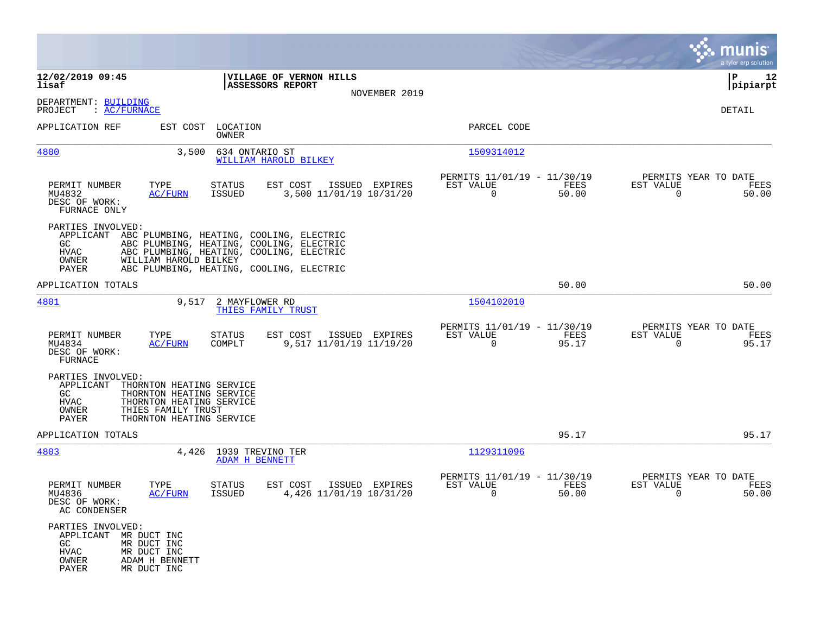|                                                                                                                                                                                                       |                                                                                                                                  |                                                                          | munis<br>a tyler erp solution                                  |
|-------------------------------------------------------------------------------------------------------------------------------------------------------------------------------------------------------|----------------------------------------------------------------------------------------------------------------------------------|--------------------------------------------------------------------------|----------------------------------------------------------------|
| 12/02/2019 09:45<br>lisaf                                                                                                                                                                             | VILLAGE OF VERNON HILLS<br><b>ASSESSORS REPORT</b>                                                                               |                                                                          | 12<br>IΡ<br> pipiarpt                                          |
| DEPARTMENT: BUILDING<br>: AC/FURNACE<br>PROJECT                                                                                                                                                       | NOVEMBER 2019                                                                                                                    |                                                                          | DETAIL                                                         |
| APPLICATION REF                                                                                                                                                                                       | EST COST LOCATION<br>OWNER                                                                                                       | PARCEL CODE                                                              |                                                                |
| 4800<br>3,500                                                                                                                                                                                         | 634 ONTARIO ST<br>WILLIAM HAROLD BILKEY                                                                                          | 1509314012                                                               |                                                                |
| PERMIT NUMBER<br>TYPE<br>MU4832<br>AC/FURN<br>DESC OF WORK:<br>FURNACE ONLY                                                                                                                           | STATUS<br>EST COST<br>ISSUED EXPIRES<br><b>ISSUED</b><br>3,500 11/01/19 10/31/20                                                 | PERMITS 11/01/19 - 11/30/19<br>FEES<br>EST VALUE<br>$\mathbf 0$<br>50.00 | PERMITS YEAR TO DATE<br>EST VALUE<br>FEES<br>$\Omega$<br>50.00 |
| PARTIES INVOLVED:<br>APPLICANT ABC PLUMBING, HEATING, COOLING, ELECTRIC<br>GC.<br>HVAC<br>OWNER<br>WILLIAM HAROLD BILKEY<br>PAYER                                                                     | ABC PLUMBING, HEATING, COOLING, ELECTRIC<br>ABC PLUMBING, HEATING, COOLING, ELECTRIC<br>ABC PLUMBING, HEATING, COOLING, ELECTRIC |                                                                          |                                                                |
| APPLICATION TOTALS                                                                                                                                                                                    |                                                                                                                                  | 50.00                                                                    | 50.00                                                          |
| 4801<br>9,517                                                                                                                                                                                         | 2 MAYFLOWER RD<br>THIES FAMILY TRUST                                                                                             | 1504102010                                                               |                                                                |
| PERMIT NUMBER<br>TYPE<br>MU4834<br><b>AC/FURN</b><br>DESC OF WORK:<br>FURNACE                                                                                                                         | EST COST<br>ISSUED EXPIRES<br>STATUS<br>COMPLT<br>9,517 11/01/19 11/19/20                                                        | PERMITS 11/01/19 - 11/30/19<br>EST VALUE<br>FEES<br>$\Omega$<br>95.17    | PERMITS YEAR TO DATE<br>EST VALUE<br>FEES<br>$\Omega$<br>95.17 |
| PARTIES INVOLVED:<br>APPLICANT<br>THORNTON HEATING SERVICE<br>THORNTON HEATING SERVICE<br>GC.<br>THORNTON HEATING SERVICE<br>HVAC<br>OWNER<br>THIES FAMILY TRUST<br>PAYER<br>THORNTON HEATING SERVICE |                                                                                                                                  |                                                                          |                                                                |
| APPLICATION TOTALS                                                                                                                                                                                    |                                                                                                                                  | 95.17                                                                    | 95.17                                                          |
| 4803                                                                                                                                                                                                  | 4,426 1939 TREVINO TER<br>ADAM H BENNETT                                                                                         | 1129311096                                                               |                                                                |
| PERMIT NUMBER<br>TYPE<br>MU4836<br>AC/FURN<br>DESC OF WORK:<br>AC CONDENSER                                                                                                                           | STATUS<br>EST COST<br>ISSUED EXPIRES<br>4,426 11/01/19 10/31/20<br><b>ISSUED</b>                                                 | PERMITS 11/01/19 - 11/30/19<br>EST VALUE<br>FEES<br>0<br>50.00           | PERMITS YEAR TO DATE<br>EST VALUE<br>FEES<br>0<br>50.00        |
| PARTIES INVOLVED:<br>APPLICANT MR DUCT INC<br>GC.<br>MR DUCT INC<br><b>HVAC</b><br>MR DUCT INC<br>OWNER<br>ADAM H BENNETT<br>PAYER<br>MR DUCT INC                                                     |                                                                                                                                  |                                                                          |                                                                |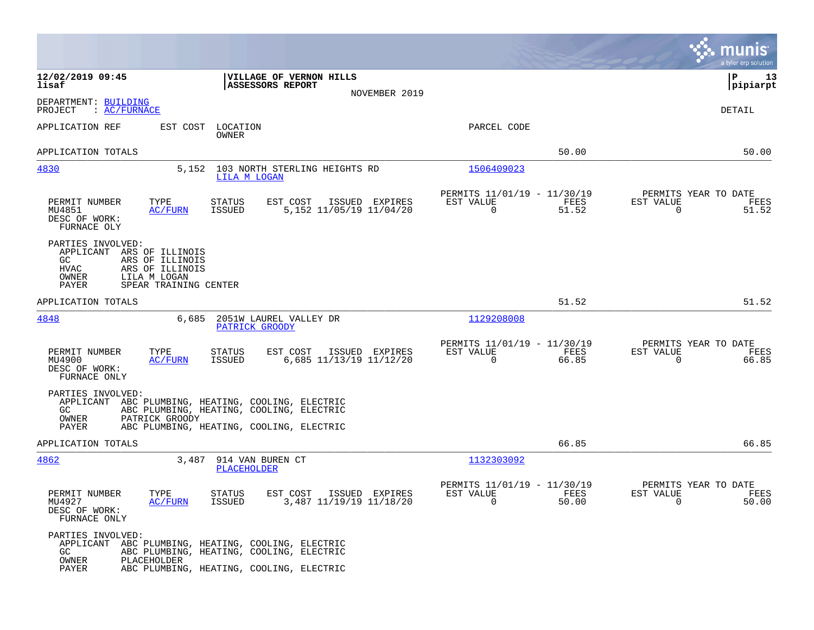|                                                                                                                                                                                                               |                                                              |                                                         |               |                                                  | munis<br>a tyler erp solution |
|---------------------------------------------------------------------------------------------------------------------------------------------------------------------------------------------------------------|--------------------------------------------------------------|---------------------------------------------------------|---------------|--------------------------------------------------|-------------------------------|
| 12/02/2019 09:45<br>lisaf                                                                                                                                                                                     | VILLAGE OF VERNON HILLS<br>ASSESSORS REPORT<br>NOVEMBER 2019 |                                                         |               |                                                  | l P<br>13<br> pipiarpt        |
| DEPARTMENT: BUILDING<br>: AC/FURNACE<br>PROJECT                                                                                                                                                               |                                                              |                                                         |               |                                                  | DETAIL                        |
| APPLICATION REF<br>EST COST<br>LOCATION<br>OWNER                                                                                                                                                              |                                                              | PARCEL CODE                                             |               |                                                  |                               |
| APPLICATION TOTALS                                                                                                                                                                                            |                                                              |                                                         | 50.00         |                                                  | 50.00                         |
| 4830<br>5,152                                                                                                                                                                                                 | 103 NORTH STERLING HEIGHTS RD<br>LILA M LOGAN                | 1506409023                                              |               |                                                  |                               |
| PERMIT NUMBER<br>TYPE<br><b>STATUS</b><br>ISSUED<br>MU4851<br>AC/FURN<br>DESC OF WORK:<br>FURNACE OLY                                                                                                         | EST COST<br>ISSUED EXPIRES<br>5,152 11/05/19 11/04/20        | PERMITS 11/01/19 - 11/30/19<br>EST VALUE<br>$\mathbf 0$ | FEES<br>51.52 | PERMITS YEAR TO DATE<br>EST VALUE<br>$\mathbf 0$ | FEES<br>51.52                 |
| PARTIES INVOLVED:<br>APPLICANT ARS OF ILLINOIS<br>ARS OF ILLINOIS<br>GC<br>HVAC<br>ARS OF ILLINOIS<br>OWNER<br>LILA M LOGAN<br>PAYER<br>SPEAR TRAINING CENTER                                                 |                                                              |                                                         |               |                                                  |                               |
| APPLICATION TOTALS                                                                                                                                                                                            |                                                              |                                                         | 51.52         |                                                  | 51.52                         |
| 4848<br>6,685                                                                                                                                                                                                 | 2051W LAUREL VALLEY DR<br>PATRICK GROODY                     | 1129208008                                              |               |                                                  |                               |
| PERMIT NUMBER<br>TYPE<br><b>STATUS</b><br>MU4900<br><b>AC/FURN</b><br><b>ISSUED</b><br>DESC OF WORK:<br>FURNACE ONLY                                                                                          | EST COST<br>ISSUED EXPIRES<br>6,685 11/13/19 11/12/20        | PERMITS 11/01/19 - 11/30/19<br>EST VALUE<br>$\mathbf 0$ | FEES<br>66.85 | PERMITS YEAR TO DATE<br>EST VALUE<br>$\mathbf 0$ | FEES<br>66.85                 |
| PARTIES INVOLVED:<br>APPLICANT ABC PLUMBING, HEATING, COOLING, ELECTRIC<br>ABC PLUMBING, HEATING, COOLING, ELECTRIC<br>GC<br>OWNER<br>PATRICK GROODY<br>PAYER<br>ABC PLUMBING, HEATING, COOLING, ELECTRIC     |                                                              |                                                         |               |                                                  |                               |
| APPLICATION TOTALS                                                                                                                                                                                            |                                                              |                                                         | 66.85         |                                                  | 66.85                         |
| 4862                                                                                                                                                                                                          | 3,487 914 VAN BUREN CT<br><b>PLACEHOLDER</b>                 | 1132303092                                              |               |                                                  |                               |
| PERMIT NUMBER<br>TYPE<br><b>STATUS</b><br>MU4927<br><b>AC/FURN</b><br><b>ISSUED</b><br>DESC OF WORK:<br>FURNACE ONLY                                                                                          | ISSUED EXPIRES<br>EST COST<br>3,487 11/19/19 11/18/20        | PERMITS 11/01/19 - 11/30/19<br>EST VALUE<br>0           | FEES<br>50.00 | PERMITS YEAR TO DATE<br>EST VALUE<br>$\Omega$    | FEES<br>50.00                 |
| PARTIES INVOLVED:<br>APPLICANT ABC PLUMBING, HEATING, COOLING, ELECTRIC<br>GC<br>ABC PLUMBING, HEATING, COOLING, ELECTRIC<br>OWNER<br>PLACEHOLDER<br><b>PAYER</b><br>ABC PLUMBING, HEATING, COOLING, ELECTRIC |                                                              |                                                         |               |                                                  |                               |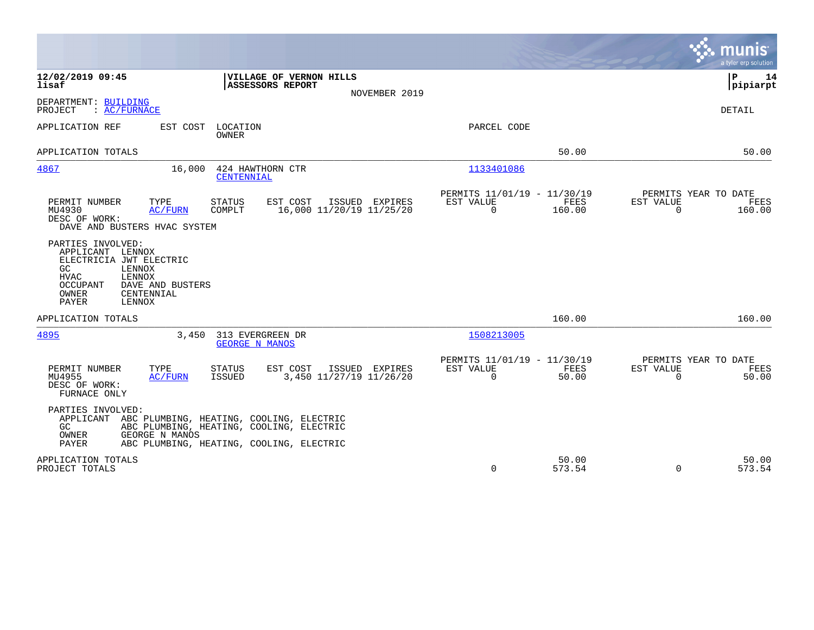|                                                                                                                                                                                                                  |                                                        |                                                         |                 |                                               | munis<br>a tyler erp solution |
|------------------------------------------------------------------------------------------------------------------------------------------------------------------------------------------------------------------|--------------------------------------------------------|---------------------------------------------------------|-----------------|-----------------------------------------------|-------------------------------|
| 12/02/2019 09:45<br>lisaf<br>ASSESSORS REPORT                                                                                                                                                                    | <b> VILLAGE OF VERNON HILLS</b><br>NOVEMBER 2019       |                                                         |                 |                                               | ΙP<br>14<br> pipiarpt         |
| DEPARTMENT: BUILDING<br>: AC/FURNACE<br>PROJECT                                                                                                                                                                  |                                                        |                                                         |                 |                                               | DETAIL                        |
| APPLICATION REF<br>EST COST LOCATION<br>OWNER                                                                                                                                                                    |                                                        | PARCEL CODE                                             |                 |                                               |                               |
| APPLICATION TOTALS                                                                                                                                                                                               |                                                        |                                                         | 50.00           |                                               | 50.00                         |
| 4867<br>16,000<br>424 HAWTHORN CTR<br>CENTENNIAL                                                                                                                                                                 |                                                        | 1133401086                                              |                 |                                               |                               |
| PERMIT NUMBER<br>TYPE<br><b>STATUS</b><br>MU4930<br>COMPLT<br>AC/FURN<br>DESC OF WORK:<br>DAVE AND BUSTERS HVAC SYSTEM                                                                                           | EST COST<br>ISSUED EXPIRES<br>16,000 11/20/19 11/25/20 | PERMITS 11/01/19 - 11/30/19<br>EST VALUE<br>$\Omega$    | FEES<br>160.00  | PERMITS YEAR TO DATE<br>EST VALUE<br>$\Omega$ | FEES<br>160.00                |
| PARTIES INVOLVED:<br>APPLICANT LENNOX<br>ELECTRICIA JWT ELECTRIC<br>GC<br>LENNOX<br><b>HVAC</b><br>LENNOX<br>OCCUPANT<br>DAVE AND BUSTERS<br><b>OWNER</b><br>CENTENNIAL<br><b>PAYER</b><br>LENNOX                |                                                        |                                                         |                 |                                               |                               |
| APPLICATION TOTALS                                                                                                                                                                                               |                                                        |                                                         | 160.00          |                                               | 160.00                        |
| 4895<br>313 EVERGREEN DR<br>3,450<br><b>GEORGE N MANOS</b>                                                                                                                                                       |                                                        | 1508213005                                              |                 |                                               |                               |
| PERMIT NUMBER<br>TYPE<br><b>STATUS</b><br>MU4955<br>ISSUED<br>AC/FURN<br>DESC OF WORK:<br>FURNACE ONLY                                                                                                           | EST COST<br>ISSUED EXPIRES<br>3,450 11/27/19 11/26/20  | PERMITS 11/01/19 - 11/30/19<br>EST VALUE<br>$\mathbf 0$ | FEES<br>50.00   | PERMITS YEAR TO DATE<br>EST VALUE<br>0        | FEES<br>50.00                 |
| PARTIES INVOLVED:<br>APPLICANT ABC PLUMBING, HEATING, COOLING, ELECTRIC<br>GC<br>ABC PLUMBING, HEATING, COOLING, ELECTRIC<br>OWNER<br>GEORGE N MANOS<br><b>PAYER</b><br>ABC PLUMBING, HEATING, COOLING, ELECTRIC |                                                        |                                                         |                 |                                               |                               |
| APPLICATION TOTALS<br>PROJECT TOTALS                                                                                                                                                                             |                                                        | $\Omega$                                                | 50.00<br>573.54 | $\Omega$                                      | 50.00<br>573.54               |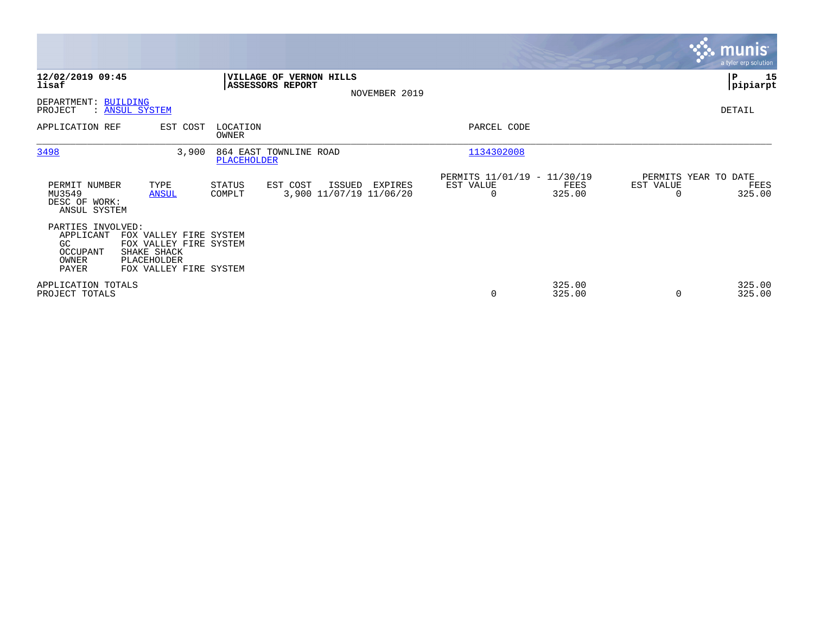|                                                                                                            |                                                                                                          |                                 |                                             |                                   |               |                                                                    |                  |                       | <b>munis</b><br>a tyler erp solution   |
|------------------------------------------------------------------------------------------------------------|----------------------------------------------------------------------------------------------------------|---------------------------------|---------------------------------------------|-----------------------------------|---------------|--------------------------------------------------------------------|------------------|-----------------------|----------------------------------------|
| 12/02/2019 09:45<br>lisaf<br>DEPARTMENT: BUILDING                                                          |                                                                                                          |                                 | VILLAGE OF VERNON HILLS<br>ASSESSORS REPORT |                                   | NOVEMBER 2019 |                                                                    |                  |                       | $\mathbf P$<br>15<br> pipiarpt         |
| PROJECT<br>: ANSUL SYSTEM<br>APPLICATION REF                                                               | EST COST                                                                                                 | LOCATION<br>OWNER               |                                             |                                   |               | PARCEL CODE                                                        |                  |                       | DETAIL                                 |
| 3498<br>PERMIT NUMBER<br>MU3549<br>DESC OF WORK:<br>ANSUL SYSTEM                                           | 3,900<br>TYPE<br><b>ANSUL</b>                                                                            | PLACEHOLDER<br>STATUS<br>COMPLT | 864 EAST TOWNLINE ROAD<br>EST COST          | ISSUED<br>3,900 11/07/19 11/06/20 | EXPIRES       | 1134302008<br>PERMITS 11/01/19 - 11/30/19<br>EST VALUE<br>$\Omega$ | FEES<br>325.00   | EST VALUE<br>$\Omega$ | PERMITS YEAR TO DATE<br>FEES<br>325.00 |
| PARTIES INVOLVED:<br>APPLICANT<br>GC<br>OCCUPANT<br>OWNER<br>PAYER<br>APPLICATION TOTALS<br>PROJECT TOTALS | FOX VALLEY FIRE SYSTEM<br>FOX VALLEY FIRE SYSTEM<br>SHAKE SHACK<br>PLACEHOLDER<br>FOX VALLEY FIRE SYSTEM |                                 |                                             |                                   |               | 0                                                                  | 325.00<br>325.00 | $\Omega$              | 325.00<br>325.00                       |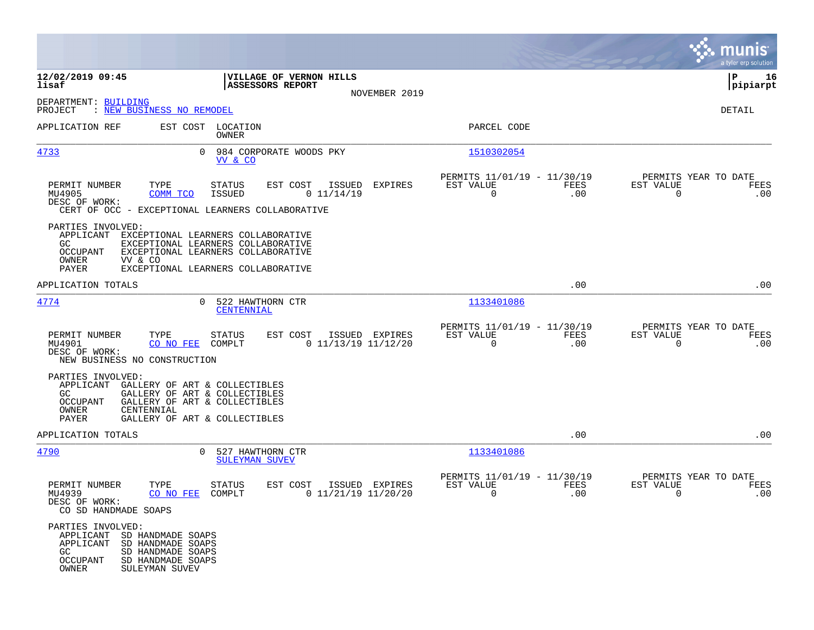|                                                                                                                                                                                                                       |                                                                                                                                                      |                                         |                                                         |                    |                                               | munis<br>a tyler erp solution |
|-----------------------------------------------------------------------------------------------------------------------------------------------------------------------------------------------------------------------|------------------------------------------------------------------------------------------------------------------------------------------------------|-----------------------------------------|---------------------------------------------------------|--------------------|-----------------------------------------------|-------------------------------|
| 12/02/2019 09:45<br>lisaf                                                                                                                                                                                             | VILLAGE OF VERNON HILLS<br><b>ASSESSORS REPORT</b>                                                                                                   |                                         |                                                         |                    |                                               | 16<br>IΡ<br> pipiarpt         |
| DEPARTMENT: BUILDING<br>: NEW BUSINESS NO REMODEL<br>PROJECT                                                                                                                                                          |                                                                                                                                                      | NOVEMBER 2019                           |                                                         |                    |                                               | DETAIL                        |
| APPLICATION REF                                                                                                                                                                                                       | EST COST LOCATION<br>OWNER                                                                                                                           |                                         | PARCEL CODE                                             |                    |                                               |                               |
| 4733                                                                                                                                                                                                                  | 0 984 CORPORATE WOODS PKY<br>VV & CO                                                                                                                 |                                         | 1510302054                                              |                    |                                               |                               |
| PERMIT NUMBER<br>TYPE<br>COMM TCO<br>MU4905<br>DESC OF WORK:<br>CERT OF OCC - EXCEPTIONAL LEARNERS COLLABORATIVE                                                                                                      | STATUS<br>EST COST<br>ISSUED<br>0 11/14/19<br><b>ISSUED</b>                                                                                          | EXPIRES                                 | PERMITS 11/01/19 - 11/30/19<br>EST VALUE<br>$\mathbf 0$ | FEES<br>.00        | PERMITS YEAR TO DATE<br>EST VALUE<br>$\Omega$ | FEES<br>.00                   |
| PARTIES INVOLVED:<br>APPLICANT<br>GC.<br><b>OCCUPANT</b><br>OWNER<br>VV & CO<br>PAYER                                                                                                                                 | EXCEPTIONAL LEARNERS COLLABORATIVE<br>EXCEPTIONAL LEARNERS COLLABORATIVE<br>EXCEPTIONAL LEARNERS COLLABORATIVE<br>EXCEPTIONAL LEARNERS COLLABORATIVE |                                         |                                                         |                    |                                               |                               |
| APPLICATION TOTALS                                                                                                                                                                                                    |                                                                                                                                                      |                                         |                                                         | .00                |                                               | .00                           |
| 4774<br>$\Omega$                                                                                                                                                                                                      | 522 HAWTHORN CTR<br><b>CENTENNIAL</b>                                                                                                                |                                         | 1133401086                                              |                    |                                               |                               |
| PERMIT NUMBER<br>TYPE<br>MU4901<br>CO NO FEE<br>DESC OF WORK:<br>NEW BUSINESS NO CONSTRUCTION                                                                                                                         | EST COST<br>STATUS<br>COMPLT                                                                                                                         | ISSUED EXPIRES<br>0 11/13/19 11/12/20   | PERMITS 11/01/19 - 11/30/19<br>EST VALUE<br>$\Omega$    | FEES<br>.00        | PERMITS YEAR TO DATE<br>EST VALUE<br>$\Omega$ | FEES<br>.00                   |
| PARTIES INVOLVED:<br>APPLICANT<br>GALLERY OF ART & COLLECTIBLES<br>GALLERY OF ART & COLLECTIBLES<br>GC.<br>GALLERY OF ART & COLLECTIBLES<br>OCCUPANT<br>OWNER<br>CENTENNIAL<br>PAYER<br>GALLERY OF ART & COLLECTIBLES |                                                                                                                                                      |                                         |                                                         |                    |                                               |                               |
| APPLICATION TOTALS                                                                                                                                                                                                    |                                                                                                                                                      |                                         |                                                         | .00                |                                               | .00                           |
| 4790<br>$\Omega$                                                                                                                                                                                                      | 527 HAWTHORN CTR<br>SULEYMAN SUVEV                                                                                                                   |                                         | 1133401086                                              |                    |                                               |                               |
| PERMIT NUMBER<br>TYPE<br>MU4939<br>CO NO FEE<br>DESC OF WORK:<br>CO SD HANDMADE SOAPS                                                                                                                                 | STATUS<br>EST COST<br>COMPLT                                                                                                                         | ISSUED EXPIRES<br>$0$ 11/21/19 11/20/20 | PERMITS 11/01/19 - 11/30/19<br>EST VALUE<br>0           | <b>FEES</b><br>.00 | PERMITS YEAR TO DATE<br>EST VALUE<br>0        | FEES<br>.00                   |
| PARTIES INVOLVED:<br>APPLICANT SD HANDMADE SOAPS<br>APPLICANT SD HANDMADE SOAPS<br>SD HANDMADE SOAPS<br>GC<br>OCCUPANT<br>SD HANDMADE SOAPS<br>OWNER<br>SULEYMAN SUVEV                                                |                                                                                                                                                      |                                         |                                                         |                    |                                               |                               |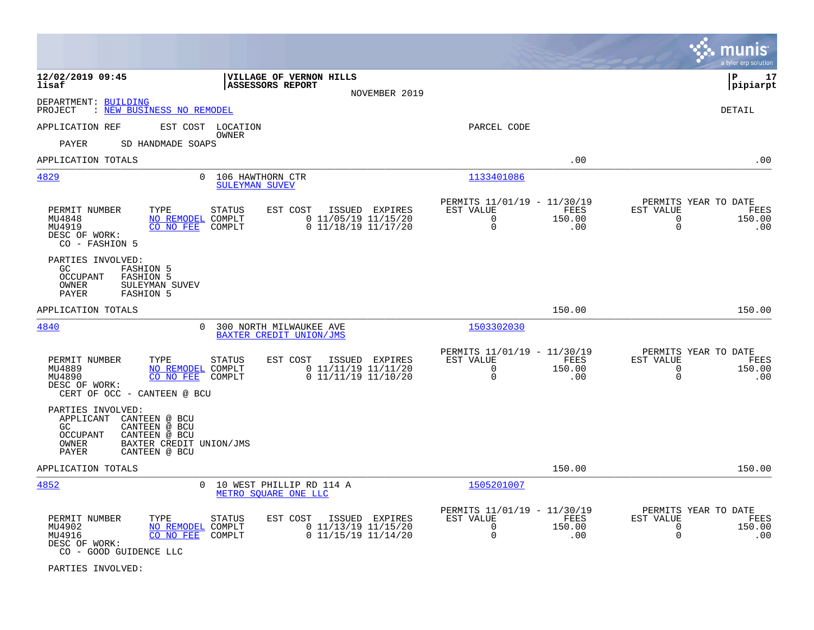|                                                                                                                                                                    |                                                                                                            |                                                                     |                       | munis<br>a tyler erp solution                                                            |
|--------------------------------------------------------------------------------------------------------------------------------------------------------------------|------------------------------------------------------------------------------------------------------------|---------------------------------------------------------------------|-----------------------|------------------------------------------------------------------------------------------|
| 12/02/2019 09:45<br>lisaf                                                                                                                                          | VILLAGE OF VERNON HILLS<br>ASSESSORS REPORT<br>NOVEMBER 2019                                               |                                                                     |                       | l P<br>17<br> pipiarpt                                                                   |
| DEPARTMENT: BUILDING<br>PROJECT<br>: NEW BUSINESS NO REMODEL                                                                                                       |                                                                                                            |                                                                     |                       | <b>DETAIL</b>                                                                            |
| APPLICATION REF<br>EST COST LOCATION                                                                                                                               | OWNER                                                                                                      | PARCEL CODE                                                         |                       |                                                                                          |
| SD HANDMADE SOAPS<br>PAYER                                                                                                                                         |                                                                                                            |                                                                     |                       |                                                                                          |
| APPLICATION TOTALS                                                                                                                                                 |                                                                                                            |                                                                     | .00                   | .00                                                                                      |
| 4829<br>$\Omega$                                                                                                                                                   | 106 HAWTHORN CTR<br><b>SULEYMAN SUVEV</b>                                                                  | 1133401086                                                          |                       |                                                                                          |
| PERMIT NUMBER<br>TYPE<br>MU4848<br>NO REMODEL COMPLT<br>CO NO FEE<br>MU4919<br>DESC OF WORK:<br>CO - FASHION 5                                                     | <b>STATUS</b><br>EST COST<br>ISSUED EXPIRES<br>$0$ 11/05/19 11/15/20<br>COMPLT<br>$0$ 11/18/19 11/17/20    | PERMITS 11/01/19 - 11/30/19<br>EST VALUE<br>$\Omega$<br>0           | FEES<br>150.00<br>.00 | PERMITS YEAR TO DATE<br>EST VALUE<br><b>FEES</b><br>$\mathbf 0$<br>150.00<br>0<br>.00    |
| PARTIES INVOLVED:<br>GC.<br>FASHION 5<br>OCCUPANT<br><b>FASHION 5</b><br>OWNER<br>SULEYMAN SUVEV<br>PAYER<br><b>FASHION 5</b>                                      |                                                                                                            |                                                                     |                       |                                                                                          |
| APPLICATION TOTALS                                                                                                                                                 |                                                                                                            |                                                                     | 150.00                | 150.00                                                                                   |
| 4840<br>$\Omega$                                                                                                                                                   | 300 NORTH MILWAUKEE AVE<br>BAXTER CREDIT UNION/JMS                                                         | 1503302030                                                          |                       |                                                                                          |
| PERMIT NUMBER<br>TYPE<br>MU4889<br>NO REMODEL COMPLT<br>MU4890<br>CO NO FEE<br>DESC OF WORK:<br>CERT OF OCC - CANTEEN @ BCU                                        | EST COST<br>ISSUED EXPIRES<br>STATUS<br>0 11/11/19 11/11/20<br>$0$ 11/11/19 11/10/20<br>COMPLT             | PERMITS 11/01/19 - 11/30/19<br>EST VALUE<br>0<br>$\mathbf 0$        | FEES<br>150.00<br>.00 | PERMITS YEAR TO DATE<br>EST VALUE<br>FEES<br>150.00<br>0<br>$\mathbf 0$<br>.00           |
| PARTIES INVOLVED:<br>APPLICANT<br>CANTEEN @ BCU<br>CANTEEN @ BCU<br>GC.<br>CANTEEN @ BCU<br>OCCUPANT<br>OWNER<br>BAXTER CREDIT UNION/JMS<br>PAYER<br>CANTEEN @ BCU |                                                                                                            |                                                                     |                       |                                                                                          |
| APPLICATION TOTALS                                                                                                                                                 |                                                                                                            |                                                                     | 150.00                | 150.00                                                                                   |
| 4852<br>$\Omega$                                                                                                                                                   | 10 WEST PHILLIP RD 114 A<br>METRO SQUARE ONE LLC                                                           | 1505201007                                                          |                       |                                                                                          |
| PERMIT NUMBER<br>TYPE<br>MU4902<br>NO REMODEL COMPLT<br>MU4916<br>CO NO FEE<br>DESC OF WORK:<br>CO - GOOD GUIDENCE LLC                                             | <b>STATUS</b><br>EST COST<br>ISSUED<br>EXPIRES<br>$0$ 11/13/19 11/15/20<br>$0$ 11/15/19 11/14/20<br>COMPLT | PERMITS 11/01/19 - 11/30/19<br>EST VALUE<br>$\Omega$<br>$\mathbf 0$ | FEES<br>150.00<br>.00 | PERMITS YEAR TO DATE<br>EST VALUE<br>FEES<br>150.00<br>$\mathbf 0$<br>$\mathbf 0$<br>.00 |

PARTIES INVOLVED: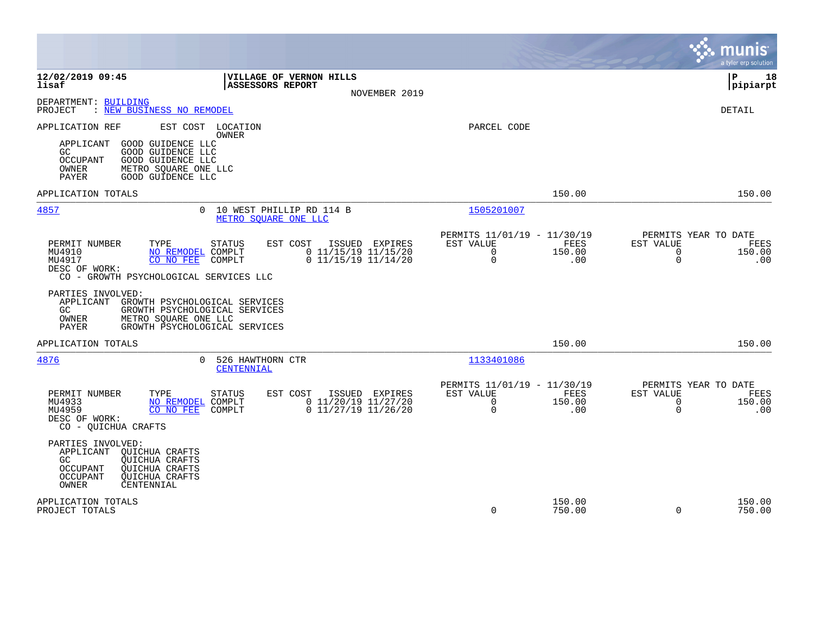|                                                                                                                                                                                       |                                                                  |                                                                        |                       |                                                              | munis<br>a tyler erp solution |
|---------------------------------------------------------------------------------------------------------------------------------------------------------------------------------------|------------------------------------------------------------------|------------------------------------------------------------------------|-----------------------|--------------------------------------------------------------|-------------------------------|
| 12/02/2019 09:45<br>VILLAGE OF VERNON HILLS<br>lisaf<br>ASSESSORS REPORT                                                                                                              | NOVEMBER 2019                                                    |                                                                        |                       |                                                              | 18<br>ΙP<br> pipiarpt         |
| DEPARTMENT: BUILDING<br>PROJECT<br>: NEW BUSINESS NO REMODEL                                                                                                                          |                                                                  |                                                                        |                       |                                                              | DETAIL                        |
| APPLICATION REF<br>EST COST LOCATION<br>OWNER                                                                                                                                         |                                                                  | PARCEL CODE                                                            |                       |                                                              |                               |
| APPLICANT<br>GOOD GUIDENCE LLC<br>GOOD GUIDENCE LLC<br>GC<br><b>OCCUPANT</b><br>GOOD GUIDENCE LLC<br>OWNER<br>METRO SQUARE ONE LLC<br><b>PAYER</b><br>GOOD GUIDENCE LLC               |                                                                  |                                                                        |                       |                                                              |                               |
| APPLICATION TOTALS                                                                                                                                                                    |                                                                  |                                                                        | 150.00                |                                                              | 150.00                        |
| 4857<br>0 10 WEST PHILLIP RD 114 B<br>METRO SOUARE ONE LLC                                                                                                                            |                                                                  | 1505201007                                                             |                       |                                                              |                               |
| PERMIT NUMBER<br>TYPE<br>STATUS<br>EST COST<br>MU4910<br>NO REMODEL COMPLT<br>MU4917<br>CO NO FEE<br>COMPLT<br>DESC OF WORK:<br>CO - GROWTH PSYCHOLOGICAL SERVICES LLC                | ISSUED EXPIRES<br>$0$ 11/15/19 11/15/20<br>$0$ 11/15/19 11/14/20 | PERMITS 11/01/19 - 11/30/19<br>EST VALUE<br>$\mathbf 0$<br>$\Omega$    | FEES<br>150.00<br>.00 | PERMITS YEAR TO DATE<br>EST VALUE<br>$\mathbf 0$<br>$\Omega$ | FEES<br>150.00<br>.00         |
| PARTIES INVOLVED:<br>APPLICANT<br>GROWTH PSYCHOLOGICAL SERVICES<br>GC.<br>GROWTH PSYCHOLOGICAL SERVICES<br>OWNER<br>METRO SOUARE ONE LLC<br>GROWTH PSYCHOLOGICAL SERVICES<br>PAYER    |                                                                  |                                                                        |                       |                                                              |                               |
| APPLICATION TOTALS                                                                                                                                                                    |                                                                  |                                                                        | 150.00                |                                                              | 150.00                        |
| 4876<br>526 HAWTHORN CTR<br>$\Omega$<br>CENTENNIAL                                                                                                                                    |                                                                  | 1133401086                                                             |                       |                                                              |                               |
| TYPE<br>STATUS<br>EST COST<br>PERMIT NUMBER<br>NO REMODEL COMPLT<br>MU4933<br>CO NO FEE<br>MU4959<br>COMPLT<br>DESC OF WORK:<br>CO - QUICHUA CRAFTS                                   | ISSUED EXPIRES<br>0 11/20/19 11/27/20<br>$0$ 11/27/19 11/26/20   | PERMITS 11/01/19 - 11/30/19<br>EST VALUE<br>$\overline{0}$<br>$\Omega$ | FEES<br>150.00<br>.00 | PERMITS YEAR TO DATE<br>EST VALUE<br>$\mathbf 0$<br>$\Omega$ | FEES<br>150.00<br>.00         |
| PARTIES INVOLVED:<br>APPLICANT QUICHUA CRAFTS<br><b>OUICHUA CRAFTS</b><br>GC.<br><b>OCCUPANT</b><br><b>OUICHUA CRAFTS</b><br><b>OCCUPANT</b><br>QUICHUA CRAFTS<br>OWNER<br>CENTENNIAL |                                                                  |                                                                        |                       |                                                              |                               |
| APPLICATION TOTALS<br>PROJECT TOTALS                                                                                                                                                  |                                                                  | $\Omega$                                                               | 150.00<br>750.00      | $\Omega$                                                     | 150.00<br>750.00              |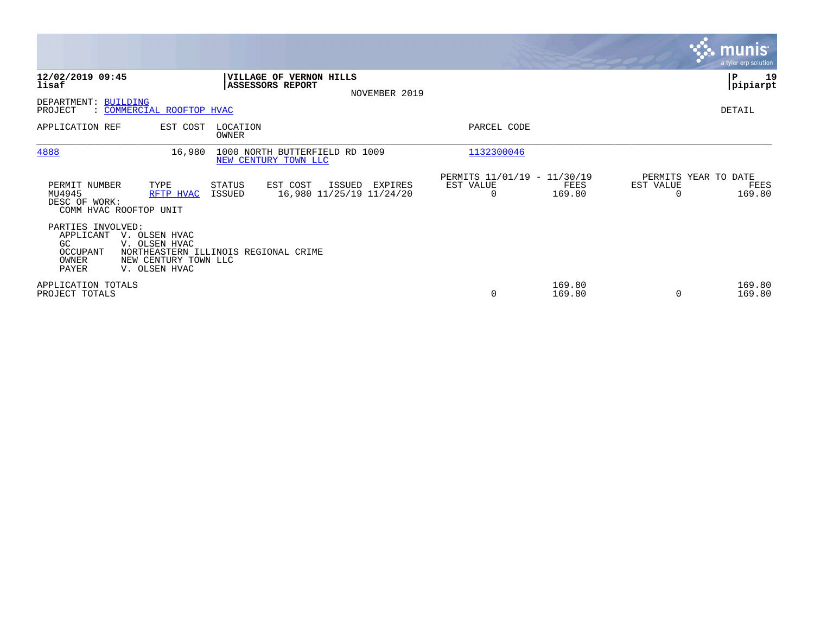|                                                                            |                                                                                                                 |                   |                                                           |               |                                               |                  |                                               | <b>munis</b><br>a tyler erp solution |
|----------------------------------------------------------------------------|-----------------------------------------------------------------------------------------------------------------|-------------------|-----------------------------------------------------------|---------------|-----------------------------------------------|------------------|-----------------------------------------------|--------------------------------------|
| 12/02/2019 09:45<br>lisaf<br>DEPARTMENT:                                   | <b>BUILDING</b>                                                                                                 |                   | <b>VILLAGE OF VERNON HILLS</b><br><b>ASSESSORS REPORT</b> | NOVEMBER 2019 |                                               |                  |                                               | 19<br>P<br> pipiarpt                 |
| PROJECT                                                                    | : COMMERCIAL ROOFTOP HVAC                                                                                       |                   |                                                           |               |                                               |                  |                                               | DETAIL                               |
| APPLICATION REF                                                            | EST COST                                                                                                        | LOCATION<br>OWNER |                                                           |               | PARCEL CODE                                   |                  |                                               |                                      |
| 4888                                                                       | 16,980                                                                                                          |                   | 1000 NORTH BUTTERFIELD RD 1009<br>NEW CENTURY TOWN LLC    |               | 1132300046                                    |                  |                                               |                                      |
| PERMIT NUMBER<br>MU4945<br>DESC OF WORK:                                   | TYPE<br>RFTP HVAC<br>COMM HVAC ROOFTOP UNIT                                                                     | STATUS<br>ISSUED  | EST COST<br>ISSUED<br>16,980 11/25/19 11/24/20            | EXPIRES       | PERMITS 11/01/19 - 11/30/19<br>EST VALUE<br>0 | FEES<br>169.80   | PERMITS YEAR TO DATE<br>EST VALUE<br>$\Omega$ | FEES<br>169.80                       |
| PARTIES INVOLVED:<br>APPLICANT<br>GC.<br><b>OCCUPANT</b><br>OWNER<br>PAYER | V. OLSEN HVAC<br>V. OLSEN HVAC<br>NORTHEASTERN ILLINOIS REGIONAL CRIME<br>NEW CENTURY TOWN LLC<br>V. OLSEN HVAC |                   |                                                           |               |                                               |                  |                                               |                                      |
| APPLICATION TOTALS<br>PROJECT TOTALS                                       |                                                                                                                 |                   |                                                           |               | 0                                             | 169.80<br>169.80 | $\Omega$                                      | 169.80<br>169.80                     |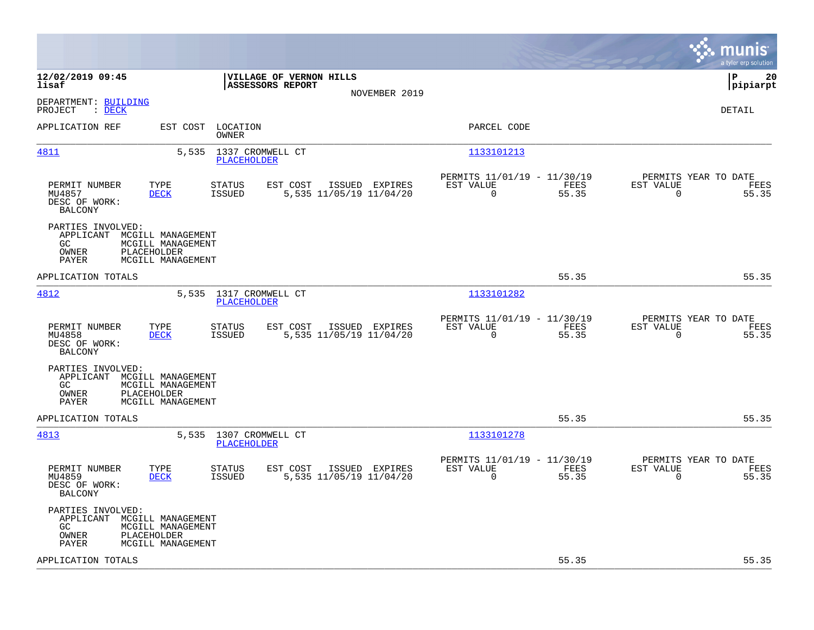|                                                                                                                                                                              |                                                                          | munis<br>a tyler erp solution                                     |
|------------------------------------------------------------------------------------------------------------------------------------------------------------------------------|--------------------------------------------------------------------------|-------------------------------------------------------------------|
| 12/02/2019 09:45<br>VILLAGE OF VERNON HILLS<br>lisaf<br>ASSESSORS REPORT<br>NOVEMBER 2019                                                                                    |                                                                          | P<br>20<br> pipiarpt                                              |
| DEPARTMENT: BUILDING<br>$\therefore$ DECK<br>PROJECT                                                                                                                         |                                                                          | <b>DETAIL</b>                                                     |
| APPLICATION REF<br>EST COST LOCATION<br>OWNER                                                                                                                                | PARCEL CODE                                                              |                                                                   |
| 4811<br>5,535<br>1337 CROMWELL CT<br><b>PLACEHOLDER</b>                                                                                                                      | 1133101213                                                               |                                                                   |
| PERMIT NUMBER<br>TYPE<br><b>STATUS</b><br>EST COST<br>ISSUED EXPIRES<br>MU4857<br><b>DECK</b><br><b>ISSUED</b><br>5,535 11/05/19 11/04/20<br>DESC OF WORK:<br><b>BALCONY</b> | PERMITS 11/01/19 - 11/30/19<br>EST VALUE<br>FEES<br>$\mathbf 0$<br>55.35 | PERMITS YEAR TO DATE<br>EST VALUE<br>FEES<br>$\mathbf 0$<br>55.35 |
| PARTIES INVOLVED:<br>APPLICANT<br>MCGILL MANAGEMENT<br>GC.<br>MCGILL MANAGEMENT<br>OWNER<br><b>PLACEHOLDER</b><br>PAYER<br>MCGILL MANAGEMENT                                 |                                                                          |                                                                   |
| APPLICATION TOTALS                                                                                                                                                           | 55.35                                                                    | 55.35                                                             |
| 4812<br>5,535 1317 CROMWELL CT<br><b>PLACEHOLDER</b>                                                                                                                         | 1133101282                                                               |                                                                   |
| PERMIT NUMBER<br>TYPE<br><b>STATUS</b><br>EST COST<br>ISSUED EXPIRES<br><b>ISSUED</b><br>5,535 11/05/19 11/04/20<br>MU4858<br><b>DECK</b><br>DESC OF WORK:<br><b>BALCONY</b> | PERMITS 11/01/19 - 11/30/19<br>EST VALUE<br>FEES<br>0<br>55.35           | PERMITS YEAR TO DATE<br>EST VALUE<br>FEES<br>$\mathbf 0$<br>55.35 |
| PARTIES INVOLVED:<br>APPLICANT MCGILL MANAGEMENT<br>GC<br>MCGILL MANAGEMENT<br>PLACEHOLDER<br>OWNER<br>PAYER<br>MCGILL MANAGEMENT                                            |                                                                          |                                                                   |
| APPLICATION TOTALS                                                                                                                                                           | 55.35                                                                    | 55.35                                                             |
| 4813<br>5,535 1307 CROMWELL CT<br>PLACEHOLDER                                                                                                                                | 1133101278                                                               |                                                                   |
| TYPE<br>EST COST<br>ISSUED EXPIRES<br>PERMIT NUMBER<br><b>STATUS</b><br>MU4859<br><b>DECK</b><br>ISSUED<br>5,535 11/05/19 11/04/20<br>DESC OF WORK:<br>BALCONY               | PERMITS 11/01/19 - 11/30/19<br>EST VALUE<br>FEES<br>0<br>55.35           | PERMITS YEAR TO DATE<br>EST VALUE<br>FEES<br>55.35<br>0           |
| PARTIES INVOLVED:<br>APPLICANT MCGILL MANAGEMENT<br>GC<br>MCGILL MANAGEMENT<br>PLACEHOLDER<br>OWNER<br>PAYER<br>MCGILL MANAGEMENT                                            |                                                                          |                                                                   |
| APPLICATION TOTALS                                                                                                                                                           | 55.35                                                                    | 55.35                                                             |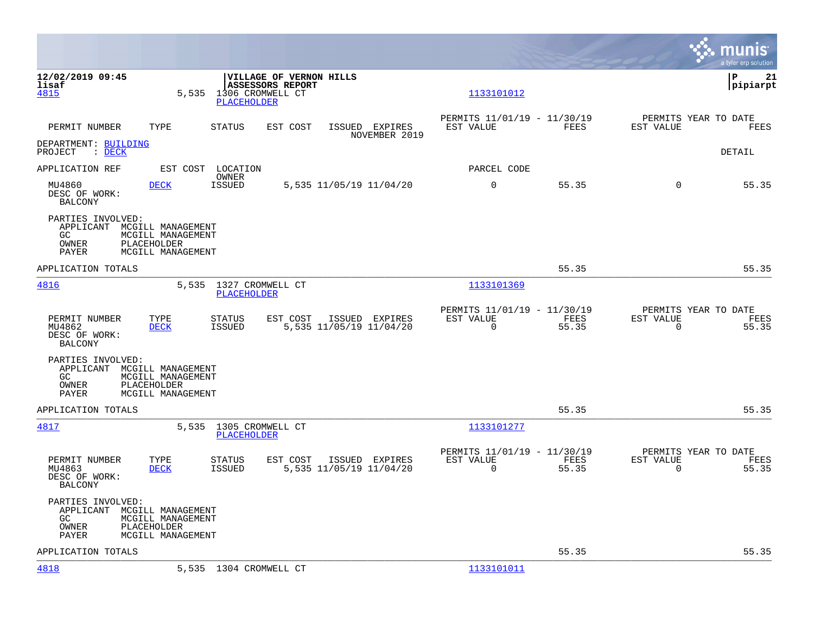|                                                                           |                                                                            |                                                                                              |          |                                           |                                                         |               |                                               | munis<br>a tyler erp solution |
|---------------------------------------------------------------------------|----------------------------------------------------------------------------|----------------------------------------------------------------------------------------------|----------|-------------------------------------------|---------------------------------------------------------|---------------|-----------------------------------------------|-------------------------------|
| 12/02/2019 09:45<br>lisaf<br>4815                                         | 5,535                                                                      | <b>VILLAGE OF VERNON HILLS</b><br><b>ASSESSORS REPORT</b><br>1306 CROMWELL CT<br>PLACEHOLDER |          |                                           | 1133101012                                              |               |                                               | lР<br>21<br> pipiarpt         |
| PERMIT NUMBER                                                             | TYPE                                                                       | STATUS                                                                                       | EST COST | ISSUED EXPIRES<br>NOVEMBER 2019           | PERMITS 11/01/19 - 11/30/19<br>EST VALUE                | FEES          | PERMITS YEAR TO DATE<br>EST VALUE             | FEES                          |
| DEPARTMENT: BUILDING<br>$\therefore$ DECK<br>PROJECT                      |                                                                            |                                                                                              |          |                                           |                                                         |               |                                               | DETAIL                        |
| APPLICATION REF                                                           | EST COST                                                                   | LOCATION<br>OWNER                                                                            |          |                                           | PARCEL CODE                                             |               |                                               |                               |
| MU4860<br>DESC OF WORK:<br><b>BALCONY</b>                                 | <b>DECK</b>                                                                | ISSUED                                                                                       |          | 5,535 11/05/19 11/04/20                   | 0                                                       | 55.35         | $\mathbf 0$                                   | 55.35                         |
| PARTIES INVOLVED:<br>APPLICANT MCGILL MANAGEMENT<br>GC.<br>OWNER<br>PAYER | MCGILL MANAGEMENT<br>PLACEHOLDER<br>MCGILL MANAGEMENT                      |                                                                                              |          |                                           |                                                         |               |                                               |                               |
| APPLICATION TOTALS                                                        |                                                                            |                                                                                              |          |                                           |                                                         | 55.35         |                                               | 55.35                         |
| 4816                                                                      | 5,535                                                                      | 1327 CROMWELL CT<br>PLACEHOLDER                                                              |          |                                           | 1133101369                                              |               |                                               |                               |
| PERMIT NUMBER<br>MU4862<br>DESC OF WORK:<br><b>BALCONY</b>                | TYPE<br><b>DECK</b>                                                        | STATUS<br><b>ISSUED</b>                                                                      | EST COST | ISSUED EXPIRES<br>5,535 11/05/19 11/04/20 | PERMITS 11/01/19 - 11/30/19<br>EST VALUE<br>$\Omega$    | FEES<br>55.35 | PERMITS YEAR TO DATE<br>EST VALUE<br>$\Omega$ | FEES<br>55.35                 |
| PARTIES INVOLVED:<br>APPLICANT MCGILL MANAGEMENT<br>GC<br>OWNER<br>PAYER  | MCGILL MANAGEMENT<br>PLACEHOLDER<br>MCGILL MANAGEMENT                      |                                                                                              |          |                                           |                                                         |               |                                               |                               |
| APPLICATION TOTALS                                                        |                                                                            |                                                                                              |          |                                           |                                                         | 55.35         |                                               | 55.35                         |
| 4817                                                                      | 5,535                                                                      | 1305 CROMWELL CT<br>PLACEHOLDER                                                              |          |                                           | 1133101277                                              |               |                                               |                               |
| PERMIT NUMBER<br>MU4863<br>DESC OF WORK:<br><b>BALCONY</b>                | TYPE<br><b>DECK</b>                                                        | STATUS<br><b>ISSUED</b>                                                                      | EST COST | ISSUED EXPIRES<br>5,535 11/05/19 11/04/20 | PERMITS 11/01/19 - 11/30/19<br>EST VALUE<br>$\mathbf 0$ | FEES<br>55.35 | PERMITS YEAR TO DATE<br>EST VALUE<br>0        | FEES<br>55.35                 |
| PARTIES INVOLVED:<br>APPLICANT<br>GC.<br>OWNER<br>PAYER                   | MCGILL MANAGEMENT<br>MCGILL MANAGEMENT<br>PLACEHOLDER<br>MCGILL MANAGEMENT |                                                                                              |          |                                           |                                                         |               |                                               |                               |
| APPLICATION TOTALS                                                        |                                                                            |                                                                                              |          |                                           |                                                         | 55.35         |                                               | 55.35                         |
| 4818                                                                      |                                                                            | 5,535 1304 CROMWELL CT                                                                       |          |                                           | 1133101011                                              |               |                                               |                               |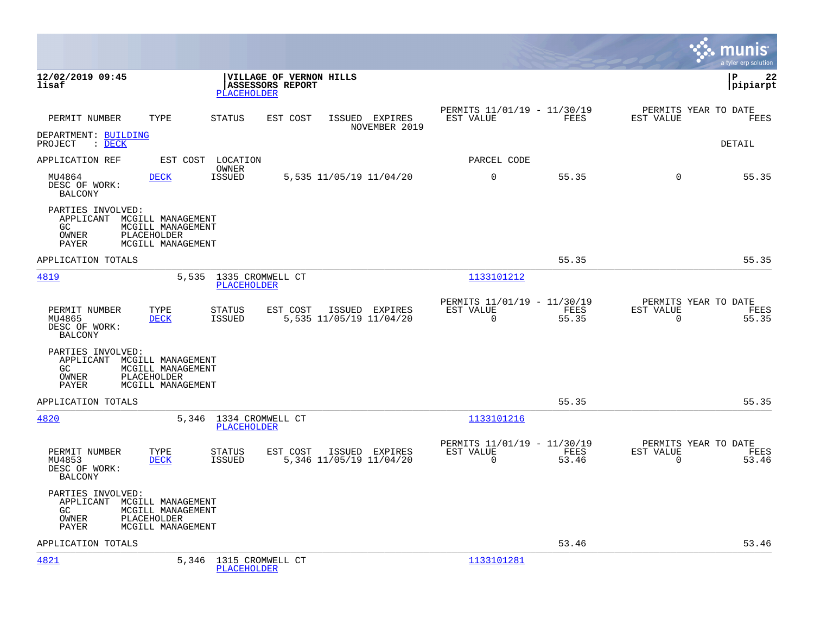|                                                                                                                                                 |                                                                          |                                                    |                                 |                                                      |               |                                               | a tyler erp solution  |
|-------------------------------------------------------------------------------------------------------------------------------------------------|--------------------------------------------------------------------------|----------------------------------------------------|---------------------------------|------------------------------------------------------|---------------|-----------------------------------------------|-----------------------|
| 12/02/2019 09:45<br>lisaf                                                                                                                       | VILLAGE OF VERNON HILLS<br><b>ASSESSORS REPORT</b><br><b>PLACEHOLDER</b> |                                                    |                                 |                                                      |               |                                               | lР<br>22<br> pipiarpt |
| PERMIT NUMBER<br>TYPE                                                                                                                           | STATUS<br>EST COST                                                       |                                                    | ISSUED EXPIRES<br>NOVEMBER 2019 | PERMITS 11/01/19 - 11/30/19<br>EST VALUE             | FEES          | PERMITS YEAR TO DATE<br>EST VALUE             | FEES                  |
| DEPARTMENT: BUILDING<br>PROJECT : DECK                                                                                                          |                                                                          |                                                    |                                 |                                                      |               |                                               | <b>DETAIL</b>         |
| APPLICATION REF                                                                                                                                 | EST COST LOCATION                                                        |                                                    |                                 | PARCEL CODE                                          |               |                                               |                       |
| MU4864<br><b>DECK</b><br>DESC OF WORK:<br>BALCONY                                                                                               | OWNER<br><b>ISSUED</b>                                                   | 5,535 11/05/19 11/04/20                            |                                 | $\mathbf 0$                                          | 55.35         | $\Omega$                                      | 55.35                 |
| PARTIES INVOLVED:<br>APPLICANT MCGILL MANAGEMENT<br>GC<br>MCGILL MANAGEMENT<br>OWNER<br>PLACEHOLDER<br>PAYER<br>MCGILL MANAGEMENT               |                                                                          |                                                    |                                 |                                                      |               |                                               |                       |
| APPLICATION TOTALS                                                                                                                              |                                                                          |                                                    |                                 |                                                      | 55.35         |                                               | 55.35                 |
| 4819                                                                                                                                            | 5,535 1335 CROMWELL CT<br><b>PLACEHOLDER</b>                             |                                                    |                                 | 1133101212                                           |               |                                               |                       |
| PERMIT NUMBER<br>TYPE<br>MU4865<br><b>DECK</b><br>DESC OF WORK:<br><b>BALCONY</b>                                                               | STATUS<br>EST COST<br>ISSUED                                             | 5,535 11/05/19 11/04/20                            | ISSUED EXPIRES                  | PERMITS 11/01/19 - 11/30/19<br>EST VALUE<br>$\Omega$ | FEES<br>55.35 | PERMITS YEAR TO DATE<br>EST VALUE<br>$\Omega$ | FEES<br>55.35         |
| PARTIES INVOLVED:<br>APPLICANT MCGILL MANAGEMENT<br>GC<br>MCGILL MANAGEMENT<br><b>PLACEHOLDER</b><br>OWNER<br>PAYER<br>MCGILL MANAGEMENT        |                                                                          |                                                    |                                 |                                                      |               |                                               |                       |
| APPLICATION TOTALS                                                                                                                              |                                                                          |                                                    |                                 |                                                      | 55.35         |                                               | 55.35                 |
| 4820                                                                                                                                            | 5,346 1334 CROMWELL CT<br>PLACEHOLDER                                    |                                                    |                                 | 1133101216                                           |               |                                               |                       |
| TYPE<br>PERMIT NUMBER<br>MU4853<br><b>DECK</b><br>DESC OF WORK:<br><b>BALCONY</b>                                                               | <b>STATUS</b><br><b>ISSUED</b>                                           | EST COST ISSUED EXPIRES<br>5,346 11/05/19 11/04/20 |                                 | PERMITS 11/01/19 - 11/30/19<br>EST VALUE<br>$\Omega$ | FEES<br>53.46 | PERMITS YEAR TO DATE<br>EST VALUE<br>$\Omega$ | FEES<br>53.46         |
| PARTIES INVOLVED:<br>APPLICANT MCGILL MANAGEMENT<br>GC<br>MCGILL MANAGEMENT<br><b>PLACEHOLDER</b><br>OWNER<br><b>PAYER</b><br>MCGILL MANAGEMENT |                                                                          |                                                    |                                 |                                                      |               |                                               |                       |
| APPLICATION TOTALS                                                                                                                              |                                                                          |                                                    |                                 |                                                      | 53.46         |                                               | 53.46                 |
| 4821                                                                                                                                            | 5,346 1315 CROMWELL CT<br><b>PLACEHOLDER</b>                             |                                                    |                                 | 1133101281                                           |               |                                               |                       |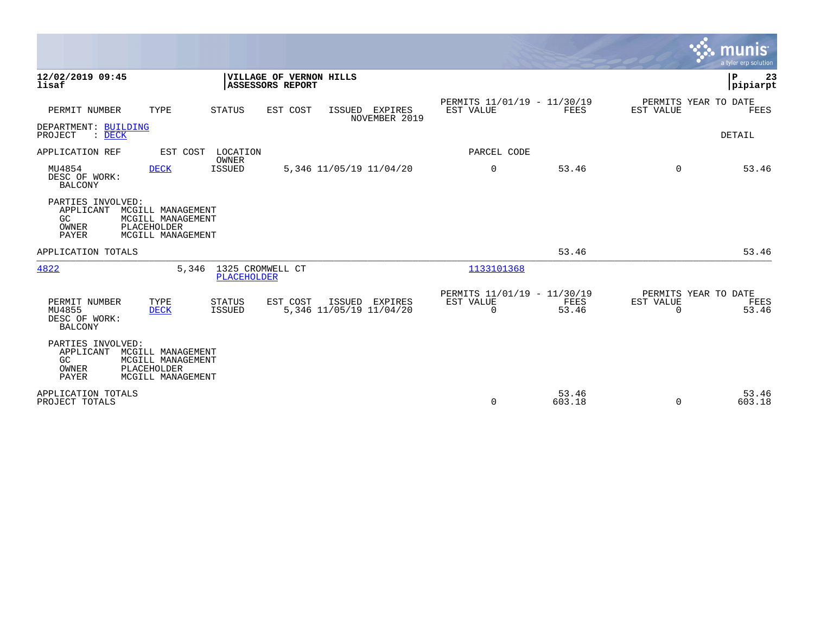|                                                                                                                                                                       |                                                                                           | munis<br>a tyler erp solution                     |
|-----------------------------------------------------------------------------------------------------------------------------------------------------------------------|-------------------------------------------------------------------------------------------|---------------------------------------------------|
| 12/02/2019 09:45<br><b>VILLAGE OF VERNON HILLS</b><br>lisaf<br><b>ASSESSORS REPORT</b>                                                                                |                                                                                           | ΙP<br>23<br> pipiarpt                             |
| PERMIT NUMBER<br>TYPE<br><b>STATUS</b><br>EST COST<br>ISSUED                                                                                                          | PERMITS 11/01/19 - 11/30/19<br>EST VALUE<br>FEES<br>EST VALUE<br>EXPIRES<br>NOVEMBER 2019 | PERMITS YEAR TO DATE<br>FEES                      |
| DEPARTMENT: BUILDING<br>PROJECT<br>$\therefore$ DECK                                                                                                                  |                                                                                           | DETAIL                                            |
| APPLICATION REF<br>EST COST LOCATION<br>OWNER                                                                                                                         | PARCEL CODE                                                                               |                                                   |
| MU4854<br><b>ISSUED</b><br>5,346 11/05/19 11/04/20<br><b>DECK</b><br>DESC OF WORK:<br><b>BALCONY</b>                                                                  | $\mathbf 0$<br>53.46                                                                      | 53.46<br>$\Omega$                                 |
| PARTIES INVOLVED:<br>APPLICANT<br>MCGILL MANAGEMENT<br>GC<br>MCGILL MANAGEMENT<br>OWNER<br>PLACEHOLDER<br>PAYER<br>MCGILL MANAGEMENT                                  |                                                                                           |                                                   |
| APPLICATION TOTALS                                                                                                                                                    | 53.46                                                                                     | 53.46                                             |
| 4822<br>5,346<br>1325 CROMWELL CT<br><b>PLACEHOLDER</b>                                                                                                               | 1133101368                                                                                |                                                   |
| PERMIT NUMBER<br>TYPE<br><b>STATUS</b><br>EST COST<br>ISSUED EXPIRES<br>5,346 11/05/19 11/04/20<br>MU4855<br>ISSUED<br><b>DECK</b><br>DESC OF WORK:<br><b>BALCONY</b> | PERMITS 11/01/19 - 11/30/19<br>EST VALUE<br>FEES<br>EST VALUE<br>53.46<br>0               | PERMITS YEAR TO DATE<br>FEES<br>53.46<br>$\Omega$ |
| PARTIES INVOLVED:<br>APPLICANT<br>MCGILL MANAGEMENT<br>GC<br>MCGILL MANAGEMENT<br>OWNER<br>PLACEHOLDER<br>PAYER<br>MCGILL MANAGEMENT                                  |                                                                                           |                                                   |
| APPLICATION TOTALS<br>PROJECT TOTALS                                                                                                                                  | 53.46<br>$\Omega$<br>603.18                                                               | 53.46<br>603.18<br>$\Omega$                       |

 $\mathcal{L}^{\text{max}}$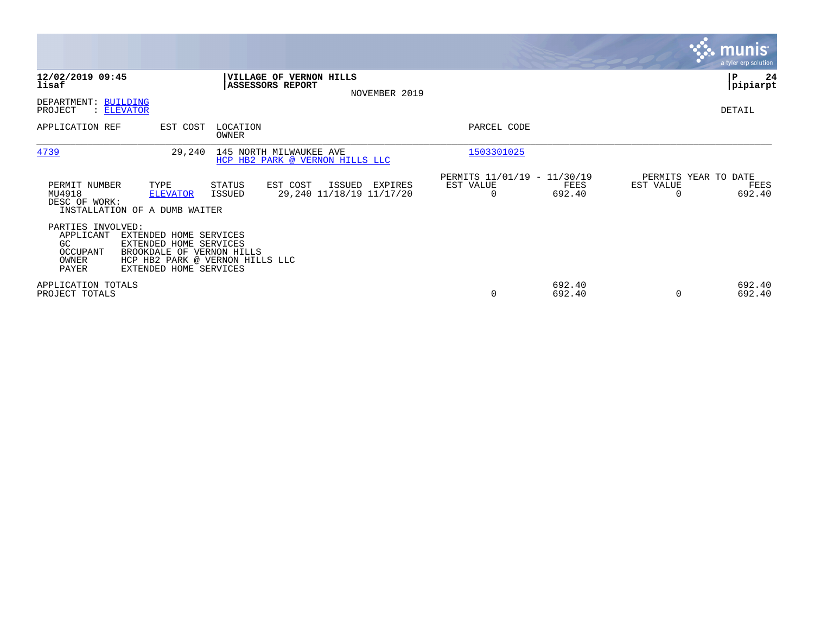|                                                                                        |                                                                                                                               |                   |                                                                                                              |               |                                                                    |                  |           | <b>munis</b><br>a tyler erp solution   |
|----------------------------------------------------------------------------------------|-------------------------------------------------------------------------------------------------------------------------------|-------------------|--------------------------------------------------------------------------------------------------------------|---------------|--------------------------------------------------------------------|------------------|-----------|----------------------------------------|
| 12/02/2019 09:45<br>lisaf<br>DEPARTMENT: BUILDING                                      |                                                                                                                               | ASSESSORS REPORT  | VILLAGE OF VERNON HILLS                                                                                      | NOVEMBER 2019 |                                                                    |                  |           | ∣P<br>24<br> pipiarpt                  |
| PROJECT<br>APPLICATION REF                                                             | : ELEVATOR<br>EST COST                                                                                                        | LOCATION<br>OWNER |                                                                                                              |               | PARCEL CODE                                                        |                  |           | DETAIL                                 |
| 4739<br>PERMIT NUMBER<br>MU4918<br>DESC OF WORK:<br>PARTIES INVOLVED:                  | 29,240<br>TYPE<br><b>ELEVATOR</b><br>INSTALLATION OF A DUMB WAITER                                                            | STATUS<br>ISSUED  | 145 NORTH MILWAUKEE AVE<br>HCP HB2 PARK @ VERNON HILLS LLC<br>EST COST<br>ISSUED<br>29,240 11/18/19 11/17/20 | EXPIRES       | 1503301025<br>PERMITS 11/01/19 - 11/30/19<br>EST VALUE<br>$\Omega$ | FEES<br>692.40   | EST VALUE | PERMITS YEAR TO DATE<br>FEES<br>692.40 |
| APPLICANT<br>GC.<br>OCCUPANT<br>OWNER<br>PAYER<br>APPLICATION TOTALS<br>PROJECT TOTALS | EXTENDED HOME SERVICES<br>EXTENDED HOME SERVICES<br>BROOKDALE OF<br>HCP HB2 PARK @ VERNON HILLS LLC<br>EXTENDED HOME SERVICES | VERNON HILLS      |                                                                                                              |               | 0                                                                  | 692.40<br>692.40 |           | 692.40<br>692.40                       |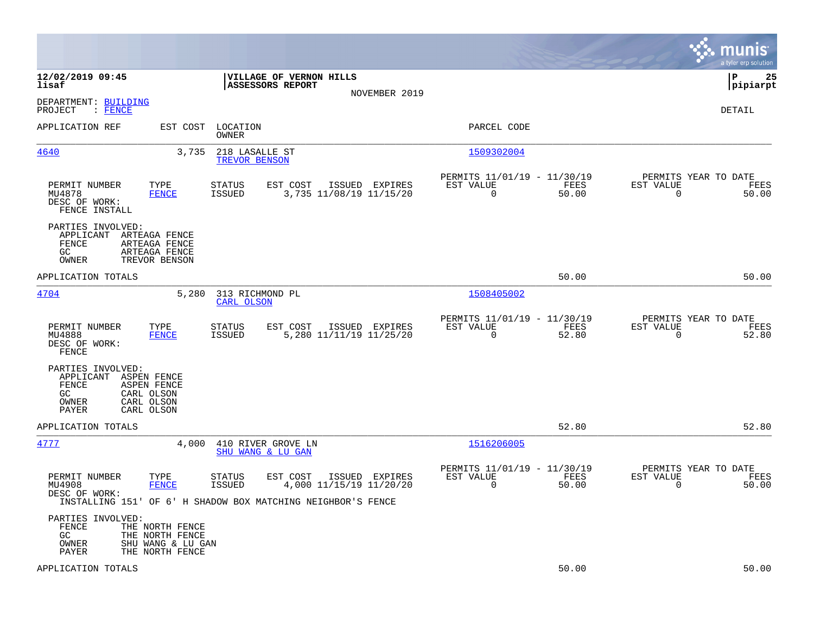|                                                                                                                                                    |                                                                                                                                           |                                                                          | munis<br>a tyler erp solution                                     |
|----------------------------------------------------------------------------------------------------------------------------------------------------|-------------------------------------------------------------------------------------------------------------------------------------------|--------------------------------------------------------------------------|-------------------------------------------------------------------|
| 12/02/2019 09:45<br>lisaf                                                                                                                          | VILLAGE OF VERNON HILLS<br><b>ASSESSORS REPORT</b><br>NOVEMBER 2019                                                                       |                                                                          | 25<br>P<br> pipiarpt                                              |
| DEPARTMENT: BUILDING<br>PROJECT<br>: FENCE                                                                                                         |                                                                                                                                           |                                                                          | DETAIL                                                            |
| APPLICATION REF<br>EST COST                                                                                                                        | LOCATION<br>OWNER                                                                                                                         | PARCEL CODE                                                              |                                                                   |
| 4640<br>3,735                                                                                                                                      | 218 LASALLE ST<br>TREVOR BENSON                                                                                                           | 1509302004                                                               |                                                                   |
| TYPE<br>PERMIT NUMBER<br>MU4878<br><b>FENCE</b><br>DESC OF WORK:<br>FENCE INSTALL                                                                  | EST COST<br>ISSUED EXPIRES<br>STATUS<br>3,735 11/08/19 11/15/20<br>ISSUED                                                                 | PERMITS 11/01/19 - 11/30/19<br>EST VALUE<br>FEES<br>$\mathbf 0$<br>50.00 | PERMITS YEAR TO DATE<br>EST VALUE<br>FEES<br>$\mathbf 0$<br>50.00 |
| PARTIES INVOLVED:<br>APPLICANT<br>ARTEAGA FENCE<br>FENCE<br>ARTEAGA FENCE<br>GC<br>ARTEAGA FENCE<br>OWNER<br>TREVOR BENSON                         |                                                                                                                                           |                                                                          |                                                                   |
| APPLICATION TOTALS                                                                                                                                 |                                                                                                                                           | 50.00                                                                    | 50.00                                                             |
| 4704<br>5,280                                                                                                                                      | 313 RICHMOND PL<br><b>CARL OLSON</b>                                                                                                      | 1508405002                                                               |                                                                   |
| PERMIT NUMBER<br>TYPE<br>MU4888<br><b>FENCE</b><br>DESC OF WORK:<br>FENCE                                                                          | EST COST<br><b>STATUS</b><br>ISSUED EXPIRES<br>5,280 11/11/19 11/25/20<br>ISSUED                                                          | PERMITS 11/01/19 - 11/30/19<br>EST VALUE<br>FEES<br>$\mathbf 0$<br>52.80 | PERMITS YEAR TO DATE<br>EST VALUE<br>FEES<br>$\mathbf 0$<br>52.80 |
| PARTIES INVOLVED:<br>APPLICANT ASPEN FENCE<br>FENCE<br><b>ASPEN FENCE</b><br>GC<br>CARL OLSON<br>OWNER<br>CARL OLSON<br><b>PAYER</b><br>CARL OLSON |                                                                                                                                           |                                                                          |                                                                   |
| APPLICATION TOTALS                                                                                                                                 |                                                                                                                                           | 52.80                                                                    | 52.80                                                             |
| 4777<br>4,000                                                                                                                                      | 410 RIVER GROVE LN<br>SHU WANG & LU GAN                                                                                                   | 1516206005                                                               |                                                                   |
| PERMIT NUMBER<br>TYPE<br>MU4908<br><b>FENCE</b><br>DESC OF WORK:                                                                                   | STATUS<br>EST COST<br>ISSUED EXPIRES<br>4,000 11/15/19 11/20/20<br>ISSUED<br>INSTALLING 151' OF 6' H SHADOW BOX MATCHING NEIGHBOR'S FENCE | PERMITS 11/01/19 - 11/30/19<br>EST VALUE<br>FEES<br>0<br>50.00           | PERMITS YEAR TO DATE<br>EST VALUE<br>FEES<br>$\mathbf 0$<br>50.00 |
| PARTIES INVOLVED:<br>FENCE<br>THE NORTH FENCE<br>GC<br>THE NORTH FENCE<br>OWNER<br>SHU WANG & LU GAN<br>PAYER<br>THE NORTH FENCE                   |                                                                                                                                           |                                                                          |                                                                   |
| APPLICATION TOTALS                                                                                                                                 |                                                                                                                                           | 50.00                                                                    | 50.00                                                             |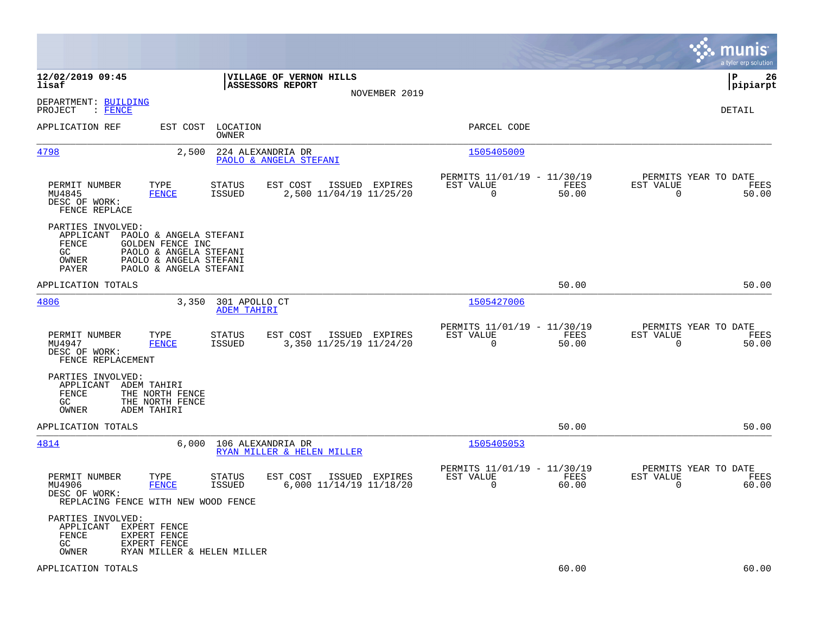|                                                                                                                                                                                             |                                                                                         |                                                                          | munis<br>a tyler erp solution                                     |
|---------------------------------------------------------------------------------------------------------------------------------------------------------------------------------------------|-----------------------------------------------------------------------------------------|--------------------------------------------------------------------------|-------------------------------------------------------------------|
| 12/02/2019 09:45<br>lisaf                                                                                                                                                                   | VILLAGE OF VERNON HILLS<br>ASSESSORS REPORT<br>NOVEMBER 2019                            |                                                                          | lР<br>26<br> pipiarpt                                             |
| DEPARTMENT: BUILDING<br>PROJECT<br>$\therefore$ FENCE                                                                                                                                       |                                                                                         |                                                                          | <b>DETAIL</b>                                                     |
| APPLICATION REF                                                                                                                                                                             | EST COST LOCATION<br><b>OWNER</b>                                                       | PARCEL CODE                                                              |                                                                   |
| 4798                                                                                                                                                                                        | 2,500<br>224 ALEXANDRIA DR<br>PAOLO & ANGELA STEFANI                                    | 1505405009                                                               |                                                                   |
| PERMIT NUMBER<br>TYPE<br>MU4845<br><b>FENCE</b><br>DESC OF WORK:<br>FENCE REPLACE                                                                                                           | EST COST<br><b>STATUS</b><br>ISSUED EXPIRES<br><b>ISSUED</b><br>2,500 11/04/19 11/25/20 | PERMITS 11/01/19 - 11/30/19<br>EST VALUE<br>FEES<br>0<br>50.00           | PERMITS YEAR TO DATE<br>EST VALUE<br>FEES<br>0<br>50.00           |
| PARTIES INVOLVED:<br>APPLICANT<br>PAOLO & ANGELA STEFANI<br>FENCE<br>GOLDEN FENCE INC<br>PAOLO & ANGELA STEFANI<br>GC<br>PAOLO & ANGELA STEFANI<br>OWNER<br>PAYER<br>PAOLO & ANGELA STEFANI |                                                                                         |                                                                          |                                                                   |
| APPLICATION TOTALS                                                                                                                                                                          |                                                                                         | 50.00                                                                    | 50.00                                                             |
| 4806                                                                                                                                                                                        | 3,350<br>301 APOLLO CT<br><b>ADEM TAHIRI</b>                                            | 1505427006                                                               |                                                                   |
| TYPE<br>PERMIT NUMBER<br>MU4947<br><b>FENCE</b><br>DESC OF WORK:<br>FENCE REPLACEMENT                                                                                                       | <b>STATUS</b><br>EST COST<br>ISSUED EXPIRES<br><b>ISSUED</b><br>3,350 11/25/19 11/24/20 | PERMITS 11/01/19 - 11/30/19<br>EST VALUE<br>FEES<br>$\mathbf 0$<br>50.00 | PERMITS YEAR TO DATE<br>EST VALUE<br>FEES<br>$\mathbf 0$<br>50.00 |
| PARTIES INVOLVED:<br>ADEM TAHIRI<br>APPLICANT<br>FENCE<br>THE NORTH FENCE<br>GC<br>THE NORTH FENCE<br>OWNER<br>ADEM TAHIRI                                                                  |                                                                                         |                                                                          |                                                                   |
| APPLICATION TOTALS                                                                                                                                                                          |                                                                                         | 50.00                                                                    | 50.00                                                             |
| 4814                                                                                                                                                                                        | 6,000<br>106 ALEXANDRIA DR<br>RYAN MILLER & HELEN MILLER                                | 1505405053                                                               |                                                                   |
| PERMIT NUMBER<br>TYPE<br>MU4906<br><b>FENCE</b><br>DESC OF WORK:<br>REPLACING FENCE WITH NEW WOOD FENCE                                                                                     | <b>STATUS</b><br>EST COST<br>ISSUED EXPIRES<br><b>ISSUED</b><br>6,000 11/14/19 11/18/20 | PERMITS 11/01/19 - 11/30/19<br>EST VALUE<br>FEES<br>$\Omega$<br>60.00    | PERMITS YEAR TO DATE<br>EST VALUE<br>FEES<br>$\Omega$<br>60.00    |
| PARTIES INVOLVED:<br>APPLICANT<br>EXPERT FENCE<br>FENCE<br>EXPERT FENCE<br>GC<br>EXPERT FENCE<br>OWNER                                                                                      | RYAN MILLER & HELEN MILLER                                                              |                                                                          |                                                                   |
| APPLICATION TOTALS                                                                                                                                                                          |                                                                                         | 60.00                                                                    | 60.00                                                             |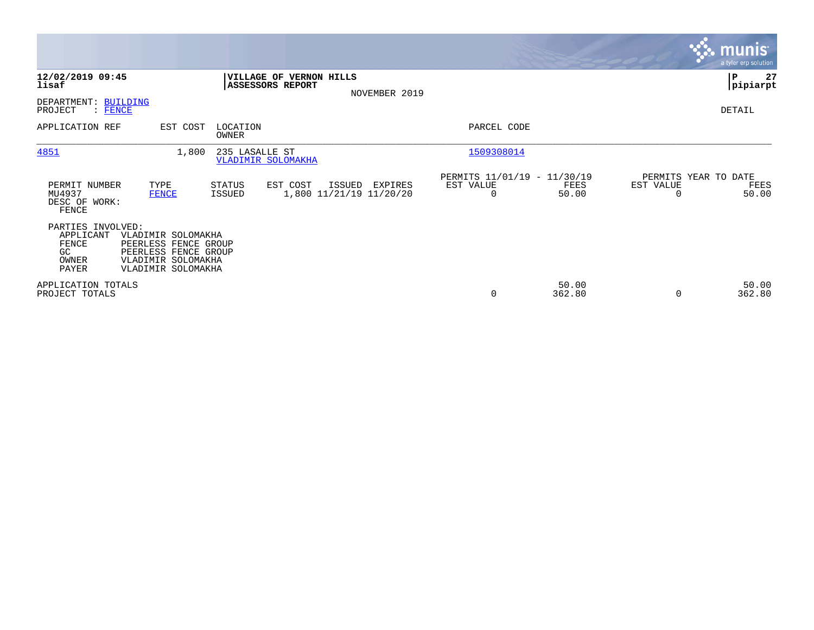|                                                                 |                                                                                                                |                   |                                             |        |                                    |                                                      |                 |           | <b>munis</b><br>a tyler erp solution  |
|-----------------------------------------------------------------|----------------------------------------------------------------------------------------------------------------|-------------------|---------------------------------------------|--------|------------------------------------|------------------------------------------------------|-----------------|-----------|---------------------------------------|
| 12/02/2019 09:45<br>lisaf<br>DEPARTMENT: BUILDING               |                                                                                                                |                   | VILLAGE OF VERNON HILLS<br>ASSESSORS REPORT |        | NOVEMBER 2019                      |                                                      |                 |           | ∣P<br>27<br> pipiarpt                 |
| PROJECT<br>: FENCE<br>APPLICATION REF                           | EST COST                                                                                                       | LOCATION<br>OWNER |                                             |        |                                    | PARCEL CODE                                          |                 |           | DETAIL                                |
| 4851                                                            | 1,800                                                                                                          | 235 LASALLE ST    | VLADIMIR SOLOMAKHA                          |        |                                    | 1509308014                                           |                 |           |                                       |
| PERMIT NUMBER<br>MU4937<br>DESC OF WORK:<br>FENCE               | TYPE<br><b>FENCE</b>                                                                                           | STATUS<br>ISSUED  | EST COST                                    | ISSUED | EXPIRES<br>1,800 11/21/19 11/20/20 | PERMITS 11/01/19 - 11/30/19<br>EST VALUE<br>$\Omega$ | FEES<br>50.00   | EST VALUE | PERMITS YEAR TO DATE<br>FEES<br>50.00 |
| PARTIES INVOLVED:<br>APPLICANT<br>FENCE<br>GC<br>OWNER<br>PAYER | VLADIMIR SOLOMAKHA<br>PEERLESS FENCE GROUP<br>PEERLESS FENCE GROUP<br>VLADIMIR SOLOMAKHA<br>VLADIMIR SOLOMAKHA |                   |                                             |        |                                    |                                                      |                 |           |                                       |
| APPLICATION TOTALS<br>PROJECT TOTALS                            |                                                                                                                |                   |                                             |        |                                    | 0                                                    | 50.00<br>362.80 | $\Omega$  | 50.00<br>362.80                       |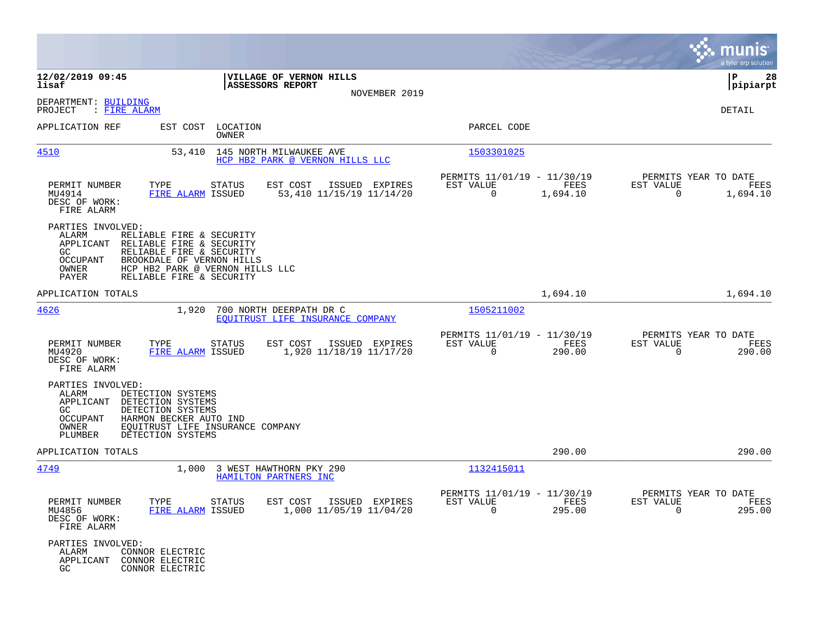|                                                                                                                                                                                                                                 |                                                                                              |                                                                          | munis<br>a tyler erp solution                                      |
|---------------------------------------------------------------------------------------------------------------------------------------------------------------------------------------------------------------------------------|----------------------------------------------------------------------------------------------|--------------------------------------------------------------------------|--------------------------------------------------------------------|
| 12/02/2019 09:45<br>lisaf                                                                                                                                                                                                       | VILLAGE OF VERNON HILLS<br>ASSESSORS REPORT                                                  |                                                                          | ΙP<br>28<br> pipiarpt                                              |
| DEPARTMENT: BUILDING<br>PROJECT<br>: FIRE ALARM                                                                                                                                                                                 | NOVEMBER 2019                                                                                |                                                                          | DETAIL                                                             |
| APPLICATION REF<br>EST COST                                                                                                                                                                                                     | LOCATION<br>OWNER                                                                            | PARCEL CODE                                                              |                                                                    |
| 4510<br>53,410                                                                                                                                                                                                                  | 145 NORTH MILWAUKEE AVE<br>HCP HB2 PARK @ VERNON HILLS LLC                                   | 1503301025                                                               |                                                                    |
| PERMIT NUMBER<br>TYPE<br>MU4914<br>DESC OF WORK:<br>FIRE ALARM                                                                                                                                                                  | EST COST<br>ISSUED EXPIRES<br><b>STATUS</b><br>53,410 11/15/19 11/14/20<br>FIRE ALARM ISSUED | PERMITS 11/01/19 - 11/30/19<br>EST VALUE<br>FEES<br>$\Omega$<br>1,694.10 | PERMITS YEAR TO DATE<br>EST VALUE<br>FEES<br>$\Omega$<br>1,694.10  |
| PARTIES INVOLVED:<br>ALARM<br>RELIABLE FIRE & SECURITY<br>APPLICANT<br>RELIABLE FIRE & SECURITY<br>GC<br>RELIABLE FIRE & SECURITY<br><b>OCCUPANT</b><br>BROOKDALE OF VERNON HILLS<br>OWNER<br>PAYER<br>RELIABLE FIRE & SECURITY | HCP HB2 PARK @ VERNON HILLS LLC                                                              |                                                                          |                                                                    |
| APPLICATION TOTALS                                                                                                                                                                                                              |                                                                                              | 1,694.10                                                                 | 1,694.10                                                           |
| 4626<br>1,920                                                                                                                                                                                                                   | 700 NORTH DEERPATH DR C<br>EOUITRUST LIFE INSURANCE COMPANY                                  | 1505211002                                                               |                                                                    |
| PERMIT NUMBER<br>TYPE<br>MU4920<br>DESC OF WORK:<br>FIRE ALARM                                                                                                                                                                  | <b>STATUS</b><br>EST COST<br>ISSUED EXPIRES<br>1,920 11/18/19 11/17/20<br>FIRE ALARM ISSUED  | PERMITS 11/01/19 - 11/30/19<br>EST VALUE<br>FEES<br>0<br>290.00          | PERMITS YEAR TO DATE<br>EST VALUE<br>FEES<br>$\mathbf 0$<br>290.00 |
| PARTIES INVOLVED:<br>ALARM<br>DETECTION SYSTEMS<br>APPLICANT<br>DETECTION SYSTEMS<br>GC.<br>DETECTION SYSTEMS<br><b>OCCUPANT</b><br>HARMON BECKER AUTO IND<br>OWNER<br>PLUMBER<br>DETECTION SYSTEMS                             | EQUITRUST LIFE INSURANCE COMPANY                                                             |                                                                          |                                                                    |
| APPLICATION TOTALS                                                                                                                                                                                                              |                                                                                              | 290.00                                                                   | 290.00                                                             |
| 4749<br>1,000                                                                                                                                                                                                                   | 3 WEST HAWTHORN PKY 290<br>HAMILTON PARTNERS INC                                             | 1132415011                                                               |                                                                    |
| PERMIT NUMBER<br>TYPE<br>MU4856<br>DESC OF WORK:<br>FIRE ALARM                                                                                                                                                                  | <b>STATUS</b><br>EST COST<br>ISSUED EXPIRES<br>1,000 11/05/19 11/04/20<br>FIRE ALARM ISSUED  | PERMITS 11/01/19 - 11/30/19<br>EST VALUE<br>FEES<br>$\Omega$<br>295.00   | PERMITS YEAR TO DATE<br>EST VALUE<br>FEES<br>$\Omega$<br>295.00    |
| PARTIES INVOLVED:<br>ALARM<br>CONNOR ELECTRIC<br>APPLICANT<br>CONNOR ELECTRIC<br>GC<br>CONNOR ELECTRIC                                                                                                                          |                                                                                              |                                                                          |                                                                    |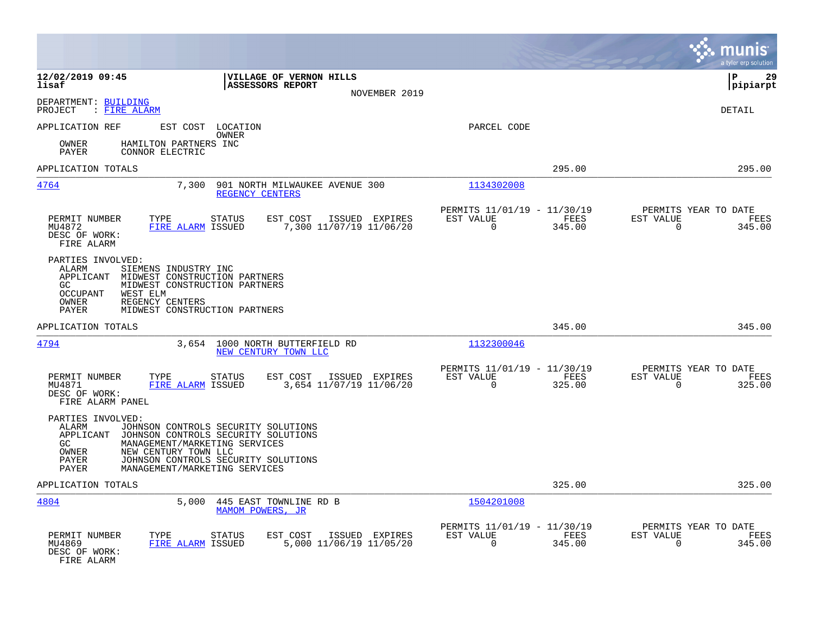|                                                                                         |                                                                                                                                                                                                             |                                                  |                                     |                |                                                         |                |                                               | munis<br>a tyler erp solution |
|-----------------------------------------------------------------------------------------|-------------------------------------------------------------------------------------------------------------------------------------------------------------------------------------------------------------|--------------------------------------------------|-------------------------------------|----------------|---------------------------------------------------------|----------------|-----------------------------------------------|-------------------------------|
| 12/02/2019 09:45<br>lisaf                                                               |                                                                                                                                                                                                             | ASSESSORS REPORT                                 | VILLAGE OF VERNON HILLS             | NOVEMBER 2019  |                                                         |                |                                               | l P<br>29<br> pipiarpt        |
| DEPARTMENT: BUILDING<br>PROJECT                                                         | : FIRE ALARM                                                                                                                                                                                                |                                                  |                                     |                |                                                         |                |                                               | <b>DETAIL</b>                 |
| APPLICATION REF                                                                         |                                                                                                                                                                                                             | EST COST LOCATION<br>OWNER                       |                                     |                | PARCEL CODE                                             |                |                                               |                               |
| OWNER<br><b>PAYER</b>                                                                   | HAMILTON PARTNERS INC<br>CONNOR ELECTRIC                                                                                                                                                                    |                                                  |                                     |                |                                                         |                |                                               |                               |
| APPLICATION TOTALS                                                                      |                                                                                                                                                                                                             |                                                  |                                     |                |                                                         | 295.00         |                                               | 295.00                        |
| 4764                                                                                    | 7,300                                                                                                                                                                                                       | REGENCY CENTERS                                  | 901 NORTH MILWAUKEE AVENUE 300      |                | 1134302008                                              |                |                                               |                               |
| PERMIT NUMBER<br>MU4872<br>DESC OF WORK:<br>FIRE ALARM                                  | TYPE<br>FIRE ALARM ISSUED                                                                                                                                                                                   | STATUS                                           | EST COST<br>7,300 11/07/19 11/06/20 | ISSUED EXPIRES | PERMITS 11/01/19 - 11/30/19<br>EST VALUE<br>$\mathbf 0$ | FEES<br>345.00 | PERMITS YEAR TO DATE<br>EST VALUE<br>$\Omega$ | FEES<br>345.00                |
| PARTIES INVOLVED:<br>ALARM<br>APPLICANT<br>GC.<br><b>OCCUPANT</b><br>OWNER<br>PAYER     | SIEMENS INDUSTRY INC<br>MIDWEST CONSTRUCTION PARTNERS<br>MIDWEST CONSTRUCTION PARTNERS<br>WEST ELM<br>REGENCY CENTERS<br>MIDWEST CONSTRUCTION PARTNERS                                                      |                                                  |                                     |                |                                                         |                |                                               |                               |
| APPLICATION TOTALS                                                                      |                                                                                                                                                                                                             |                                                  |                                     |                |                                                         | 345.00         |                                               | 345.00                        |
| 4794                                                                                    |                                                                                                                                                                                                             | NEW CENTURY TOWN LLC                             | 3,654 1000 NORTH BUTTERFIELD RD     |                | 1132300046                                              |                |                                               |                               |
| PERMIT NUMBER<br>MU4871<br>DESC OF WORK:<br>FIRE ALARM PANEL                            | TYPE<br>FIRE ALARM ISSUED                                                                                                                                                                                   | <b>STATUS</b>                                    | EST COST<br>3,654 11/07/19 11/06/20 | ISSUED EXPIRES | PERMITS 11/01/19 - 11/30/19<br>EST VALUE<br>$\Omega$    | FEES<br>325.00 | PERMITS YEAR TO DATE<br>EST VALUE<br>$\Omega$ | FEES<br>325.00                |
| PARTIES INVOLVED:<br>ALARM<br>APPLICANT<br>GC.<br><b>OWNER</b><br><b>PAYER</b><br>PAYER | JOHNSON CONTROLS SECURITY SOLUTIONS<br>JOHNSON CONTROLS SECURITY SOLUTIONS<br>MANAGEMENT/MARKETING SERVICES<br>NEW CENTURY TOWN LLC<br>JOHNSON CONTROLS SECURITY SOLUTIONS<br>MANAGEMENT/MARKETING SERVICES |                                                  |                                     |                |                                                         |                |                                               |                               |
| APPLICATION TOTALS                                                                      |                                                                                                                                                                                                             |                                                  |                                     |                |                                                         | 325.00         |                                               | 325.00                        |
| 4804                                                                                    |                                                                                                                                                                                                             | 5,000 445 EAST TOWNLINE RD B<br>MAMOM POWERS, JR |                                     |                | 1504201008                                              |                |                                               |                               |
| PERMIT NUMBER<br>MU4869<br>DESC OF WORK:<br>FIRE ALARM                                  | TYPE<br>FIRE ALARM ISSUED                                                                                                                                                                                   | <b>STATUS</b>                                    | EST COST<br>5,000 11/06/19 11/05/20 | ISSUED EXPIRES | PERMITS 11/01/19 - 11/30/19<br>EST VALUE<br>$\Omega$    | FEES<br>345.00 | PERMITS YEAR TO DATE<br>EST VALUE<br>$\Omega$ | FEES<br>345.00                |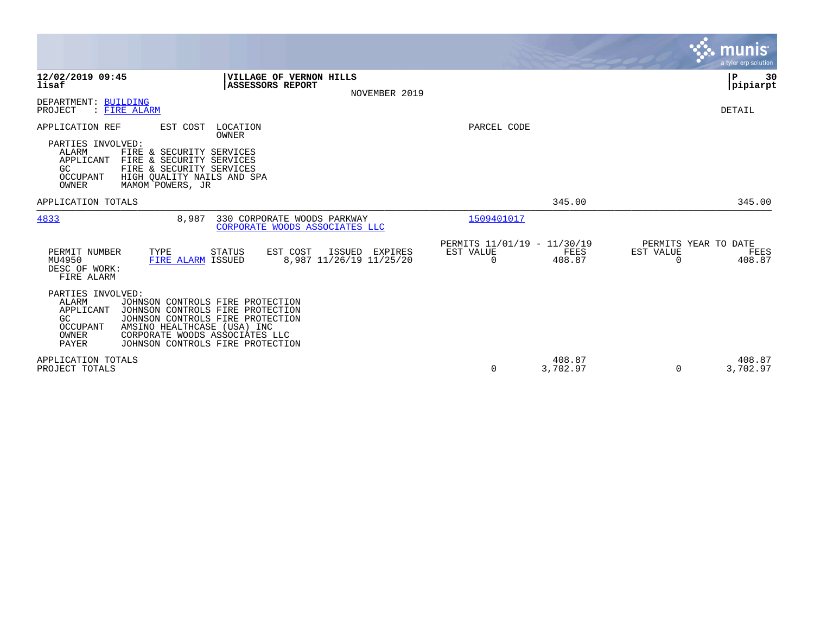|                                                                                                                                                                                                                                         |                                                                                                                                                                                |                                                      |                    | <b>munis</b><br>a tyler erp solution                                |    |
|-----------------------------------------------------------------------------------------------------------------------------------------------------------------------------------------------------------------------------------------|--------------------------------------------------------------------------------------------------------------------------------------------------------------------------------|------------------------------------------------------|--------------------|---------------------------------------------------------------------|----|
| 12/02/2019 09:45<br>lisaf                                                                                                                                                                                                               | VILLAGE OF VERNON HILLS<br>ASSESSORS REPORT<br>NOVEMBER 2019                                                                                                                   |                                                      |                    | P<br> pipiarpt                                                      | 30 |
| DEPARTMENT: BUILDING<br>PROJECT<br>: FIRE ALARM                                                                                                                                                                                         |                                                                                                                                                                                |                                                      |                    | DETAIL                                                              |    |
| APPLICATION REF<br>EST COST<br>PARTIES INVOLVED:<br>ALARM<br>FIRE & SECURITY SERVICES<br>APPLICANT<br>FIRE & SECURITY SERVICES<br>GC<br>FIRE & SECURITY SERVICES<br>HIGH QUALITY NAILS AND SPA<br>OCCUPANT<br>OWNER<br>MAMOM POWERS, JR | LOCATION<br>OWNER                                                                                                                                                              | PARCEL CODE                                          |                    |                                                                     |    |
| APPLICATION TOTALS                                                                                                                                                                                                                      |                                                                                                                                                                                |                                                      | 345.00             | 345.00                                                              |    |
| 4833<br>8,987                                                                                                                                                                                                                           | 330 CORPORATE WOODS PARKWAY<br>CORPORATE WOODS ASSOCIATES LLC                                                                                                                  | 1509401017                                           |                    |                                                                     |    |
| PERMIT NUMBER<br>TYPE<br>MU4950<br>FIRE ALARM ISSUED<br>DESC OF WORK:<br>FIRE ALARM                                                                                                                                                     | <b>STATUS</b><br>EST COST<br>ISSUED EXPIRES<br>8,987 11/26/19 11/25/20                                                                                                         | PERMITS 11/01/19 - 11/30/19<br>EST VALUE<br>$\Omega$ | FEES<br>408.87     | PERMITS YEAR TO DATE<br>EST VALUE<br>FEES<br>408.87<br><sup>0</sup> |    |
| PARTIES INVOLVED:<br>ALARM<br>APPLICANT<br>GC<br>OCCUPANT<br>AMSINO HEALTHCASE (USA) INC<br>OWNER<br><b>PAYER</b>                                                                                                                       | JOHNSON CONTROLS FIRE PROTECTION<br>JOHNSON CONTROLS FIRE PROTECTION<br>JOHNSON CONTROLS FIRE PROTECTION<br>CORPORATE WOODS ASSOCIATES LLC<br>JOHNSON CONTROLS FIRE PROTECTION |                                                      |                    |                                                                     |    |
| APPLICATION TOTALS<br>PROJECT TOTALS                                                                                                                                                                                                    |                                                                                                                                                                                | 0                                                    | 408.87<br>3,702.97 | 408.87<br>3,702.97<br>$\Omega$                                      |    |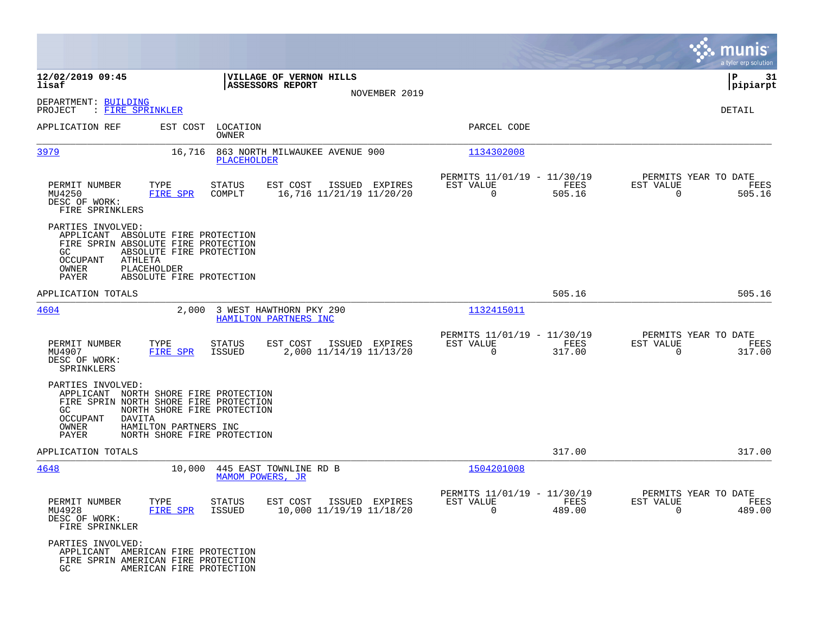|                                                                                                                                                                                                                                            |                                                                                  |                                                                           | munis<br>a tyler erp solution                                   |
|--------------------------------------------------------------------------------------------------------------------------------------------------------------------------------------------------------------------------------------------|----------------------------------------------------------------------------------|---------------------------------------------------------------------------|-----------------------------------------------------------------|
| 12/02/2019 09:45<br>lisaf                                                                                                                                                                                                                  | VILLAGE OF VERNON HILLS<br><b>ASSESSORS REPORT</b>                               |                                                                           | 31<br>IΡ<br> pipiarpt                                           |
| DEPARTMENT: BUILDING<br>PROJECT<br>: FIRE SPRINKLER                                                                                                                                                                                        | NOVEMBER 2019                                                                    |                                                                           | DETAIL                                                          |
| APPLICATION REF<br>EST COST                                                                                                                                                                                                                | LOCATION<br>OWNER                                                                | PARCEL CODE                                                               |                                                                 |
| 3979<br>16,716                                                                                                                                                                                                                             | 863 NORTH MILWAUKEE AVENUE 900<br>PLACEHOLDER                                    | 1134302008                                                                |                                                                 |
| PERMIT NUMBER<br>TYPE<br>MU4250<br><b>FIRE SPR</b><br>DESC OF WORK:<br>FIRE SPRINKLERS                                                                                                                                                     | STATUS<br>EST COST<br>ISSUED EXPIRES<br>16,716 11/21/19 11/20/20<br>COMPLT       | PERMITS 11/01/19 - 11/30/19<br>EST VALUE<br>FEES<br>$\mathbf 0$<br>505.16 | PERMITS YEAR TO DATE<br>EST VALUE<br>FEES<br>$\Omega$<br>505.16 |
| PARTIES INVOLVED:<br>APPLICANT ABSOLUTE FIRE PROTECTION<br>FIRE SPRIN ABSOLUTE FIRE PROTECTION<br>GC.<br>ABSOLUTE FIRE PROTECTION<br>OCCUPANT<br>ATHLETA<br>PLACEHOLDER<br>OWNER<br><b>PAYER</b><br>ABSOLUTE FIRE PROTECTION               |                                                                                  |                                                                           |                                                                 |
| APPLICATION TOTALS                                                                                                                                                                                                                         |                                                                                  | 505.16                                                                    | 505.16                                                          |
| 4604<br>2,000                                                                                                                                                                                                                              | 3 WEST HAWTHORN PKY 290<br><b>HAMILTON PARTNERS INC</b>                          | 1132415011                                                                |                                                                 |
| PERMIT NUMBER<br>TYPE<br>MU4907<br>FIRE SPR<br>DESC OF WORK:<br>SPRINKLERS                                                                                                                                                                 | <b>STATUS</b><br>EST COST<br>ISSUED EXPIRES<br>2,000 11/14/19 11/13/20<br>ISSUED | PERMITS 11/01/19 - 11/30/19<br>EST VALUE<br>FEES<br>$\mathbf 0$<br>317.00 | PERMITS YEAR TO DATE<br>EST VALUE<br>FEES<br>0<br>317.00        |
| PARTIES INVOLVED:<br>APPLICANT NORTH SHORE FIRE PROTECTION<br>FIRE SPRIN NORTH SHORE FIRE PROTECTION<br>NORTH SHORE FIRE PROTECTION<br>GC.<br>OCCUPANT<br>DAVITA<br>OWNER<br>HAMILTON PARTNERS INC<br>PAYER<br>NORTH SHORE FIRE PROTECTION |                                                                                  |                                                                           |                                                                 |
| APPLICATION TOTALS                                                                                                                                                                                                                         |                                                                                  | 317.00                                                                    | 317.00                                                          |
| 4648<br>10,000                                                                                                                                                                                                                             | 445 EAST TOWNLINE RD B<br>MAMOM POWERS, JR                                       | 1504201008                                                                |                                                                 |
| PERMIT NUMBER<br>TYPE<br>MU4928<br>FIRE SPR<br>DESC OF WORK:<br>FIRE SPRINKLER                                                                                                                                                             | STATUS<br>EST COST ISSUED EXPIRES<br>10,000 11/19/19 11/18/20<br>ISSUED          | PERMITS 11/01/19 - 11/30/19<br>EST VALUE<br>FEES<br>$\Omega$<br>489.00    | PERMITS YEAR TO DATE<br>EST VALUE<br>FEES<br>$\Omega$<br>489.00 |
| PARTIES INVOLVED:<br>APPLICANT AMERICAN FIRE PROTECTION<br>FIRE SPRIN AMERICAN FIRE PROTECTION<br>GC<br>AMERICAN FIRE PROTECTION                                                                                                           |                                                                                  |                                                                           |                                                                 |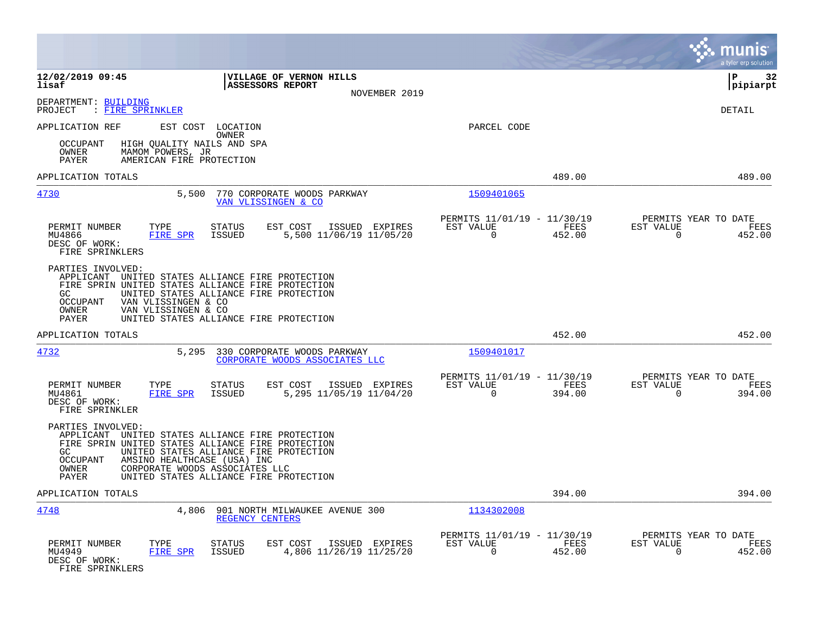|                                                                                                                                                                                                                                                                                                                                    |                                                                           | munis<br>a tyler erp solution                                      |
|------------------------------------------------------------------------------------------------------------------------------------------------------------------------------------------------------------------------------------------------------------------------------------------------------------------------------------|---------------------------------------------------------------------------|--------------------------------------------------------------------|
| 12/02/2019 09:45<br>VILLAGE OF VERNON HILLS<br>lisaf<br>ASSESSORS REPORT<br>NOVEMBER 2019                                                                                                                                                                                                                                          |                                                                           | ΙP<br>32<br> pipiarpt                                              |
| DEPARTMENT: BUILDING<br>: FIRE SPRINKLER<br>PROJECT                                                                                                                                                                                                                                                                                |                                                                           | DETAIL                                                             |
| EST COST LOCATION<br>APPLICATION REF<br>OWNER                                                                                                                                                                                                                                                                                      | PARCEL CODE                                                               |                                                                    |
| HIGH QUALITY NAILS AND SPA<br>OCCUPANT<br>OWNER<br>MAMOM POWERS, JR<br><b>PAYER</b><br>AMERICAN FIRE PROTECTION                                                                                                                                                                                                                    |                                                                           |                                                                    |
| APPLICATION TOTALS                                                                                                                                                                                                                                                                                                                 | 489.00                                                                    | 489.00                                                             |
| 4730<br>5,500<br>770 CORPORATE WOODS PARKWAY<br>VAN VLISSINGEN & CO                                                                                                                                                                                                                                                                | 1509401065                                                                |                                                                    |
| PERMIT NUMBER<br>TYPE<br>STATUS<br>EST COST<br>ISSUED EXPIRES<br>MU4866<br>FIRE SPR<br><b>ISSUED</b><br>5,500 11/06/19 11/05/20<br>DESC OF WORK:<br>FIRE SPRINKLERS                                                                                                                                                                | PERMITS 11/01/19 - 11/30/19<br>EST VALUE<br>FEES<br>$\mathbf 0$<br>452.00 | PERMITS YEAR TO DATE<br>EST VALUE<br>FEES<br>$\mathbf 0$<br>452.00 |
| PARTIES INVOLVED:<br>APPLICANT UNITED STATES ALLIANCE FIRE PROTECTION<br>FIRE SPRIN UNITED STATES ALLIANCE FIRE PROTECTION<br>UNITED STATES ALLIANCE FIRE PROTECTION<br>GC.<br><b>OCCUPANT</b><br>VAN VLISSINGEN & CO<br>OWNER<br>VAN VLISSINGEN & CO<br>UNITED STATES ALLIANCE FIRE PROTECTION<br>PAYER                           |                                                                           |                                                                    |
| APPLICATION TOTALS                                                                                                                                                                                                                                                                                                                 | 452.00                                                                    | 452.00                                                             |
| 4732<br>5,295<br>330 CORPORATE WOODS PARKWAY<br>CORPORATE WOODS ASSOCIATES LLC                                                                                                                                                                                                                                                     | 1509401017                                                                |                                                                    |
| PERMIT NUMBER<br>TYPE<br>STATUS<br>EST COST<br>ISSUED EXPIRES<br>5,295 11/05/19 11/04/20<br>MU4861<br><b>FIRE SPR</b><br>ISSUED<br>DESC OF WORK:<br>FIRE SPRINKLER                                                                                                                                                                 | PERMITS 11/01/19 - 11/30/19<br>EST VALUE<br>FEES<br>$\mathbf 0$<br>394.00 | PERMITS YEAR TO DATE<br>EST VALUE<br>FEES<br>$\mathbf 0$<br>394.00 |
| PARTIES INVOLVED:<br>APPLICANT UNITED STATES ALLIANCE FIRE PROTECTION<br>FIRE SPRIN UNITED STATES ALLIANCE FIRE PROTECTION<br>UNITED STATES ALLIANCE FIRE PROTECTION<br>GC.<br><b>OCCUPANT</b><br>AMSINO HEALTHCASE (USA) INC<br>OWNER<br>CORPORATE WOODS ASSOCIATES LLC<br><b>PAYER</b><br>UNITED STATES ALLIANCE FIRE PROTECTION |                                                                           |                                                                    |
| APPLICATION TOTALS                                                                                                                                                                                                                                                                                                                 | 394.00                                                                    | 394.00                                                             |
| 4748<br>4,806<br>901 NORTH MILWAUKEE AVENUE 300<br>REGENCY CENTERS                                                                                                                                                                                                                                                                 | 1134302008                                                                |                                                                    |
| PERMIT NUMBER<br>TYPE<br>STATUS<br>EST COST<br>ISSUED EXPIRES<br><b>FIRE SPR</b><br>4,806 11/26/19 11/25/20<br>MU4949<br><b>ISSUED</b><br>DESC OF WORK:<br>FIRE SPRINKLERS                                                                                                                                                         | PERMITS 11/01/19 - 11/30/19<br>EST VALUE<br>FEES<br>$\Omega$<br>452.00    | PERMITS YEAR TO DATE<br>EST VALUE<br>FEES<br>$\Omega$<br>452.00    |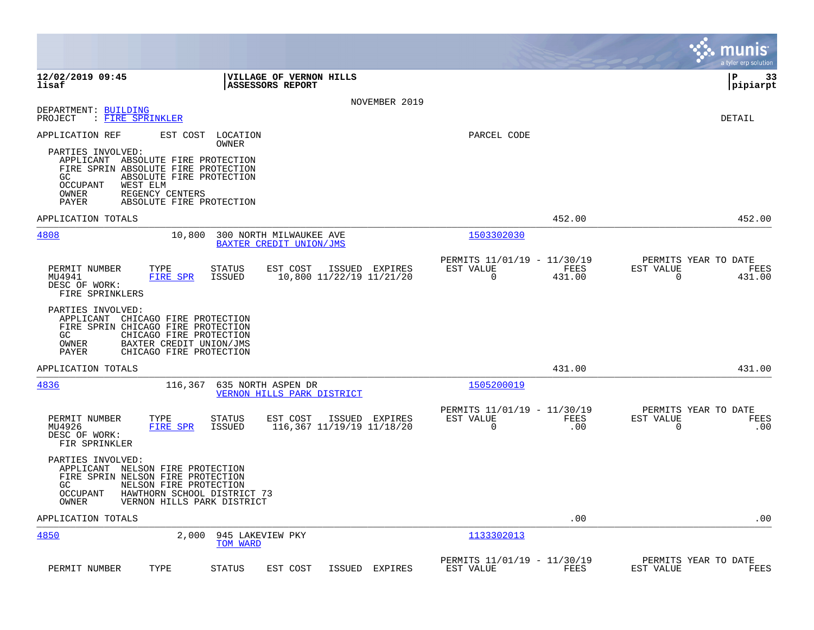|                                                                                                                                                                                                                            |                                                                                          |                                                                        | munis<br>a tyler erp solution                                   |
|----------------------------------------------------------------------------------------------------------------------------------------------------------------------------------------------------------------------------|------------------------------------------------------------------------------------------|------------------------------------------------------------------------|-----------------------------------------------------------------|
| 12/02/2019 09:45<br>lisaf                                                                                                                                                                                                  | VILLAGE OF VERNON HILLS<br><b>ASSESSORS REPORT</b>                                       |                                                                        | l P<br>-33<br> pipiarpt                                         |
|                                                                                                                                                                                                                            | NOVEMBER 2019                                                                            |                                                                        |                                                                 |
| DEPARTMENT: BUILDING<br>: FIRE SPRINKLER<br>PROJECT                                                                                                                                                                        |                                                                                          |                                                                        | DETAIL                                                          |
| APPLICATION REF<br>EST COST                                                                                                                                                                                                | LOCATION<br>OWNER                                                                        | PARCEL CODE                                                            |                                                                 |
| PARTIES INVOLVED:<br>APPLICANT ABSOLUTE FIRE PROTECTION<br>FIRE SPRIN ABSOLUTE FIRE PROTECTION<br>GC.<br>ABSOLUTE FIRE PROTECTION<br>OCCUPANT<br>WEST ELM<br>OWNER<br>REGENCY CENTERS<br>PAYER<br>ABSOLUTE FIRE PROTECTION |                                                                                          |                                                                        |                                                                 |
| APPLICATION TOTALS                                                                                                                                                                                                         |                                                                                          | 452.00                                                                 | 452.00                                                          |
| 4808<br>10,800                                                                                                                                                                                                             | 300 NORTH MILWAUKEE AVE<br>BAXTER CREDIT UNION/JMS                                       | 1503302030                                                             |                                                                 |
| TYPE<br>PERMIT NUMBER<br>FIRE SPR<br>MU4941<br>DESC OF WORK:<br>FIRE SPRINKLERS                                                                                                                                            | <b>STATUS</b><br>EST COST<br>ISSUED EXPIRES<br><b>ISSUED</b><br>10,800 11/22/19 11/21/20 | PERMITS 11/01/19 - 11/30/19<br>EST VALUE<br>FEES<br>$\Omega$<br>431.00 | PERMITS YEAR TO DATE<br>EST VALUE<br>FEES<br>$\Omega$<br>431.00 |
| PARTIES INVOLVED:<br>APPLICANT CHICAGO FIRE PROTECTION<br>FIRE SPRIN CHICAGO FIRE PROTECTION<br>GC<br>CHICAGO FIRE PROTECTION<br>OWNER<br>BAXTER CREDIT UNION/JMS<br>CHICAGO FIRE PROTECTION<br>PAYER                      |                                                                                          |                                                                        |                                                                 |
| APPLICATION TOTALS                                                                                                                                                                                                         |                                                                                          | 431.00                                                                 | 431.00                                                          |
| 4836<br>116,367                                                                                                                                                                                                            | 635 NORTH ASPEN DR<br>VERNON HILLS PARK DISTRICT                                         | 1505200019                                                             |                                                                 |
| PERMIT NUMBER<br>TYPE<br>MU4926<br>FIRE SPR<br>DESC OF WORK:<br>FIR SPRINKLER                                                                                                                                              | <b>STATUS</b><br>EST COST<br>ISSUED EXPIRES<br>ISSUED<br>116,367 11/19/19 11/18/20       | PERMITS 11/01/19 - 11/30/19<br>EST VALUE<br>FEES<br>$\mathbf 0$<br>.00 | PERMITS YEAR TO DATE<br>EST VALUE<br>FEES<br>$\mathbf 0$<br>.00 |
| PARTIES INVOLVED:<br>APPLICANT NELSON FIRE PROTECTION<br>FIRE SPRIN NELSON FIRE PROTECTION<br>GC<br>NELSON FIRE PROTECTION<br>OCCUPANT<br>HAWTHORN SCHOOL DISTRICT 73<br>OWNER<br>VERNON HILLS PARK DISTRICT               |                                                                                          |                                                                        |                                                                 |
| APPLICATION TOTALS                                                                                                                                                                                                         |                                                                                          | .00                                                                    | .00                                                             |
| 4850<br>2,000                                                                                                                                                                                                              | 945 LAKEVIEW PKY<br>TOM WARD                                                             | 1133302013                                                             |                                                                 |
| TYPE<br>PERMIT NUMBER                                                                                                                                                                                                      | STATUS<br>EST COST<br>ISSUED EXPIRES                                                     | PERMITS 11/01/19 - 11/30/19<br>EST VALUE<br>FEES                       | PERMITS YEAR TO DATE<br>EST VALUE<br>FEES                       |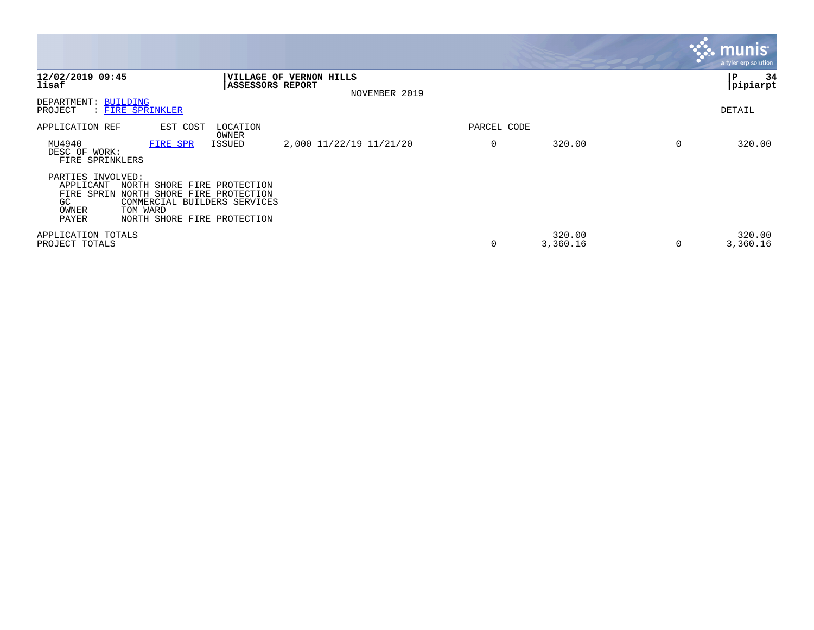|                                                                                  |          |                                                                                                                           |                         |               |             |                    |   | munis <sup>®</sup><br>a tyler erp solution |
|----------------------------------------------------------------------------------|----------|---------------------------------------------------------------------------------------------------------------------------|-------------------------|---------------|-------------|--------------------|---|--------------------------------------------|
| 12/02/2019 09:45<br>lisaf<br>DEPARTMENT: BUILDING                                |          | <b>VILLAGE OF</b><br><b>ASSESSORS REPORT</b>                                                                              | <b>VERNON HILLS</b>     | NOVEMBER 2019 |             |                    |   | 34<br>∣P<br> pipiarpt                      |
| : FIRE SPRINKLER<br>PROJECT                                                      |          |                                                                                                                           |                         |               |             |                    |   | DETAIL                                     |
| APPLICATION REF                                                                  | EST COST | LOCATION                                                                                                                  |                         |               | PARCEL CODE |                    |   |                                            |
| MU4940<br>DESC OF WORK:<br>FIRE SPRINKLERS                                       | FIRE SPR | OWNER<br>ISSUED                                                                                                           | 2,000 11/22/19 11/21/20 |               | 0           | 320.00             | 0 | 320.00                                     |
| PARTIES INVOLVED:<br>APPLICANT<br>FIRE SPRIN<br>GC<br>OWNER<br>TOM WARD<br>PAYER |          | NORTH SHORE FIRE PROTECTION<br>NORTH SHORE FIRE PROTECTION<br>COMMERCIAL BUILDERS SERVICES<br>NORTH SHORE FIRE PROTECTION |                         |               |             |                    |   |                                            |
| APPLICATION TOTALS<br>PROJECT TOTALS                                             |          |                                                                                                                           |                         |               | 0           | 320.00<br>3,360.16 | 0 | 320.00<br>3,360.16                         |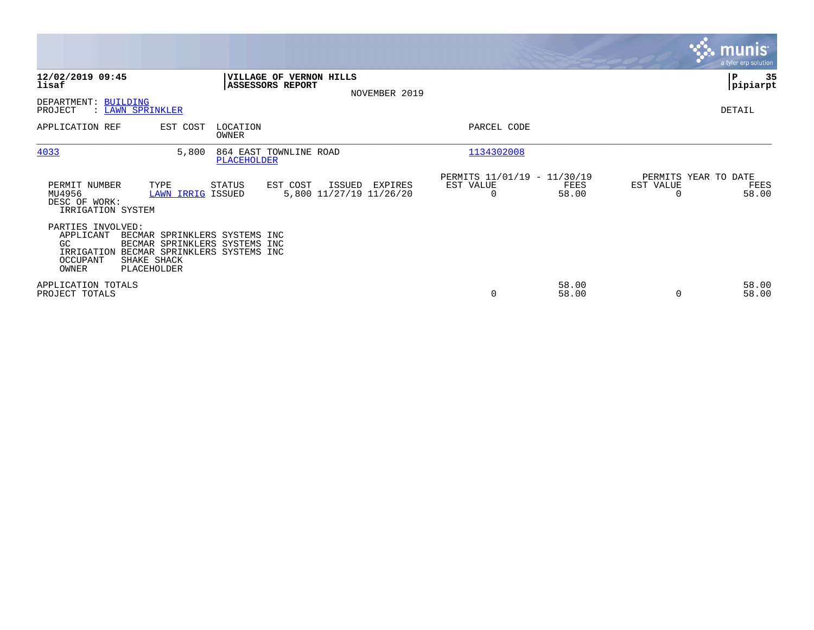|                                                                                                        |                                                                                                 |               |                                                      |                            | <b>munis</b><br>a tyler erp solution     |
|--------------------------------------------------------------------------------------------------------|-------------------------------------------------------------------------------------------------|---------------|------------------------------------------------------|----------------------------|------------------------------------------|
| 12/02/2019 09:45<br>lisaf<br>DEPARTMENT: BUILDING<br>: LAWN SPRINKLER<br>PROJECT                       | VILLAGE OF VERNON HILLS<br><b>ASSESSORS REPORT</b>                                              | NOVEMBER 2019 |                                                      |                            | $\mathbf P$<br>35<br> pipiarpt<br>DETAIL |
| APPLICATION REF<br>EST COST                                                                            | LOCATION<br><b>OWNER</b>                                                                        |               | PARCEL CODE                                          |                            |                                          |
| 4033                                                                                                   | 864 EAST TOWNLINE ROAD<br>5,800<br><b>PLACEHOLDER</b>                                           |               | 1134302008                                           |                            |                                          |
| PERMIT NUMBER<br>TYPE<br>MU4956<br>DESC OF WORK:<br>IRRIGATION SYSTEM                                  | EST COST<br>STATUS<br>ISSUED<br>5,800 11/27/19 11/26/20<br><b>LAWN IRRIG ISSUED</b>             | EXPIRES       | PERMITS 11/01/19 - 11/30/19<br>EST VALUE<br>$\Omega$ | EST VALUE<br>FEES<br>58.00 | PERMITS YEAR TO DATE<br>FEES<br>58.00    |
| PARTIES INVOLVED:<br>APPLICANT<br>GC.<br>IRRIGATION<br>SHAKE SHACK<br>OCCUPANT<br>OWNER<br>PLACEHOLDER | BECMAR SPRINKLERS SYSTEMS INC<br>BECMAR SPRINKLERS SYSTEMS INC<br>BECMAR SPRINKLERS SYSTEMS INC |               |                                                      |                            |                                          |
| APPLICATION TOTALS<br>PROJECT TOTALS                                                                   |                                                                                                 |               | 0                                                    | 58.00<br>58.00<br>0        | 58.00<br>58.00                           |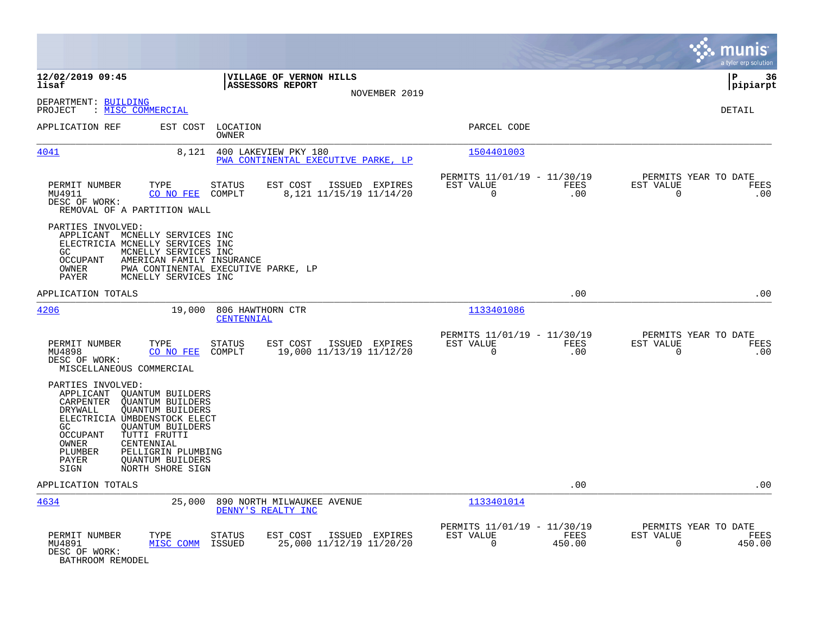|                                                                                                                                                                                                                                                                                                                                                       |                                                                           | munis<br>a tyler erp solution                                      |
|-------------------------------------------------------------------------------------------------------------------------------------------------------------------------------------------------------------------------------------------------------------------------------------------------------------------------------------------------------|---------------------------------------------------------------------------|--------------------------------------------------------------------|
| 12/02/2019 09:45<br>VILLAGE OF VERNON HILLS<br><b>ASSESSORS REPORT</b><br>lisaf<br>NOVEMBER 2019                                                                                                                                                                                                                                                      |                                                                           | l P<br>36<br> pipiarpt                                             |
| DEPARTMENT: BUILDING<br>: MISC COMMERCIAL<br>PROJECT                                                                                                                                                                                                                                                                                                  |                                                                           | DETAIL                                                             |
| APPLICATION REF<br>EST COST<br>LOCATION<br>OWNER                                                                                                                                                                                                                                                                                                      | PARCEL CODE                                                               |                                                                    |
| 4041<br>8,121<br>400 LAKEVIEW PKY 180<br>PWA CONTINENTAL EXECUTIVE PARKE, LP                                                                                                                                                                                                                                                                          | 1504401003                                                                |                                                                    |
| EST COST<br>PERMIT NUMBER<br>TYPE<br>STATUS<br>ISSUED EXPIRES<br>MU4911<br>CO NO FEE<br>COMPLT<br>8,121 11/15/19 11/14/20<br>DESC OF WORK:<br>REMOVAL OF A PARTITION WALL                                                                                                                                                                             | PERMITS 11/01/19 - 11/30/19<br>EST VALUE<br>FEES<br>$\mathbf 0$<br>.00    | PERMITS YEAR TO DATE<br>EST VALUE<br>FEES<br>$\mathbf 0$<br>.00    |
| PARTIES INVOLVED:<br>APPLICANT MCNELLY SERVICES INC<br>ELECTRICIA MCNELLY SERVICES INC<br>GC.<br>MCNELLY SERVICES INC<br><b>OCCUPANT</b><br>AMERICAN FAMILY INSURANCE<br>PWA CONTINENTAL EXECUTIVE PARKE, LP<br>OWNER<br>PAYER<br>MCNELLY SERVICES INC                                                                                                |                                                                           |                                                                    |
| APPLICATION TOTALS                                                                                                                                                                                                                                                                                                                                    | .00                                                                       | .00                                                                |
| 4206<br>19,000<br>806 HAWTHORN CTR<br>CENTENNIAL                                                                                                                                                                                                                                                                                                      | 1133401086                                                                |                                                                    |
| TYPE<br>STATUS<br>EST COST<br>ISSUED EXPIRES<br>PERMIT NUMBER<br>19,000 11/13/19 11/12/20<br>MU4898<br>CO NO FEE<br>COMPLT<br>DESC OF WORK:<br>MISCELLANEOUS COMMERCIAL                                                                                                                                                                               | PERMITS 11/01/19 - 11/30/19<br>EST VALUE<br>FEES<br>$\mathbf 0$<br>.00    | PERMITS YEAR TO DATE<br>EST VALUE<br>FEES<br>$\mathbf 0$<br>.00    |
| PARTIES INVOLVED:<br>APPLICANT<br>OUANTUM BUILDERS<br>CARPENTER<br><b>OUANTUM BUILDERS</b><br>DRYWALL<br><b>QUANTUM BUILDERS</b><br>ELECTRICIA UMBDENSTOCK ELECT<br>GC<br><b>OUANTUM BUILDERS</b><br>OCCUPANT<br>TUTTI FRUTTI<br>OWNER<br>CENTENNIAL<br>PELLIGRIN PLUMBING<br>PLUMBER<br>PAYER<br><b>QUANTUM BUILDERS</b><br>SIGN<br>NORTH SHORE SIGN |                                                                           |                                                                    |
| APPLICATION TOTALS                                                                                                                                                                                                                                                                                                                                    | .00                                                                       | .00                                                                |
| 4634<br>25,000<br>890 NORTH MILWAUKEE AVENUE<br>DENNY'S REALTY INC                                                                                                                                                                                                                                                                                    | 1133401014                                                                |                                                                    |
| EST COST<br>PERMIT NUMBER<br>TYPE<br>STATUS<br>ISSUED EXPIRES<br>25,000 11/12/19 11/20/20<br>MU4891<br>MISC COMM<br>ISSUED<br>DESC OF WORK:<br>BATHROOM REMODEL                                                                                                                                                                                       | PERMITS 11/01/19 - 11/30/19<br>EST VALUE<br>FEES<br>$\mathbf 0$<br>450.00 | PERMITS YEAR TO DATE<br>EST VALUE<br>FEES<br>$\mathbf 0$<br>450.00 |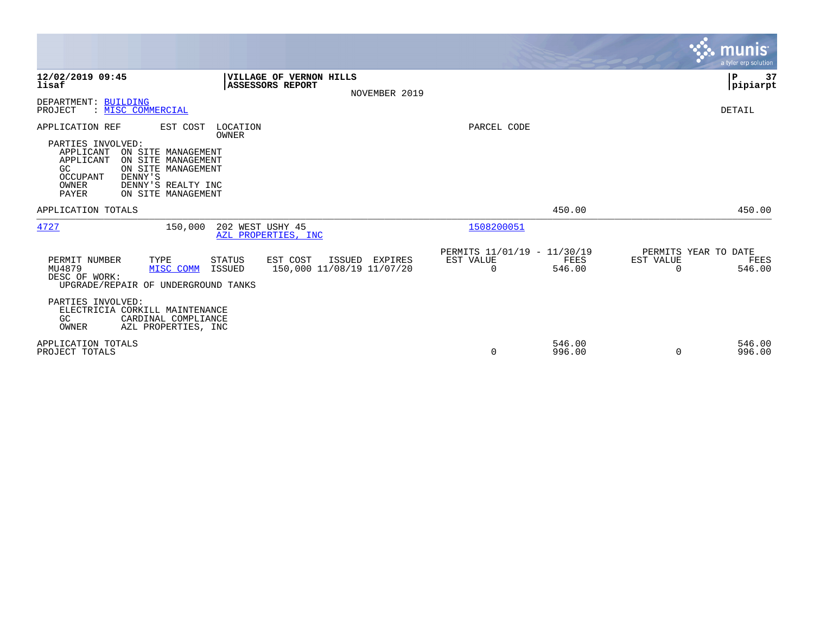|                                                                                                                                                                                                                                                                      |                                                                     |                                               |                  | <b>munis</b><br>a tyler erp solution                            |
|----------------------------------------------------------------------------------------------------------------------------------------------------------------------------------------------------------------------------------------------------------------------|---------------------------------------------------------------------|-----------------------------------------------|------------------|-----------------------------------------------------------------|
| 12/02/2019 09:45<br>lisaf                                                                                                                                                                                                                                            | VILLAGE OF VERNON HILLS<br><b>ASSESSORS REPORT</b><br>NOVEMBER 2019 |                                               |                  | ∣P<br>37<br> pipiarpt                                           |
| DEPARTMENT: BUILDING<br>: MISC COMMERCIAL<br>PROJECT                                                                                                                                                                                                                 |                                                                     |                                               |                  | DETAIL                                                          |
| APPLICATION REF<br>EST COST<br>LOCATION<br><b>OWNER</b><br>PARTIES INVOLVED:<br>APPLICANT<br>ON SITE MANAGEMENT<br>APPLICANT<br>ON SITE MANAGEMENT<br>GC.<br>ON SITE MANAGEMENT<br>DENNY'S<br>OCCUPANT<br>DENNY'S REALTY INC<br>OWNER<br>PAYER<br>ON SITE MANAGEMENT |                                                                     | PARCEL CODE                                   |                  |                                                                 |
| APPLICATION TOTALS                                                                                                                                                                                                                                                   |                                                                     |                                               | 450.00           | 450.00                                                          |
| 4727<br>150,000                                                                                                                                                                                                                                                      | 202 WEST USHY 45<br>AZL PROPERTIES, INC                             | 1508200051                                    |                  |                                                                 |
| TYPE<br>PERMIT NUMBER<br>STATUS<br>MU4879<br>MISC COMM<br>ISSUED<br>DESC OF WORK:<br>UPGRADE/REPAIR OF UNDERGROUND TANKS                                                                                                                                             | EST COST<br>ISSUED EXPIRES<br>150,000 11/08/19 11/07/20             | PERMITS 11/01/19 - 11/30/19<br>EST VALUE<br>0 | FEES<br>546.00   | PERMITS YEAR TO DATE<br>EST VALUE<br>FEES<br>546.00<br>$\Omega$ |
| PARTIES INVOLVED:<br>ELECTRICIA CORKILL MAINTENANCE<br>GC<br>CARDINAL COMPLIANCE<br>OWNER<br>AZL PROPERTIES, INC                                                                                                                                                     |                                                                     |                                               |                  |                                                                 |
| APPLICATION TOTALS<br>PROJECT TOTALS                                                                                                                                                                                                                                 |                                                                     | $\mathbf 0$                                   | 546.00<br>996.00 | 546.00<br>996.00<br>$\Omega$                                    |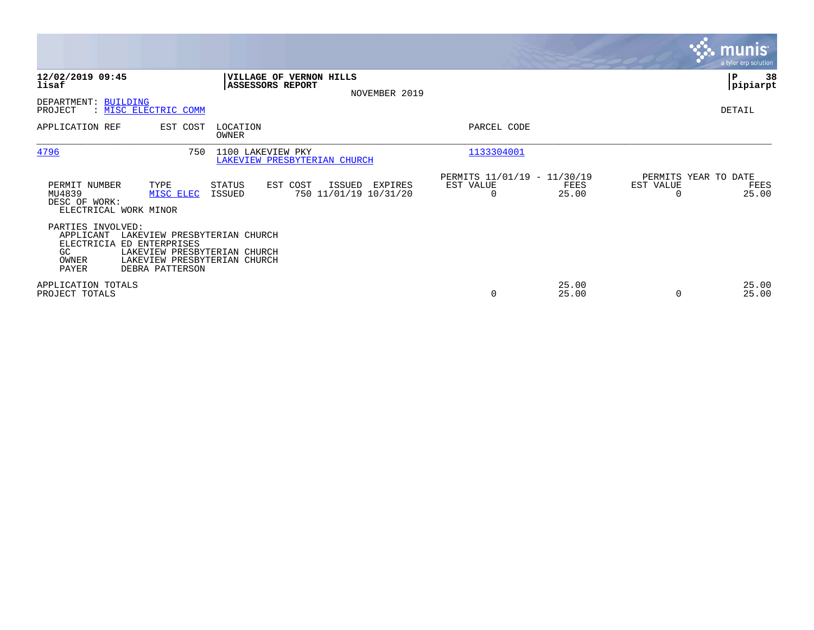|                                                                                     |                      |                                                                                              |                         |                                            |                                               |                |                                               | <b>munis</b><br>a tyler erp solution |
|-------------------------------------------------------------------------------------|----------------------|----------------------------------------------------------------------------------------------|-------------------------|--------------------------------------------|-----------------------------------------------|----------------|-----------------------------------------------|--------------------------------------|
| 12/02/2019 09:45<br>lisaf<br>DEPARTMENT: BUILDING                                   |                      | ASSESSORS REPORT                                                                             | VILLAGE OF VERNON HILLS | NOVEMBER 2019                              |                                               |                |                                               | P<br>38<br> pipiarpt                 |
| PROJECT                                                                             | : MISC ELECTRIC COMM |                                                                                              |                         |                                            |                                               |                |                                               | DETAIL                               |
| APPLICATION REF                                                                     | EST COST             | LOCATION<br>OWNER                                                                            |                         |                                            | PARCEL CODE                                   |                |                                               |                                      |
| 4796                                                                                | 750                  | 1100 LAKEVIEW PKY<br>LAKEVIEW PRESBYTERIAN CHURCH                                            |                         |                                            | 1133304001                                    |                |                                               |                                      |
| PERMIT NUMBER<br>MU4839<br>DESC OF WORK:<br>ELECTRICAL WORK MINOR                   | TYPE<br>MISC ELEC    | STATUS<br>ISSUED                                                                             | EST COST                | ISSUED<br>EXPIRES<br>750 11/01/19 10/31/20 | PERMITS 11/01/19 - 11/30/19<br>EST VALUE<br>0 | FEES<br>25.00  | PERMITS YEAR TO DATE<br>EST VALUE<br>$\Omega$ | FEES<br>25.00                        |
| PARTIES INVOLVED:<br>APPLICANT<br>ELECTRICIA ED ENTERPRISES<br>GC<br>OWNER<br>PAYER | DEBRA PATTERSON      | LAKEVIEW PRESBYTERIAN CHURCH<br>LAKEVIEW PRESBYTERIAN CHURCH<br>LAKEVIEW PRESBYTERIAN CHURCH |                         |                                            |                                               |                |                                               |                                      |
| APPLICATION TOTALS<br>PROJECT TOTALS                                                |                      |                                                                                              |                         |                                            | 0                                             | 25.00<br>25.00 | $\Omega$                                      | 25.00<br>25.00                       |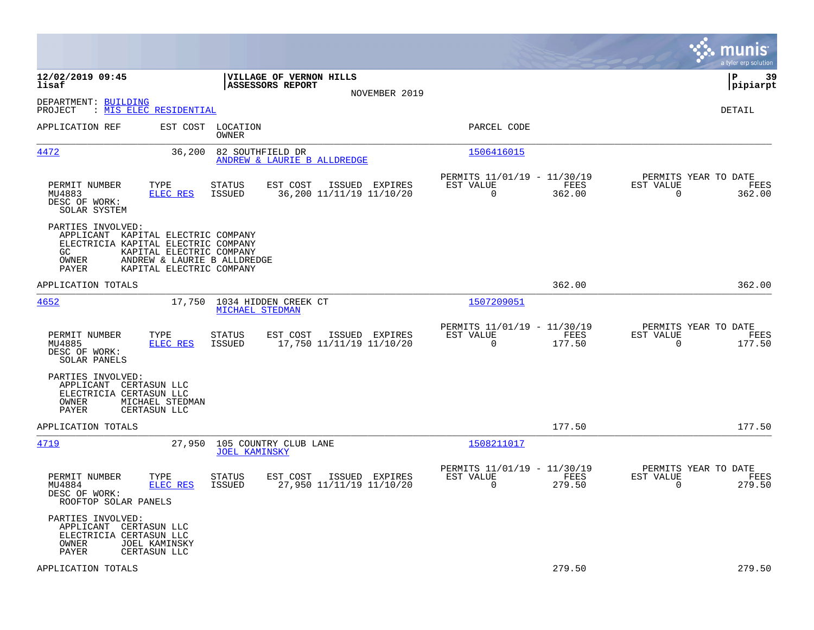|                                                                                                                                                                                                                |                                                                            |                                                                              | munis<br>a tyler erp solution                                   |
|----------------------------------------------------------------------------------------------------------------------------------------------------------------------------------------------------------------|----------------------------------------------------------------------------|------------------------------------------------------------------------------|-----------------------------------------------------------------|
| 12/02/2019 09:45<br>lisaf                                                                                                                                                                                      | VILLAGE OF VERNON HILLS<br>ASSESSORS REPORT                                |                                                                              | 39<br>l P<br> pipiarpt                                          |
| DEPARTMENT: BUILDING<br>PROJECT<br>: MIS ELEC RESIDENTIAL                                                                                                                                                      | NOVEMBER 2019                                                              |                                                                              | DETAIL                                                          |
| APPLICATION REF                                                                                                                                                                                                | EST COST LOCATION<br>OWNER                                                 | PARCEL CODE                                                                  |                                                                 |
| 4472<br>36,200                                                                                                                                                                                                 | 82 SOUTHFIELD DR<br>ANDREW & LAURIE B ALLDREDGE                            | 1506416015                                                                   |                                                                 |
| PERMIT NUMBER<br>TYPE<br>MU4883<br><b>ELEC RES</b><br>DESC OF WORK:<br>SOLAR SYSTEM                                                                                                                            | STATUS<br>EST COST<br>ISSUED EXPIRES<br>36,200 11/11/19 11/10/20<br>ISSUED | PERMITS 11/01/19 - 11/30/19<br>FEES<br>EST VALUE<br>$\overline{0}$<br>362.00 | PERMITS YEAR TO DATE<br>EST VALUE<br>FEES<br>$\Omega$<br>362.00 |
| PARTIES INVOLVED:<br>APPLICANT KAPITAL ELECTRIC COMPANY<br>ELECTRICIA KAPITAL ELECTRIC COMPANY<br>GC.<br>KAPITAL ELECTRIC COMPANY<br>ANDREW & LAURIE B ALLDREDGE<br>OWNER<br>PAYER<br>KAPITAL ELECTRIC COMPANY |                                                                            |                                                                              |                                                                 |
| APPLICATION TOTALS                                                                                                                                                                                             |                                                                            | 362.00                                                                       | 362.00                                                          |
| 4652                                                                                                                                                                                                           | 17,750 1034 HIDDEN CREEK CT<br>MICHAEL STEDMAN                             | 1507209051                                                                   |                                                                 |
| PERMIT NUMBER<br>TYPE<br>MU4885<br>ELEC RES<br>DESC OF WORK:<br>SOLAR PANELS                                                                                                                                   | STATUS<br>EST COST<br>ISSUED EXPIRES<br>ISSUED<br>17,750 11/11/19 11/10/20 | PERMITS 11/01/19 - 11/30/19<br>EST VALUE<br>FEES<br>$\overline{0}$<br>177.50 | PERMITS YEAR TO DATE<br>EST VALUE<br>FEES<br>$\Omega$<br>177.50 |
| PARTIES INVOLVED:<br>APPLICANT CERTASUN LLC<br>ELECTRICIA CERTASUN LLC<br>OWNER<br>MICHAEL STEDMAN<br>PAYER<br>CERTASUN LLC                                                                                    |                                                                            |                                                                              |                                                                 |
| APPLICATION TOTALS                                                                                                                                                                                             |                                                                            | 177.50                                                                       | 177.50                                                          |
| 4719<br>27,950                                                                                                                                                                                                 | 105 COUNTRY CLUB LANE<br><b>JOEL KAMINSKY</b>                              | 1508211017                                                                   |                                                                 |
| PERMIT NUMBER<br>TYPE<br>MU4884<br>ELEC RES<br>DESC OF WORK:<br>ROOFTOP SOLAR PANELS                                                                                                                           | EST COST<br>ISSUED EXPIRES<br>STATUS<br>27,950 11/11/19 11/10/20<br>ISSUED | PERMITS 11/01/19 - 11/30/19<br>EST VALUE<br>FEES<br>$\Omega$<br>279.50       | PERMITS YEAR TO DATE<br>EST VALUE<br>FEES<br>$\Omega$<br>279.50 |
| PARTIES INVOLVED:<br>APPLICANT<br>CERTASUN LLC<br>ELECTRICIA CERTASUN LLC<br>OWNER<br><b>JOEL KAMINSKY</b><br>PAYER<br>CERTASUN LLC                                                                            |                                                                            |                                                                              |                                                                 |
| APPLICATION TOTALS                                                                                                                                                                                             |                                                                            | 279.50                                                                       | 279.50                                                          |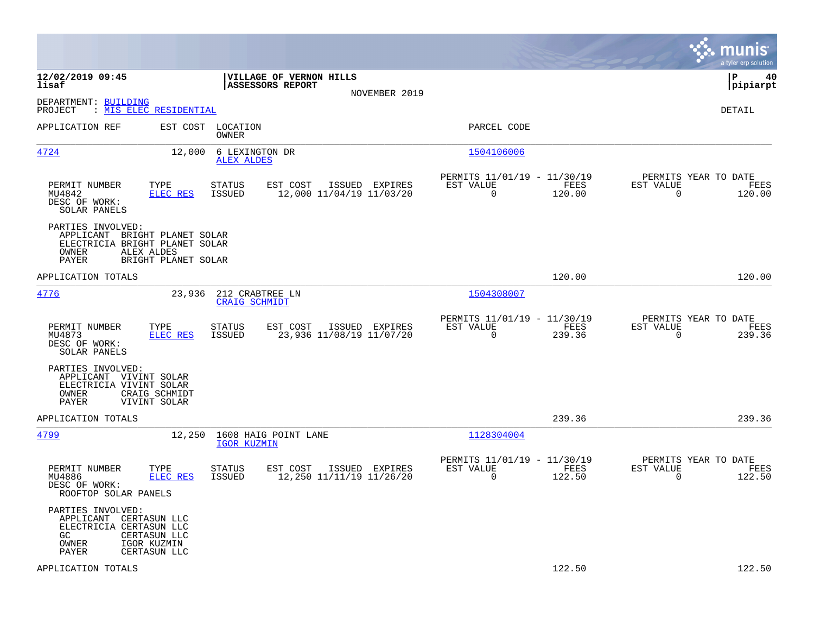|                                                                                                        |                                             |                                         |                                                    |                                            |                                                         |                |                                                  | munis<br>a tyler erp solution |
|--------------------------------------------------------------------------------------------------------|---------------------------------------------|-----------------------------------------|----------------------------------------------------|--------------------------------------------|---------------------------------------------------------|----------------|--------------------------------------------------|-------------------------------|
| 12/02/2019 09:45<br>lisaf                                                                              |                                             |                                         | VILLAGE OF VERNON HILLS<br><b>ASSESSORS REPORT</b> |                                            |                                                         |                |                                                  | ∣P<br>40<br> pipiarpt         |
| DEPARTMENT: BUILDING<br>PROJECT                                                                        | : MIS ELEC RESIDENTIAL                      |                                         |                                                    | NOVEMBER 2019                              |                                                         |                |                                                  | <b>DETAIL</b>                 |
| APPLICATION REF                                                                                        |                                             | EST COST LOCATION<br>OWNER              |                                                    |                                            | PARCEL CODE                                             |                |                                                  |                               |
| 4724                                                                                                   | 12,000                                      | 6 LEXINGTON DR<br><b>ALEX ALDES</b>     |                                                    |                                            | 1504106006                                              |                |                                                  |                               |
| PERMIT NUMBER<br>MU4842<br>DESC OF WORK:<br>SOLAR PANELS                                               | TYPE<br>ELEC RES                            | STATUS<br><b>ISSUED</b>                 | EST COST                                           | ISSUED EXPIRES<br>12,000 11/04/19 11/03/20 | PERMITS 11/01/19 - 11/30/19<br>EST VALUE<br>0           | FEES<br>120.00 | PERMITS YEAR TO DATE<br>EST VALUE<br>$\mathbf 0$ | FEES<br>120.00                |
| PARTIES INVOLVED:<br>APPLICANT BRIGHT PLANET SOLAR<br>ELECTRICIA BRIGHT PLANET SOLAR<br>OWNER<br>PAYER | ALEX ALDES<br>BRIGHT PLANET SOLAR           |                                         |                                                    |                                            |                                                         |                |                                                  |                               |
| APPLICATION TOTALS                                                                                     |                                             |                                         |                                                    |                                            |                                                         | 120.00         |                                                  | 120.00                        |
| 4776                                                                                                   | 23,936                                      | 212 CRABTREE LN<br><b>CRAIG SCHMIDT</b> |                                                    |                                            | 1504308007                                              |                |                                                  |                               |
| PERMIT NUMBER<br>MU4873<br>DESC OF WORK:<br>SOLAR PANELS                                               | TYPE<br>ELEC RES                            | STATUS<br><b>ISSUED</b>                 | EST COST                                           | ISSUED EXPIRES<br>23,936 11/08/19 11/07/20 | PERMITS 11/01/19 - 11/30/19<br>EST VALUE<br>$\mathbf 0$ | FEES<br>239.36 | PERMITS YEAR TO DATE<br>EST VALUE<br>$\mathbf 0$ | FEES<br>239.36                |
| PARTIES INVOLVED:<br>APPLICANT VIVINT SOLAR<br>ELECTRICIA VIVINT SOLAR<br>OWNER<br>PAYER               | CRAIG SCHMIDT<br>VIVINT SOLAR               |                                         |                                                    |                                            |                                                         |                |                                                  |                               |
| APPLICATION TOTALS                                                                                     |                                             |                                         |                                                    |                                            |                                                         | 239.36         |                                                  | 239.36                        |
| 4799                                                                                                   | 12,250                                      | <b>IGOR KUZMIN</b>                      | 1608 HAIG POINT LANE                               |                                            | 1128304004                                              |                |                                                  |                               |
| PERMIT NUMBER<br>MU4886<br>DESC OF WORK:<br>ROOFTOP SOLAR PANELS                                       | TYPE<br>ELEC RES                            | STATUS<br>ISSUED                        | EST COST                                           | ISSUED EXPIRES<br>12,250 11/11/19 11/26/20 | PERMITS 11/01/19 - 11/30/19<br>EST VALUE<br>0           | FEES<br>122.50 | PERMITS YEAR TO DATE<br>EST VALUE<br>$\Omega$    | FEES<br>122.50                |
| PARTIES INVOLVED:<br>APPLICANT CERTASUN LLC<br>ELECTRICIA CERTASUN LLC<br>GC.<br>OWNER<br>PAYER        | CERTASUN LLC<br>IGOR KUZMIN<br>CERTASUN LLC |                                         |                                                    |                                            |                                                         |                |                                                  |                               |
| APPLICATION TOTALS                                                                                     |                                             |                                         |                                                    |                                            |                                                         | 122.50         |                                                  | 122.50                        |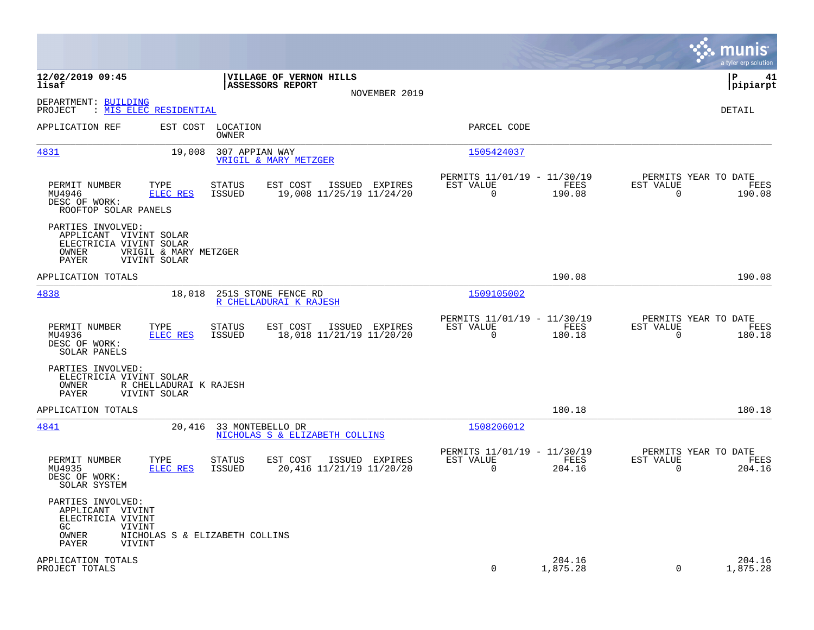|                                                                                                                                           |                                                                                          |                                                            |                    |                                                     | munis<br>a tyler erp solution |
|-------------------------------------------------------------------------------------------------------------------------------------------|------------------------------------------------------------------------------------------|------------------------------------------------------------|--------------------|-----------------------------------------------------|-------------------------------|
| 12/02/2019 09:45<br>lisaf                                                                                                                 | VILLAGE OF VERNON HILLS<br>ASSESSORS REPORT                                              |                                                            |                    |                                                     | ΙP<br>41<br> pipiarpt         |
| DEPARTMENT: BUILDING<br>PROJECT<br>: MIS ELEC RESIDENTIAL                                                                                 | NOVEMBER 2019                                                                            |                                                            |                    |                                                     | DETAIL                        |
| APPLICATION REF                                                                                                                           | EST COST LOCATION<br>OWNER                                                               | PARCEL CODE                                                |                    |                                                     |                               |
| <u>4831</u><br>19,008                                                                                                                     | 307 APPIAN WAY<br>VRIGIL & MARY METZGER                                                  | 1505424037                                                 |                    |                                                     |                               |
| TYPE<br>PERMIT NUMBER<br>MU4946<br><b>ELEC RES</b><br>DESC OF WORK:<br>ROOFTOP SOLAR PANELS                                               | EST COST<br>ISSUED EXPIRES<br>STATUS<br>19,008 11/25/19 11/24/20<br>ISSUED               | PERMITS 11/01/19 - 11/30/19<br>EST VALUE<br>$\overline{0}$ | FEES<br>190.08     | PERMITS YEAR TO DATE<br>EST VALUE<br>$\overline{0}$ | FEES<br>190.08                |
| PARTIES INVOLVED:<br>APPLICANT VIVINT SOLAR<br>ELECTRICIA VIVINT SOLAR<br><b>OWNER</b><br>VRIGIL & MARY METZGER<br>PAYER<br>VIVINT SOLAR  |                                                                                          |                                                            |                    |                                                     |                               |
| APPLICATION TOTALS                                                                                                                        |                                                                                          |                                                            | 190.08             |                                                     | 190.08                        |
| 4838<br>18,018                                                                                                                            | 251S STONE FENCE RD<br>R CHELLADURAI K RAJESH                                            | 1509105002                                                 |                    |                                                     |                               |
| PERMIT NUMBER<br>TYPE<br>MU4936<br><b>ELEC RES</b><br>DESC OF WORK:<br>SOLAR PANELS                                                       | STATUS<br>EST COST<br>ISSUED EXPIRES<br>18,018 11/21/19 11/20/20<br>ISSUED               | PERMITS 11/01/19 - 11/30/19<br>EST VALUE<br>$\mathbf 0$    | FEES<br>180.18     | PERMITS YEAR TO DATE<br>EST VALUE<br>$\overline{0}$ | FEES<br>180.18                |
| PARTIES INVOLVED:<br>ELECTRICIA VIVINT SOLAR<br>OWNER<br>R CHELLADURAI K RAJESH<br>PAYER<br>VIVINT SOLAR                                  |                                                                                          |                                                            |                    |                                                     |                               |
| APPLICATION TOTALS                                                                                                                        |                                                                                          |                                                            | 180.18             |                                                     | 180.18                        |
| 4841                                                                                                                                      | 20,416 33 MONTEBELLO DR<br>NICHOLAS S & ELIZABETH COLLINS                                | 1508206012                                                 |                    |                                                     |                               |
| PERMIT NUMBER<br>TYPE<br>MU4935<br>ELEC RES<br>DESC OF WORK:<br>SOLAR SYSTEM                                                              | EST COST<br><b>STATUS</b><br>ISSUED EXPIRES<br><b>ISSUED</b><br>20,416 11/21/19 11/20/20 | PERMITS 11/01/19 - 11/30/19<br>EST VALUE<br>0              | FEES<br>204.16     | PERMITS YEAR TO DATE<br>EST VALUE<br>0              | FEES<br>204.16                |
| PARTIES INVOLVED:<br>APPLICANT VIVINT<br>ELECTRICIA VIVINT<br>GC.<br>VIVINT<br>OWNER<br>NICHOLAS S & ELIZABETH COLLINS<br>PAYER<br>VIVINT |                                                                                          |                                                            |                    |                                                     |                               |
| APPLICATION TOTALS<br>PROJECT TOTALS                                                                                                      |                                                                                          | 0                                                          | 204.16<br>1,875.28 | $\overline{0}$                                      | 204.16<br>1,875.28            |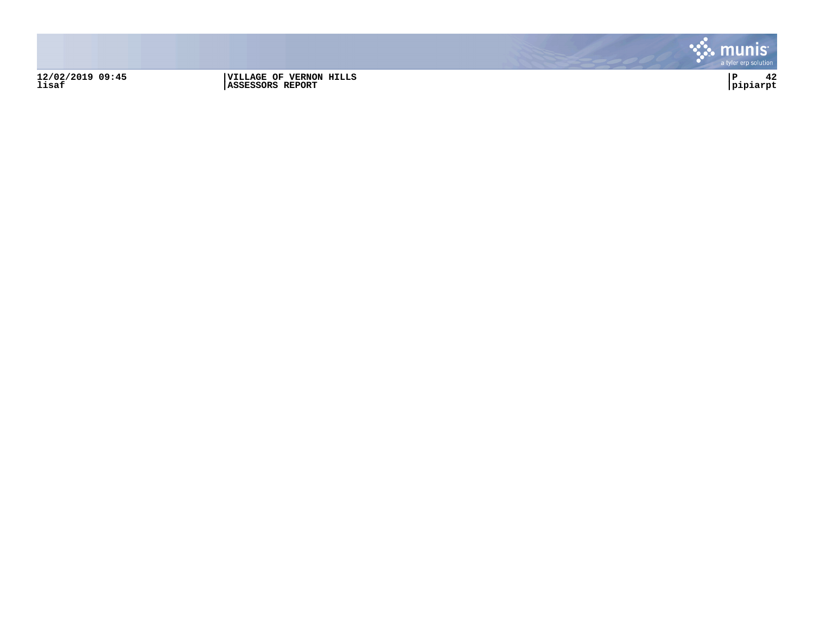**12/02/2019 09:45 |VILLAGE OF VERNON HILLS |P 42 lisaf |ASSESSORS REPORT |pipiarpt**

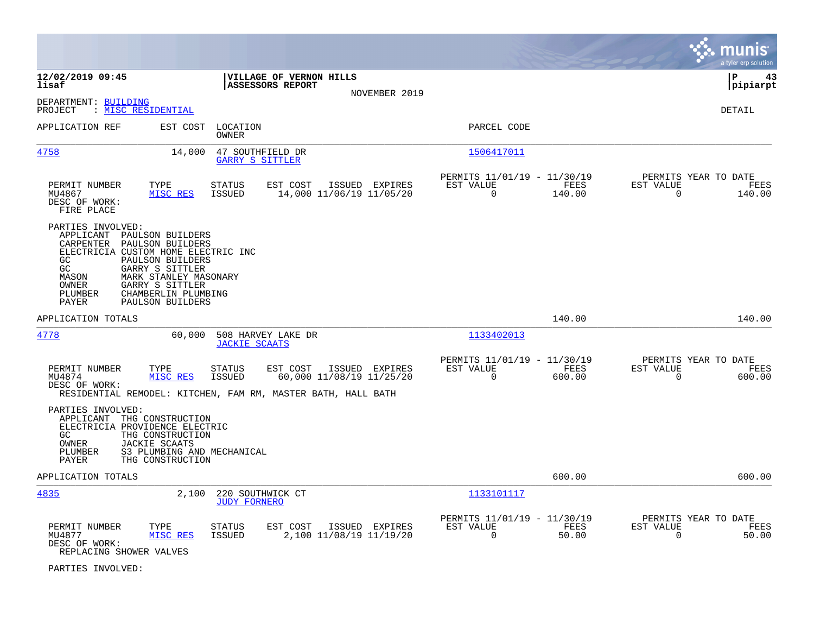|                                                                                                                                                                                                                                                                                                         |                                                                                                                                                          |                                                                           | munis<br>a tyler erp solution                                      |
|---------------------------------------------------------------------------------------------------------------------------------------------------------------------------------------------------------------------------------------------------------------------------------------------------------|----------------------------------------------------------------------------------------------------------------------------------------------------------|---------------------------------------------------------------------------|--------------------------------------------------------------------|
| 12/02/2019 09:45<br>lisaf                                                                                                                                                                                                                                                                               | VILLAGE OF VERNON HILLS<br>ASSESSORS REPORT                                                                                                              |                                                                           | ΙP<br>43<br> pipiarpt                                              |
| DEPARTMENT: BUILDING<br>: <u>MISC RESIDENTIAL</u><br>PROJECT                                                                                                                                                                                                                                            | NOVEMBER 2019                                                                                                                                            |                                                                           | DETAIL                                                             |
| APPLICATION REF<br>EST COST                                                                                                                                                                                                                                                                             | LOCATION<br>OWNER                                                                                                                                        | PARCEL CODE                                                               |                                                                    |
| 4758                                                                                                                                                                                                                                                                                                    | 14,000<br>47 SOUTHFIELD DR<br>GARRY S SITTLER                                                                                                            | 1506417011                                                                |                                                                    |
| PERMIT NUMBER<br>TYPE<br>MU4867<br>MISC RES<br>DESC OF WORK:<br>FIRE PLACE                                                                                                                                                                                                                              | <b>STATUS</b><br>EST COST<br>ISSUED EXPIRES<br><b>ISSUED</b><br>14,000 11/06/19 11/05/20                                                                 | PERMITS 11/01/19 - 11/30/19<br>EST VALUE<br>FEES<br>$\mathbf 0$<br>140.00 | PERMITS YEAR TO DATE<br>EST VALUE<br>FEES<br>$\mathbf 0$<br>140.00 |
| PARTIES INVOLVED:<br>APPLICANT<br>PAULSON BUILDERS<br>CARPENTER PAULSON BUILDERS<br>ELECTRICIA CUSTOM HOME ELECTRIC INC<br>GC<br>PAULSON BUILDERS<br>GC<br>GARRY S SITTLER<br>MARK STANLEY MASONARY<br>MASON<br>OWNER<br>GARRY S SITTLER<br>PLUMBER<br>CHAMBERLIN PLUMBING<br>PAULSON BUILDERS<br>PAYER |                                                                                                                                                          |                                                                           |                                                                    |
| APPLICATION TOTALS                                                                                                                                                                                                                                                                                      |                                                                                                                                                          | 140.00                                                                    | 140.00                                                             |
| 4778                                                                                                                                                                                                                                                                                                    | 60,000<br>508 HARVEY LAKE DR<br><b>JACKIE SCAATS</b>                                                                                                     | 1133402013                                                                |                                                                    |
| PERMIT NUMBER<br>TYPE<br>MISC RES<br>MU4874<br>DESC OF WORK:                                                                                                                                                                                                                                            | <b>STATUS</b><br>EST COST<br>ISSUED EXPIRES<br>60,000 11/08/19 11/25/20<br><b>ISSUED</b><br>RESIDENTIAL REMODEL: KITCHEN, FAM RM, MASTER BATH, HALL BATH | PERMITS 11/01/19 - 11/30/19<br>EST VALUE<br>FEES<br>$\mathbf 0$<br>600.00 | PERMITS YEAR TO DATE<br>EST VALUE<br>FEES<br>$\mathbf 0$<br>600.00 |
| PARTIES INVOLVED:<br>APPLICANT THG CONSTRUCTION<br>ELECTRICIA PROVIDENCE ELECTRIC<br>GC.<br>THG CONSTRUCTION<br>OWNER<br>JACKIE SCAATS<br>PLUMBER<br>PAYER<br>THG CONSTRUCTION                                                                                                                          | S3 PLUMBING AND MECHANICAL                                                                                                                               |                                                                           |                                                                    |
| APPLICATION TOTALS                                                                                                                                                                                                                                                                                      |                                                                                                                                                          | 600.00                                                                    | 600.00                                                             |
| 4835                                                                                                                                                                                                                                                                                                    | 2,100<br>220 SOUTHWICK CT<br><b>JUDY FORNERO</b>                                                                                                         | 1133101117                                                                |                                                                    |
| PERMIT NUMBER<br>TYPE<br>MU4877<br>MISC RES<br>DESC OF WORK:<br>REPLACING SHOWER VALVES                                                                                                                                                                                                                 | EST COST<br>STATUS<br>ISSUED EXPIRES<br><b>ISSUED</b><br>2,100 11/08/19 11/19/20                                                                         | PERMITS 11/01/19 - 11/30/19<br>EST VALUE<br>FEES<br>0<br>50.00            | PERMITS YEAR TO DATE<br>EST VALUE<br>FEES<br>50.00<br>0            |
| PARTIES INVOLVED:                                                                                                                                                                                                                                                                                       |                                                                                                                                                          |                                                                           |                                                                    |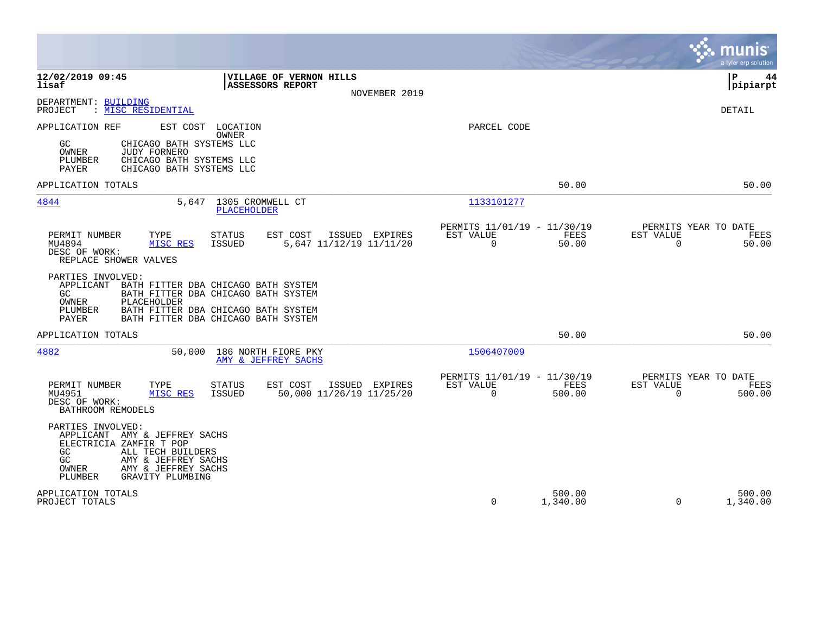|                                                                                                                                                                                                                                               |                                                                        | munis<br>a tyler erp solution                                   |
|-----------------------------------------------------------------------------------------------------------------------------------------------------------------------------------------------------------------------------------------------|------------------------------------------------------------------------|-----------------------------------------------------------------|
| 12/02/2019 09:45<br>VILLAGE OF VERNON HILLS<br>lisaf<br>ASSESSORS REPORT                                                                                                                                                                      |                                                                        | ΙP<br>44<br>pipiarpt                                            |
| NOVEMBER 2019<br>DEPARTMENT: BUILDING                                                                                                                                                                                                         |                                                                        |                                                                 |
| : MISC RESIDENTIAL<br>PROJECT                                                                                                                                                                                                                 |                                                                        | DETAIL                                                          |
| APPLICATION REF<br>EST COST LOCATION<br><b>OWNER</b><br>GC<br>CHICAGO BATH SYSTEMS LLC<br>JUDY FORNERO<br>OWNER<br>CHICAGO BATH SYSTEMS LLC<br>PLUMBER<br>CHICAGO BATH SYSTEMS LLC<br>PAYER                                                   | PARCEL CODE                                                            |                                                                 |
| APPLICATION TOTALS                                                                                                                                                                                                                            | 50.00                                                                  | 50.00                                                           |
| 5,647 1305 CROMWELL CT<br>4844<br><b>PLACEHOLDER</b>                                                                                                                                                                                          | 1133101277                                                             |                                                                 |
| PERMIT NUMBER<br>TYPE<br>EST COST<br>ISSUED EXPIRES<br>STATUS<br>MU4894<br>MISC RES<br>ISSUED<br>5,647 11/12/19 11/11/20<br>DESC OF WORK:<br>REPLACE SHOWER VALVES                                                                            | PERMITS 11/01/19 - 11/30/19<br>EST VALUE<br>FEES<br>$\Omega$<br>50.00  | PERMITS YEAR TO DATE<br>EST VALUE<br>FEES<br>$\Omega$<br>50.00  |
| PARTIES INVOLVED:<br>APPLICANT<br>BATH FITTER DBA CHICAGO BATH SYSTEM<br>GC.<br>BATH FITTER DBA CHICAGO BATH SYSTEM<br>OWNER<br>PLACEHOLDER<br>BATH FITTER DBA CHICAGO BATH SYSTEM<br>PLUMBER<br>PAYER<br>BATH FITTER DBA CHICAGO BATH SYSTEM |                                                                        |                                                                 |
| APPLICATION TOTALS                                                                                                                                                                                                                            | 50.00                                                                  | 50.00                                                           |
| 4882<br>186 NORTH FIORE PKY<br>50,000<br>AMY & JEFFREY SACHS                                                                                                                                                                                  | 1506407009                                                             |                                                                 |
| PERMIT NUMBER<br>TYPE<br><b>STATUS</b><br>EST COST<br>ISSUED EXPIRES<br>50,000 11/26/19 11/25/20<br>MU4951<br>MISC RES<br>ISSUED<br>DESC OF WORK:<br>BATHROOM REMODELS                                                                        | PERMITS 11/01/19 - 11/30/19<br>EST VALUE<br>FEES<br>$\Omega$<br>500.00 | PERMITS YEAR TO DATE<br>EST VALUE<br>FEES<br>$\Omega$<br>500.00 |
| PARTIES INVOLVED:<br>APPLICANT AMY & JEFFREY SACHS<br>ELECTRICIA ZAMFIR T POP<br>GC.<br>ALL TECH BUILDERS<br>GC<br>AMY & JEFFREY SACHS<br>OWNER<br>AMY & JEFFREY SACHS<br>PLUMBER<br>GRAVITY PLUMBING                                         |                                                                        |                                                                 |
| APPLICATION TOTALS<br>PROJECT TOTALS                                                                                                                                                                                                          | 500.00<br>$\mathbf 0$<br>1,340.00                                      | 500.00<br>$\Omega$<br>1,340.00                                  |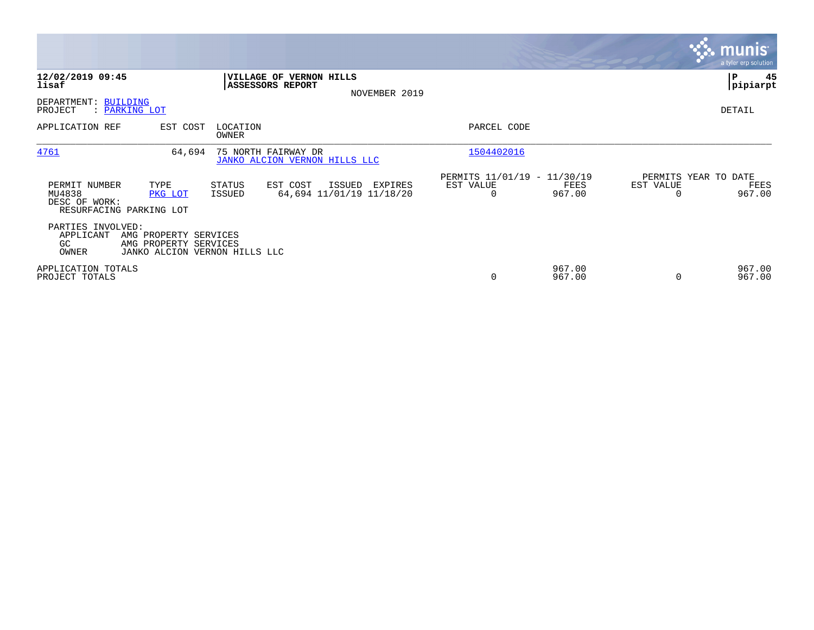|                                               |                                                                                 |                         |                                                      |                                               |                                               |                  |           | <b>munis</b><br>a tyler erp solution   |
|-----------------------------------------------|---------------------------------------------------------------------------------|-------------------------|------------------------------------------------------|-----------------------------------------------|-----------------------------------------------|------------------|-----------|----------------------------------------|
| 12/02/2019 09:45<br>lisaf                     |                                                                                 |                         | VILLAGE OF VERNON HILLS<br>ASSESSORS REPORT          | NOVEMBER 2019                                 |                                               |                  |           | 45<br>l P<br> pipiarpt                 |
| DEPARTMENT: BUILDING<br>PROJECT               | : PARKING LOT                                                                   |                         |                                                      |                                               |                                               |                  |           | DETAIL                                 |
| APPLICATION REF                               | EST COST                                                                        | LOCATION<br>OWNER       |                                                      |                                               | PARCEL CODE                                   |                  |           |                                        |
| 4761                                          | 64,694                                                                          |                         | 75 NORTH FAIRWAY DR<br>JANKO ALCION VERNON HILLS LLC |                                               | 1504402016                                    |                  |           |                                        |
| PERMIT NUMBER<br>MU4838<br>DESC OF WORK:      | TYPE<br>PKG LOT<br>RESURFACING PARKING LOT                                      | <b>STATUS</b><br>ISSUED | EST COST                                             | ISSUED<br>EXPIRES<br>64,694 11/01/19 11/18/20 | PERMITS 11/01/19 - 11/30/19<br>EST VALUE<br>0 | FEES<br>967.00   | EST VALUE | PERMITS YEAR TO DATE<br>FEES<br>967.00 |
| PARTIES INVOLVED:<br>APPLICANT<br>GC<br>OWNER | AMG PROPERTY SERVICES<br>AMG PROPERTY SERVICES<br>JANKO ALCION VERNON HILLS LLC |                         |                                                      |                                               |                                               |                  |           |                                        |
| APPLICATION TOTALS<br>PROJECT TOTALS          |                                                                                 |                         |                                                      |                                               | 0                                             | 967.00<br>967.00 | 0         | 967.00<br>967.00                       |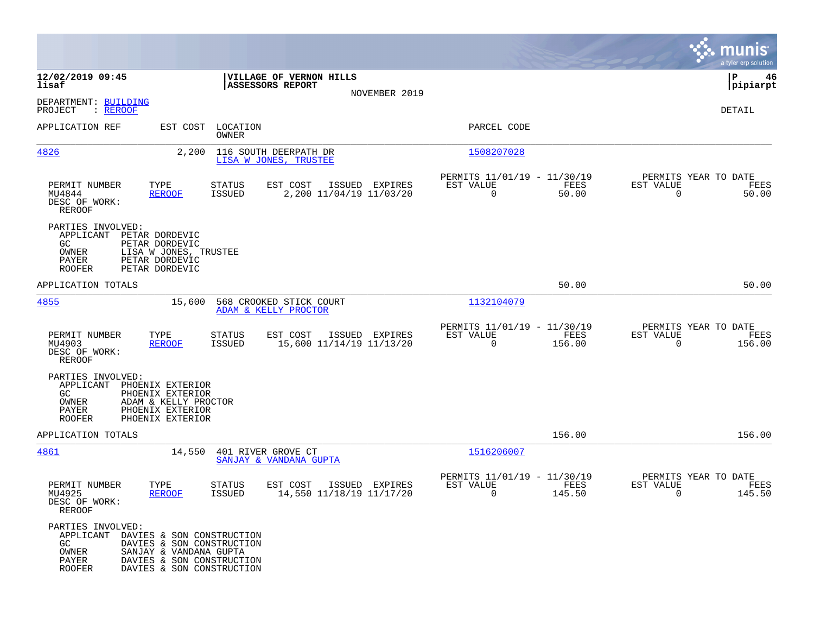|                                                                                                                                                                                                                       |                                                                                   |                                                                           | munis<br>a tyler erp solution                                      |
|-----------------------------------------------------------------------------------------------------------------------------------------------------------------------------------------------------------------------|-----------------------------------------------------------------------------------|---------------------------------------------------------------------------|--------------------------------------------------------------------|
| 12/02/2019 09:45<br>lisaf                                                                                                                                                                                             | VILLAGE OF VERNON HILLS<br><b>ASSESSORS REPORT</b>                                |                                                                           | P<br>46<br> pipiarpt                                               |
| DEPARTMENT: BUILDING<br>PROJECT<br>: <u>REROOF</u>                                                                                                                                                                    | NOVEMBER 2019                                                                     |                                                                           | DETAIL                                                             |
| APPLICATION REF<br>EST COST                                                                                                                                                                                           | LOCATION<br>OWNER                                                                 | PARCEL CODE                                                               |                                                                    |
| 4826<br>2,200                                                                                                                                                                                                         | 116 SOUTH DEERPATH DR<br>LISA W JONES, TRUSTEE                                    | 1508207028                                                                |                                                                    |
| TYPE<br>PERMIT NUMBER<br>MU4844<br><b>REROOF</b><br>DESC OF WORK:<br><b>REROOF</b>                                                                                                                                    | EST COST<br>ISSUED EXPIRES<br><b>STATUS</b><br>2,200 11/04/19 11/03/20<br>ISSUED  | PERMITS 11/01/19 - 11/30/19<br>EST VALUE<br>FEES<br>$\mathbf 0$<br>50.00  | PERMITS YEAR TO DATE<br>EST VALUE<br>FEES<br>$\mathbf 0$<br>50.00  |
| PARTIES INVOLVED:<br>APPLICANT<br>PETAR DORDEVIC<br>GC.<br>PETAR DORDEVIC<br>OWNER<br>LISA W JONES, TRUSTEE<br>PAYER<br>PETAR DORDEVIC<br><b>ROOFER</b><br>PETAR DORDEVIC                                             |                                                                                   |                                                                           |                                                                    |
| APPLICATION TOTALS                                                                                                                                                                                                    |                                                                                   | 50.00                                                                     | 50.00                                                              |
| 4855<br>15,600                                                                                                                                                                                                        | 568 CROOKED STICK COURT<br>ADAM & KELLY PROCTOR                                   | 1132104079                                                                |                                                                    |
| PERMIT NUMBER<br>TYPE<br>MU4903<br><b>REROOF</b><br>DESC OF WORK:<br><b>REROOF</b>                                                                                                                                    | <b>STATUS</b><br>EST COST<br>ISSUED EXPIRES<br>ISSUED<br>15,600 11/14/19 11/13/20 | PERMITS 11/01/19 - 11/30/19<br>EST VALUE<br>FEES<br>$\mathbf 0$<br>156.00 | PERMITS YEAR TO DATE<br>EST VALUE<br>FEES<br>$\mathbf 0$<br>156.00 |
| PARTIES INVOLVED:<br>APPLICANT<br>PHOENIX EXTERIOR<br>GC.<br>PHOENIX EXTERIOR<br>OWNER<br>ADAM & KELLY PROCTOR<br>PAYER<br>PHOENIX EXTERIOR<br><b>ROOFER</b><br>PHOENIX EXTERIOR                                      |                                                                                   |                                                                           |                                                                    |
| APPLICATION TOTALS                                                                                                                                                                                                    |                                                                                   | 156.00                                                                    | 156.00                                                             |
| 4861<br>14,550                                                                                                                                                                                                        | 401 RIVER GROVE CT<br>SANJAY & VANDANA GUPTA                                      | 1516206007                                                                |                                                                    |
| PERMIT NUMBER<br>TYPE<br>MU4925<br><b>REROOF</b><br>DESC OF WORK:<br><b>REROOF</b>                                                                                                                                    | EST COST<br>STATUS<br>ISSUED EXPIRES<br><b>ISSUED</b><br>14,550 11/18/19 11/17/20 | PERMITS 11/01/19 - 11/30/19<br>EST VALUE<br>FEES<br>0<br>145.50           | PERMITS YEAR TO DATE<br>EST VALUE<br>FEES<br>0<br>145.50           |
| PARTIES INVOLVED:<br>APPLICANT<br>DAVIES & SON CONSTRUCTION<br>GC<br>DAVIES & SON CONSTRUCTION<br>OWNER<br>SANJAY & VANDANA GUPTA<br>PAYER<br>DAVIES & SON CONSTRUCTION<br><b>ROOFER</b><br>DAVIES & SON CONSTRUCTION |                                                                                   |                                                                           |                                                                    |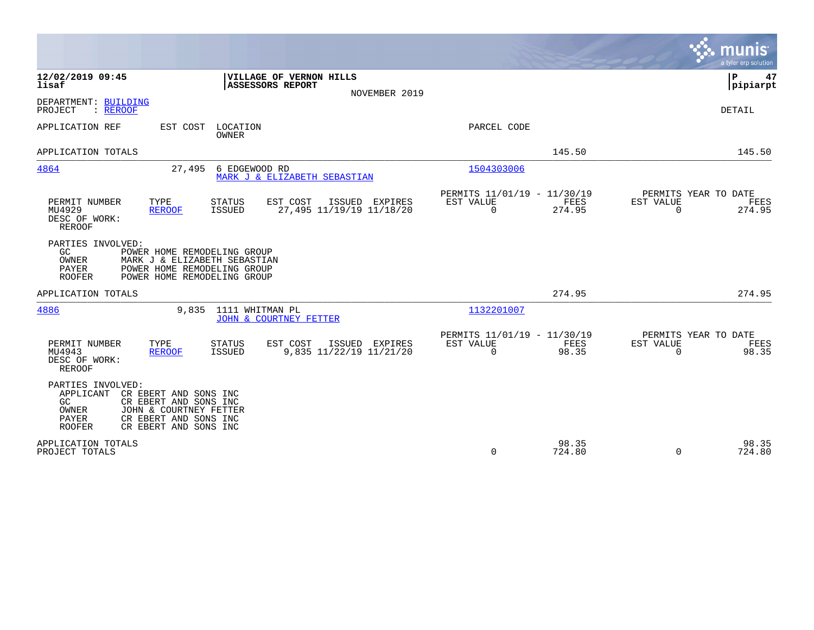|                                                                                                                                                                                                        |                                                                              | a tyler erp solution                                                  |
|--------------------------------------------------------------------------------------------------------------------------------------------------------------------------------------------------------|------------------------------------------------------------------------------|-----------------------------------------------------------------------|
| 12/02/2019 09:45<br>VILLAGE OF VERNON HILLS<br>lisaf<br><b>ASSESSORS REPORT</b><br>NOVEMBER 2019                                                                                                       |                                                                              | P<br>47<br> pipiarpt                                                  |
| DEPARTMENT: BUILDING<br>PROJECT<br>: REROOF                                                                                                                                                            |                                                                              | DETAIL                                                                |
| APPLICATION REF<br>EST COST<br>LOCATION<br>OWNER                                                                                                                                                       | PARCEL CODE                                                                  |                                                                       |
| APPLICATION TOTALS                                                                                                                                                                                     | 145.50                                                                       | 145.50                                                                |
| 4864<br>27,495<br>6 EDGEWOOD RD<br>MARK J & ELIZABETH SEBASTIAN                                                                                                                                        | 1504303006                                                                   |                                                                       |
| PERMIT NUMBER<br>TYPE<br>STATUS<br>EST COST<br>ISSUED EXPIRES<br>MU4929<br><b>ISSUED</b><br>27,495 11/19/19 11/18/20<br><b>REROOF</b><br>DESC OF WORK:<br>REROOF                                       | PERMITS 11/01/19 - 11/30/19<br>EST VALUE<br>FEES<br>$\mathbf 0$<br>274.95    | PERMITS YEAR TO DATE<br>EST VALUE<br>FEES<br>$\Omega$<br>274.95       |
| PARTIES INVOLVED:<br>GC<br>POWER HOME REMODELING GROUP<br>OWNER<br>MARK J & ELIZABETH SEBASTIAN<br>PAYER<br>POWER HOME REMODELING GROUP<br><b>ROOFER</b><br>POWER HOME REMODELING GROUP                |                                                                              |                                                                       |
| APPLICATION TOTALS                                                                                                                                                                                     | 274.95                                                                       | 274.95                                                                |
| 4886<br>9,835<br>1111 WHITMAN PL<br>JOHN & COURTNEY FETTER                                                                                                                                             | 1132201007                                                                   |                                                                       |
| EST COST<br>PERMIT NUMBER<br>TYPE<br><b>STATUS</b><br>ISSUED EXPIRES<br>9,835 11/22/19 11/21/20<br>MU4943<br><b>REROOF</b><br><b>ISSUED</b><br>DESC OF WORK:<br>REROOF                                 | PERMITS 11/01/19 - 11/30/19<br><b>EST VALUE</b><br>FEES<br>$\Omega$<br>98.35 | PERMITS YEAR TO DATE<br><b>EST VALUE</b><br>FEES<br>$\Omega$<br>98.35 |
| PARTIES INVOLVED:<br>APPLICANT<br>CR EBERT AND SONS INC<br>GC.<br>CR EBERT AND SONS INC<br>OWNER<br>JOHN & COURTNEY FETTER<br>CR EBERT AND SONS INC<br>PAYER<br><b>ROOFER</b><br>CR EBERT AND SONS INC |                                                                              |                                                                       |
| APPLICATION TOTALS<br>PROJECT TOTALS                                                                                                                                                                   | 98.35<br>$\mathbf 0$<br>724.80                                               | 98.35<br>$\Omega$<br>724.80                                           |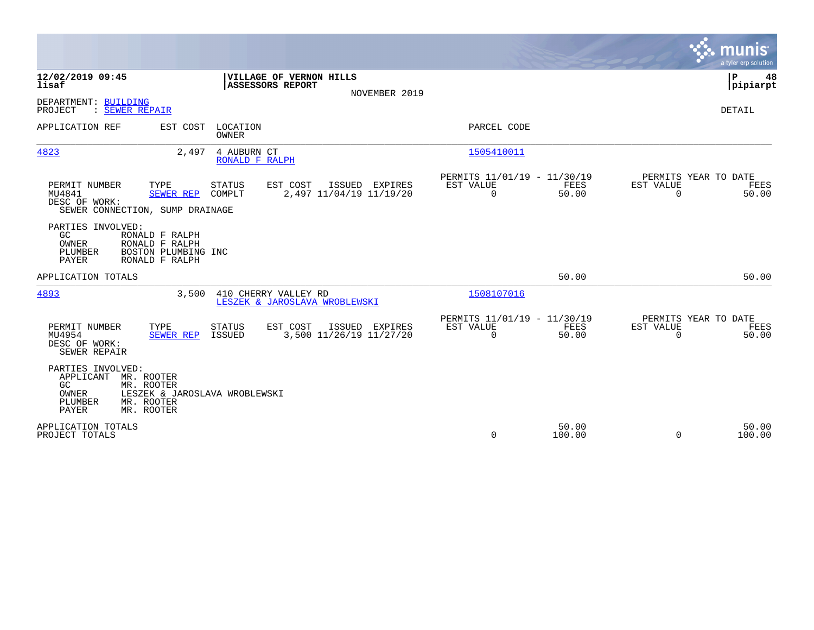|                                                                                                                                                                                                |                                                                          | munis<br>a tyler erp solution                                  |
|------------------------------------------------------------------------------------------------------------------------------------------------------------------------------------------------|--------------------------------------------------------------------------|----------------------------------------------------------------|
| 12/02/2019 09:45<br>VILLAGE OF VERNON HILLS<br>lisaf<br>ASSESSORS REPORT<br>NOVEMBER 2019                                                                                                      |                                                                          | P<br>48<br> pipiarpt                                           |
| DEPARTMENT: BUILDING<br>: SEWER REPAIR<br>PROJECT                                                                                                                                              |                                                                          | DETAIL                                                         |
| APPLICATION REF<br>EST COST<br>LOCATION<br>OWNER                                                                                                                                               | PARCEL CODE                                                              |                                                                |
| 4823<br>4 AUBURN CT<br>2,497<br><b>RONALD F RALPH</b>                                                                                                                                          | 1505410011                                                               |                                                                |
| EST COST<br><b>ISSUED</b><br>PERMIT NUMBER<br>TYPE<br><b>STATUS</b><br>EXPIRES<br>2,497 11/04/19 11/19/20<br>MU4841<br>SEWER REP<br>COMPLT<br>DESC OF WORK:<br>SEWER CONNECTION, SUMP DRAINAGE | PERMITS 11/01/19 - 11/30/19<br>EST VALUE<br>FEES<br>$\mathbf 0$<br>50.00 | PERMITS YEAR TO DATE<br>EST VALUE<br>FEES<br>$\Omega$<br>50.00 |
| PARTIES INVOLVED:<br>GC<br>RONALD F RALPH<br>OWNER<br>RONALD F RALPH<br>PLUMBER<br>BOSTON PLUMBING INC<br>PAYER<br>RONALD F RALPH                                                              |                                                                          |                                                                |
| APPLICATION TOTALS                                                                                                                                                                             | 50.00                                                                    | 50.00                                                          |
| 410 CHERRY VALLEY RD<br>4893<br>3,500<br>LESZEK & JAROSLAVA WROBLEWSKI                                                                                                                         | 1508107016                                                               |                                                                |
| TYPE<br>EST COST<br>ISSUED EXPIRES<br>PERMIT NUMBER<br><b>STATUS</b><br>3,500 11/26/19 11/27/20<br>MU4954<br>SEWER REP<br>ISSUED<br>DESC OF WORK:<br>SEWER REPAIR                              | PERMITS 11/01/19 - 11/30/19<br>EST VALUE<br>FEES<br>$\mathbf 0$<br>50.00 | PERMITS YEAR TO DATE<br>EST VALUE<br>FEES<br>$\Omega$<br>50.00 |
| PARTIES INVOLVED:<br>APPLICANT<br>MR. ROOTER<br>GC.<br>MR. ROOTER<br>OWNER<br>LESZEK & JAROSLAVA WROBLEWSKI<br>PLUMBER<br>MR. ROOTER<br>PAYER<br>MR. ROOTER                                    |                                                                          |                                                                |
| APPLICATION TOTALS<br>PROJECT TOTALS                                                                                                                                                           | 50.00<br>0<br>100.00                                                     | 50.00<br>100.00<br>$\Omega$                                    |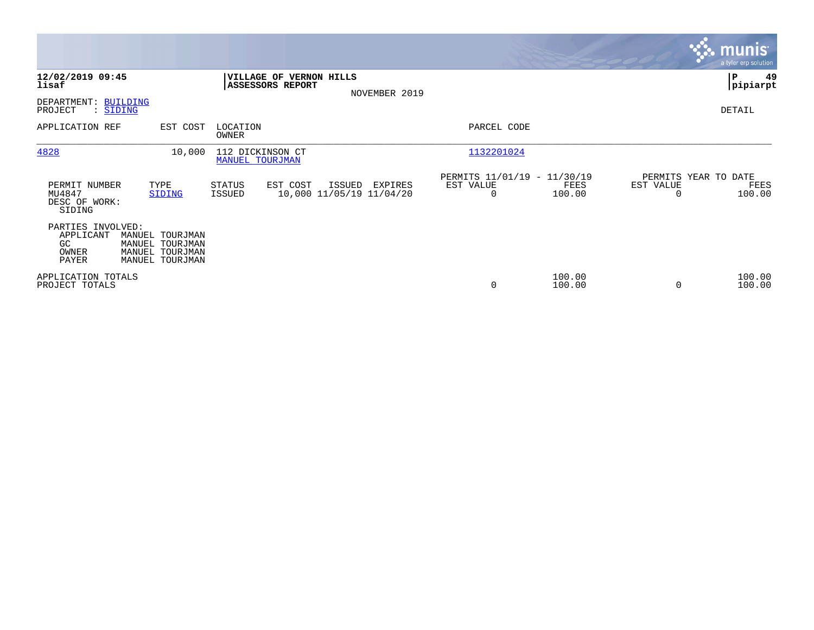|                                                        |                                                                          |                                            |                                             |                                    |               |                                               |                  |           | <b>munis</b><br>a tyler erp solution   |
|--------------------------------------------------------|--------------------------------------------------------------------------|--------------------------------------------|---------------------------------------------|------------------------------------|---------------|-----------------------------------------------|------------------|-----------|----------------------------------------|
| 12/02/2019 09:45<br>lisaf                              |                                                                          |                                            | VILLAGE OF VERNON HILLS<br>ASSESSORS REPORT |                                    | NOVEMBER 2019 |                                               |                  |           | P<br>49<br> pipiarpt                   |
| DEPARTMENT: BUILDING<br>PROJECT<br>: SIDING            |                                                                          |                                            |                                             |                                    |               |                                               |                  |           | DETAIL                                 |
| APPLICATION REF                                        | EST COST                                                                 | LOCATION<br>OWNER                          |                                             |                                    |               | PARCEL CODE                                   |                  |           |                                        |
| 4828                                                   | 10,000                                                                   | 112 DICKINSON CT<br><b>MANUEL TOURJMAN</b> |                                             |                                    |               | 1132201024                                    |                  |           |                                        |
| PERMIT NUMBER<br>MU4847<br>DESC OF WORK:<br>SIDING     | TYPE<br>SIDING                                                           | STATUS<br>ISSUED                           | EST COST                                    | ISSUED<br>10,000 11/05/19 11/04/20 | EXPIRES       | PERMITS 11/01/19 - 11/30/19<br>EST VALUE<br>0 | FEES<br>100.00   | EST VALUE | PERMITS YEAR TO DATE<br>FEES<br>100.00 |
| PARTIES INVOLVED:<br>APPLICANT<br>GC<br>OWNER<br>PAYER | MANUEL TOURJMAN<br>MANUEL TOURJMAN<br>MANUEL TOURJMAN<br>MANUEL TOURJMAN |                                            |                                             |                                    |               |                                               |                  |           |                                        |
| APPLICATION TOTALS<br>PROJECT TOTALS                   |                                                                          |                                            |                                             |                                    |               | 0                                             | 100.00<br>100.00 | $\Omega$  | 100.00<br>100.00                       |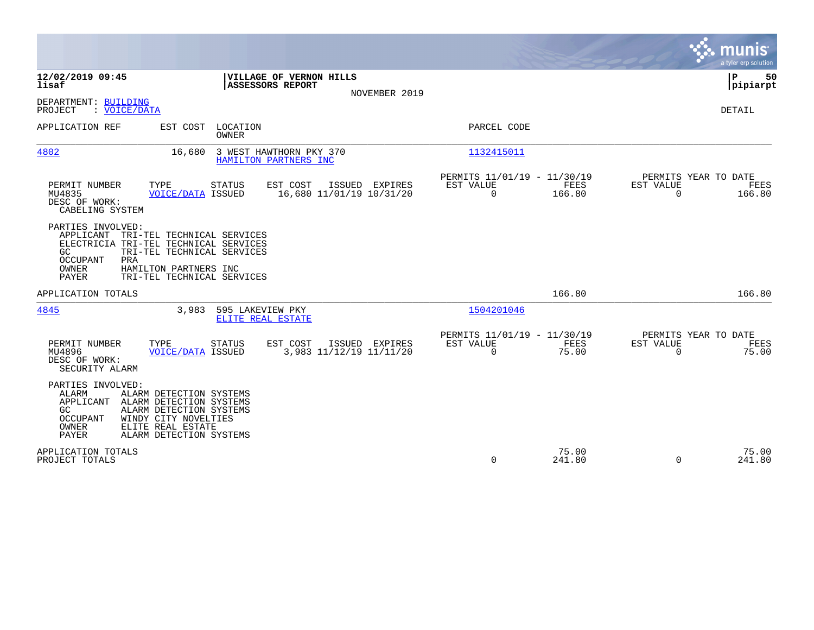|                                                                                                                                                                                                                                                   | munis<br>a tyler erp solution                                                                                                                |
|---------------------------------------------------------------------------------------------------------------------------------------------------------------------------------------------------------------------------------------------------|----------------------------------------------------------------------------------------------------------------------------------------------|
| 12/02/2019 09:45<br>VILLAGE OF VERNON HILLS<br>lisaf<br>ASSESSORS REPORT<br>NOVEMBER 2019                                                                                                                                                         | ΙP<br>50<br> pipiarpt                                                                                                                        |
| DEPARTMENT: BUILDING<br>: VOICE/DATA<br>PROJECT                                                                                                                                                                                                   | DETAIL                                                                                                                                       |
| LOCATION<br>APPLICATION REF<br>EST COST<br><b>OWNER</b>                                                                                                                                                                                           | PARCEL CODE                                                                                                                                  |
| 4802<br>3 WEST HAWTHORN PKY 370<br>16,680<br>HAMILTON PARTNERS INC                                                                                                                                                                                | 1132415011                                                                                                                                   |
| PERMIT NUMBER<br>TYPE<br><b>STATUS</b><br>EST COST<br>ISSUED EXPIRES<br>MU4835<br>16,680 11/01/19 10/31/20<br><b>VOICE/DATA ISSUED</b><br>DESC OF WORK:<br>CABELING SYSTEM                                                                        | PERMITS 11/01/19 - 11/30/19<br>PERMITS YEAR TO DATE<br>EST VALUE<br>FEES<br>EST VALUE<br>FEES<br>$\mathbf 0$<br>166.80<br>$\Omega$<br>166.80 |
| PARTIES INVOLVED:<br>APPLICANT TRI-TEL TECHNICAL SERVICES<br>ELECTRICIA TRI-TEL TECHNICAL SERVICES<br>TRI-TEL TECHNICAL SERVICES<br>GC.<br><b>OCCUPANT</b><br>PRA<br>OWNER<br>HAMILTON PARTNERS INC<br><b>PAYER</b><br>TRI-TEL TECHNICAL SERVICES |                                                                                                                                              |
| APPLICATION TOTALS                                                                                                                                                                                                                                | 166.80<br>166.80                                                                                                                             |
| 4845<br>3,983<br>595 LAKEVIEW PKY<br>ELITE REAL ESTATE                                                                                                                                                                                            | 1504201046                                                                                                                                   |
| PERMIT NUMBER<br>TYPE<br>EST COST<br>ISSUED EXPIRES<br><b>STATUS</b><br>MU4896<br><b>VOICE/DATA ISSUED</b><br>3,983 11/12/19 11/11/20<br>DESC OF WORK:<br>SECURITY ALARM                                                                          | PERMITS YEAR TO DATE<br>PERMITS 11/01/19 - 11/30/19<br>EST VALUE<br>FEES<br>EST VALUE<br>FEES<br>$\mathbf 0$<br>75.00<br>$\Omega$<br>75.00   |
| PARTIES INVOLVED:<br>ALARM<br>ALARM DETECTION SYSTEMS<br>APPLICANT<br>ALARM DETECTION SYSTEMS<br>ALARM DETECTION SYSTEMS<br>GC.<br>WINDY CITY NOVELTIES<br>OCCUPANT<br>OWNER<br>ELITE REAL ESTATE<br>ALARM DETECTION SYSTEMS<br>PAYER             |                                                                                                                                              |
| APPLICATION TOTALS<br>PROJECT TOTALS                                                                                                                                                                                                              | 75.00<br>75.00<br>$\Omega$<br>$\Omega$<br>241.80<br>241.80                                                                                   |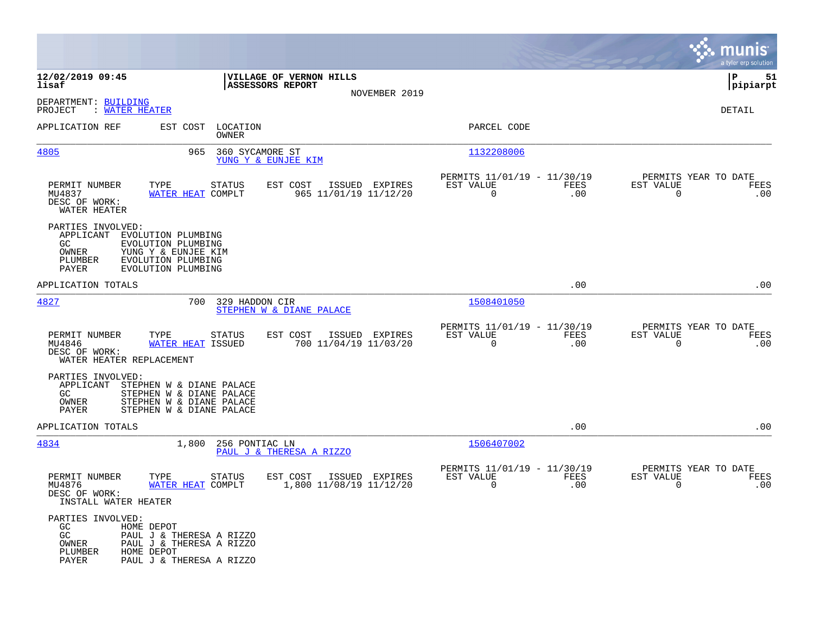|                                                                                         |                                                                                                              |                                                       |                                                         |             |                                                  | munis<br>a tyler erp solution |
|-----------------------------------------------------------------------------------------|--------------------------------------------------------------------------------------------------------------|-------------------------------------------------------|---------------------------------------------------------|-------------|--------------------------------------------------|-------------------------------|
| 12/02/2019 09:45<br>lisaf                                                               | ASSESSORS REPORT                                                                                             | VILLAGE OF VERNON HILLS<br>NOVEMBER 2019              |                                                         |             |                                                  | l P<br>51<br> pipiarpt        |
| DEPARTMENT: BUILDING<br>: WATER HEATER<br>PROJECT                                       |                                                                                                              |                                                       |                                                         |             |                                                  | <b>DETAIL</b>                 |
| APPLICATION REF                                                                         | EST COST LOCATION<br>OWNER                                                                                   |                                                       | PARCEL CODE                                             |             |                                                  |                               |
| 4805                                                                                    | 965<br>360 SYCAMORE ST<br>YUNG Y & EUNJEE KIM                                                                |                                                       | 1132208006                                              |             |                                                  |                               |
| PERMIT NUMBER<br>TYPE<br>MU4837<br>DESC OF WORK:<br>WATER HEATER                        | <b>STATUS</b><br>WATER HEAT COMPLT                                                                           | EST COST<br>ISSUED EXPIRES<br>965 11/01/19 11/12/20   | PERMITS 11/01/19 - 11/30/19<br>EST VALUE<br>$\mathbf 0$ | FEES<br>.00 | PERMITS YEAR TO DATE<br>EST VALUE<br>$\mathbf 0$ | FEES<br>.00                   |
| PARTIES INVOLVED:<br>APPLICANT<br>EVOLUTION PLUMBING<br>GC<br>OWNER<br>PLUMBER<br>PAYER | EVOLUTION PLUMBING<br>YUNG Y & EUNJEE KIM<br>EVOLUTION PLUMBING<br>EVOLUTION PLUMBING                        |                                                       |                                                         |             |                                                  |                               |
| APPLICATION TOTALS                                                                      |                                                                                                              |                                                       |                                                         | .00         |                                                  | .00                           |
| 4827                                                                                    | 700<br>329 HADDON CIR<br>STEPHEN W & DIANE PALACE                                                            |                                                       | 1508401050                                              |             |                                                  |                               |
| PERMIT NUMBER<br>TYPE<br>MU4846<br>DESC OF WORK:<br>WATER HEATER REPLACEMENT            | STATUS<br>WATER HEAT ISSUED                                                                                  | EST COST<br>ISSUED EXPIRES<br>700 11/04/19 11/03/20   | PERMITS 11/01/19 - 11/30/19<br>EST VALUE<br>$\mathbf 0$ | FEES<br>.00 | PERMITS YEAR TO DATE<br>EST VALUE<br>$\mathbf 0$ | FEES<br>.00                   |
| PARTIES INVOLVED:<br>APPLICANT<br>GC<br>OWNER<br>PAYER                                  | STEPHEN W & DIANE PALACE<br>STEPHEN W & DIANE PALACE<br>STEPHEN W & DIANE PALACE<br>STEPHEN W & DIANE PALACE |                                                       |                                                         |             |                                                  |                               |
| APPLICATION TOTALS                                                                      |                                                                                                              |                                                       |                                                         | .00         |                                                  | .00                           |
| 4834                                                                                    | 1,800<br>256 PONTIAC LN<br>PAUL J & THERESA A RIZZO                                                          |                                                       | 1506407002                                              |             |                                                  |                               |
| PERMIT NUMBER<br>TYPE<br>MU4876<br>DESC OF WORK:<br>INSTALL WATER HEATER                | <b>STATUS</b><br>WATER HEAT COMPLT                                                                           | EST COST<br>ISSUED EXPIRES<br>1,800 11/08/19 11/12/20 | PERMITS 11/01/19 - 11/30/19<br>EST VALUE<br>$\mathbf 0$ | FEES<br>.00 | PERMITS YEAR TO DATE<br>EST VALUE<br>$\mathbf 0$ | FEES<br>.00                   |
| PARTIES INVOLVED:<br>GC<br>HOME DEPOT<br>GC<br>OWNER<br>HOME DEPOT<br>PLUMBER<br>PAYER  | PAUL J & THERESA A RIZZO<br>PAUL J & THERESA A RIZZO<br>PAUL J & THERESA A RIZZO                             |                                                       |                                                         |             |                                                  |                               |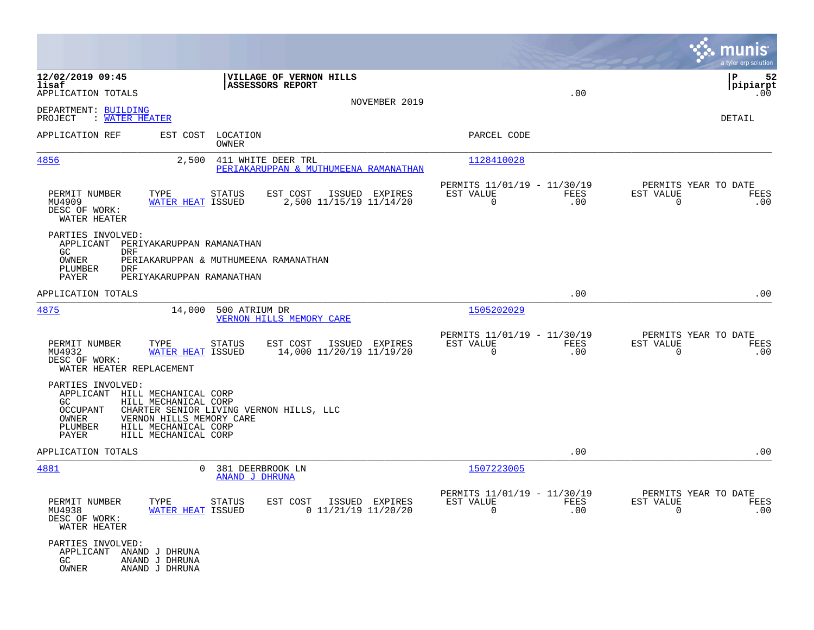|                                                                                                                                                                                                                |                                                                  |                                                                        | munis<br>a tyler erp solution                                     |
|----------------------------------------------------------------------------------------------------------------------------------------------------------------------------------------------------------------|------------------------------------------------------------------|------------------------------------------------------------------------|-------------------------------------------------------------------|
| 12/02/2019 09:45<br>lisaf<br>APPLICATION TOTALS                                                                                                                                                                | VILLAGE OF VERNON HILLS<br>ASSESSORS REPORT                      | .00                                                                    | ΙP<br>52<br> pipiarpt<br>$.00 \,$                                 |
| DEPARTMENT: BUILDING<br>: WATER HEATER<br>PROJECT                                                                                                                                                              | NOVEMBER 2019                                                    |                                                                        | DETAIL                                                            |
| APPLICATION REF                                                                                                                                                                                                | EST COST LOCATION<br><b>OWNER</b>                                | PARCEL CODE                                                            |                                                                   |
| 4856<br>2,500                                                                                                                                                                                                  | 411 WHITE DEER TRL<br>PERIAKARUPPAN & MUTHUMEENA RAMANATHAN      | 1128410028                                                             |                                                                   |
| PERMIT NUMBER<br>TYPE<br>MU4909<br>WATER HEAT ISSUED<br>DESC OF WORK:<br>WATER HEATER                                                                                                                          | EST COST<br>STATUS<br>ISSUED EXPIRES<br>2,500 11/15/19 11/14/20  | PERMITS 11/01/19 - 11/30/19<br>FEES<br>EST VALUE<br>$\mathbf 0$<br>.00 | PERMITS YEAR TO DATE<br>EST VALUE<br>FEES<br>$\mathbf 0$<br>.00   |
| PARTIES INVOLVED:<br>APPLICANT<br>PERIYAKARUPPAN RAMANATHAN<br>GC.<br><b>DRF</b><br>OWNER<br><b>PLUMBER</b><br>DRF                                                                                             | PERIAKARUPPAN & MUTHUMEENA RAMANATHAN                            |                                                                        |                                                                   |
| PAYER<br>PERIYAKARUPPAN RAMANATHAN                                                                                                                                                                             |                                                                  |                                                                        |                                                                   |
| APPLICATION TOTALS                                                                                                                                                                                             |                                                                  | .00                                                                    | .00                                                               |
| 4875<br>14,000                                                                                                                                                                                                 | 500 ATRIUM DR<br><b>VERNON HILLS MEMORY CARE</b>                 | 1505202029                                                             |                                                                   |
| PERMIT NUMBER<br>TYPE<br>MU4932<br>WATER HEAT ISSUED<br>DESC OF WORK:<br>WATER HEATER REPLACEMENT                                                                                                              | EST COST<br>STATUS<br>ISSUED EXPIRES<br>14,000 11/20/19 11/19/20 | PERMITS 11/01/19 - 11/30/19<br>EST VALUE<br>FEES<br>.00<br>0           | PERMITS YEAR TO DATE<br>EST VALUE<br>FEES<br>.00<br>0             |
| PARTIES INVOLVED:<br>APPLICANT HILL MECHANICAL CORP<br>HILL MECHANICAL CORP<br>GC.<br><b>OCCUPANT</b><br>OWNER<br>VERNON HILLS MEMORY CARE<br>PLUMBER<br>HILL MECHANICAL CORP<br>HILL MECHANICAL CORP<br>PAYER | CHARTER SENIOR LIVING VERNON HILLS, LLC                          |                                                                        |                                                                   |
| APPLICATION TOTALS                                                                                                                                                                                             |                                                                  | .00                                                                    | .00                                                               |
| <u>4881</u><br>$\Omega$                                                                                                                                                                                        | 381 DEERBROOK LN<br>ANAND J DHRUNA                               | 1507223005                                                             |                                                                   |
| PERMIT NUMBER<br>TYPE<br>MU4938<br>WATER HEAT ISSUED<br>DESC OF WORK:<br>WATER HEATER                                                                                                                          | STATUS<br>EST COST ISSUED EXPIRES<br>$0$ 11/21/19 11/20/20       | PERMITS 11/01/19 - 11/30/19<br>EST VALUE<br>FEES<br>$\Omega$<br>.00    | PERMITS YEAR TO DATE<br>EST VALUE<br>FEES<br>$\Omega$<br>$.00 \,$ |
| PARTIES INVOLVED:<br>APPLICANT ANAND J DHRUNA<br>GC<br>ANAND J DHRUNA<br>OWNER<br>ANAND J DHRUNA                                                                                                               |                                                                  |                                                                        |                                                                   |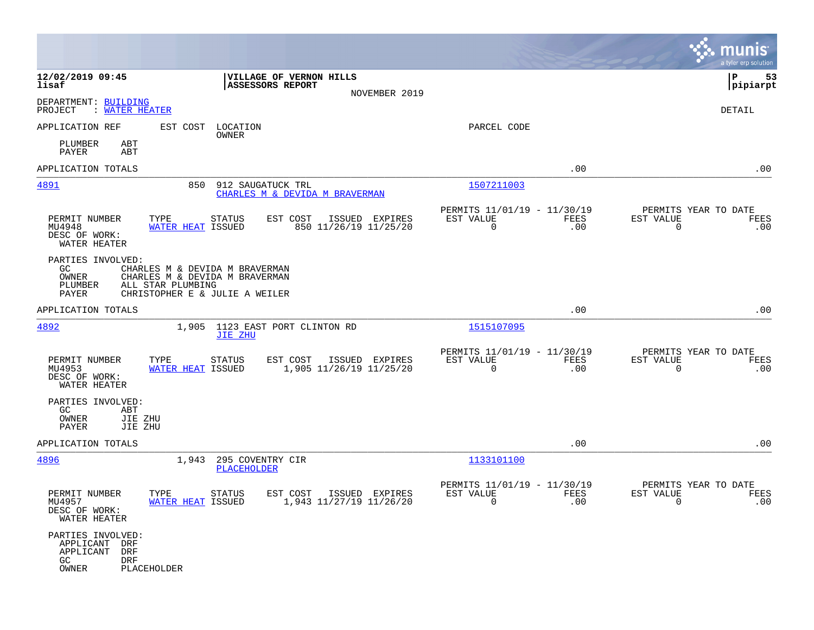|                                                                              |                                                                                                                         |                                                            |             | munis<br>a tyler erp solution                                       |
|------------------------------------------------------------------------------|-------------------------------------------------------------------------------------------------------------------------|------------------------------------------------------------|-------------|---------------------------------------------------------------------|
| 12/02/2019 09:45<br>lisaf                                                    | VILLAGE OF VERNON HILLS<br><b>ASSESSORS REPORT</b><br>NOVEMBER 2019                                                     |                                                            |             | P<br>53<br> pipiarpt                                                |
| DEPARTMENT: BUILDING<br>PROJECT<br>: WATER HEATER                            |                                                                                                                         |                                                            |             | DETAIL                                                              |
| APPLICATION REF                                                              | EST COST<br>LOCATION<br>OWNER                                                                                           | PARCEL CODE                                                |             |                                                                     |
| PLUMBER<br>ABT<br>PAYER<br>ABT                                               |                                                                                                                         |                                                            |             |                                                                     |
| APPLICATION TOTALS                                                           |                                                                                                                         |                                                            | .00         | .00                                                                 |
| 4891                                                                         | 850<br>912 SAUGATUCK TRL<br>CHARLES M & DEVIDA M BRAVERMAN                                                              | 1507211003                                                 |             |                                                                     |
| PERMIT NUMBER<br>MU4948<br>DESC OF WORK:<br>WATER HEATER                     | TYPE<br><b>STATUS</b><br>EST COST<br>ISSUED EXPIRES<br><b>WATER HEAT ISSUED</b><br>850 11/26/19 11/25/20                | PERMITS 11/01/19 - 11/30/19<br>EST VALUE<br>$\mathbf 0$    | FEES<br>.00 | PERMITS YEAR TO DATE<br>EST VALUE<br>FEES<br>$\mathbf 0$<br>.00     |
| PARTIES INVOLVED:<br>GC.<br>OWNER<br>PLUMBER<br>PAYER                        | CHARLES M & DEVIDA M BRAVERMAN<br>CHARLES M & DEVIDA M BRAVERMAN<br>ALL STAR PLUMBING<br>CHRISTOPHER E & JULIE A WEILER |                                                            |             |                                                                     |
| APPLICATION TOTALS                                                           |                                                                                                                         |                                                            | .00         | .00                                                                 |
| 4892                                                                         | 1,905 1123 EAST PORT CLINTON RD<br><b>JIE ZHU</b>                                                                       | 1515107095                                                 |             |                                                                     |
| PERMIT NUMBER<br>MU4953<br>DESC OF WORK:<br>WATER HEATER                     | TYPE<br><b>STATUS</b><br>EST COST<br>ISSUED EXPIRES<br>WATER HEAT ISSUED<br>1,905 11/26/19 11/25/20                     | PERMITS 11/01/19 - 11/30/19<br>EST VALUE<br>0              | FEES<br>.00 | PERMITS YEAR TO DATE<br>EST VALUE<br>FEES<br>0<br>.00               |
| PARTIES INVOLVED:<br>GC.<br>ABT<br>OWNER<br>JIE ZHU<br>PAYER<br>JIE ZHU      |                                                                                                                         |                                                            |             |                                                                     |
| APPLICATION TOTALS                                                           |                                                                                                                         |                                                            | .00         | .00                                                                 |
| 4896                                                                         | 295 COVENTRY CIR<br>1,943<br>PLACEHOLDER                                                                                | 1133101100                                                 |             |                                                                     |
| PERMIT NUMBER<br>MU4957<br>DESC OF WORK:<br>WATER HEATER                     | TYPE<br><b>STATUS</b><br>EST COST<br>ISSUED EXPIRES<br>WATER HEAT ISSUED<br>1,943 11/27/19 11/26/20                     | PERMITS 11/01/19 - 11/30/19<br>EST VALUE<br>$\overline{0}$ | FEES<br>.00 | PERMITS YEAR TO DATE<br>EST VALUE<br>FEES<br>$\overline{0}$<br>.00. |
| PARTIES INVOLVED:<br>APPLICANT DRF<br>APPLICANT<br>DRF<br>GC<br>DRF<br>OWNER | PLACEHOLDER                                                                                                             |                                                            |             |                                                                     |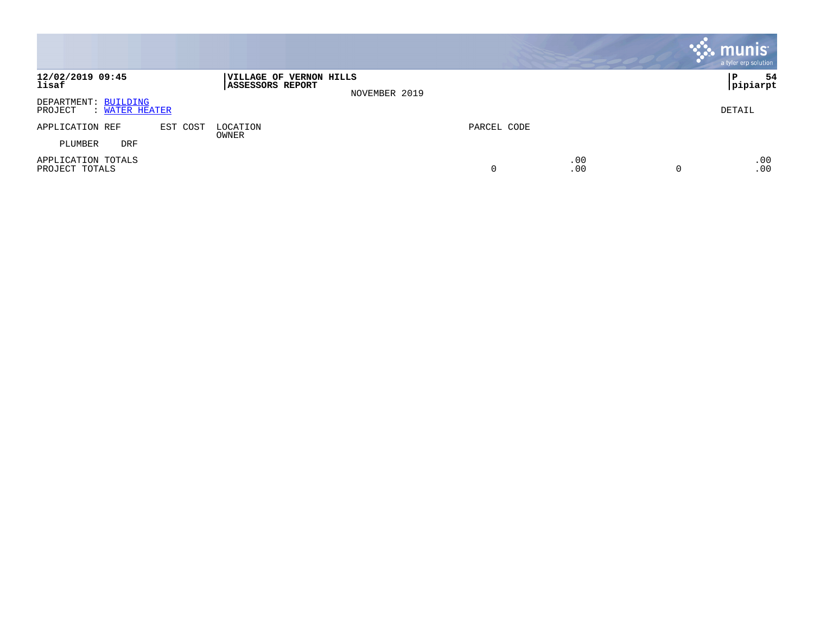|                                                   |                                                                     |             |            |   | <b>munis</b><br>a tyler erp solution |
|---------------------------------------------------|---------------------------------------------------------------------|-------------|------------|---|--------------------------------------|
| 12/02/2019 09:45<br>lisaf                         | VILLAGE OF VERNON HILLS<br><b>ASSESSORS REPORT</b><br>NOVEMBER 2019 |             |            |   | 54<br>P<br> pipiarpt                 |
| DEPARTMENT: BUILDING<br>PROJECT<br>: WATER HEATER |                                                                     |             |            |   | DETAIL                               |
| APPLICATION REF<br>EST COST                       | LOCATION<br>OWNER                                                   | PARCEL CODE |            |   |                                      |
| <b>DRF</b><br>PLUMBER                             |                                                                     |             |            |   |                                      |
| APPLICATION TOTALS<br>PROJECT TOTALS              |                                                                     |             | .00<br>.00 | 0 | .00<br>.00                           |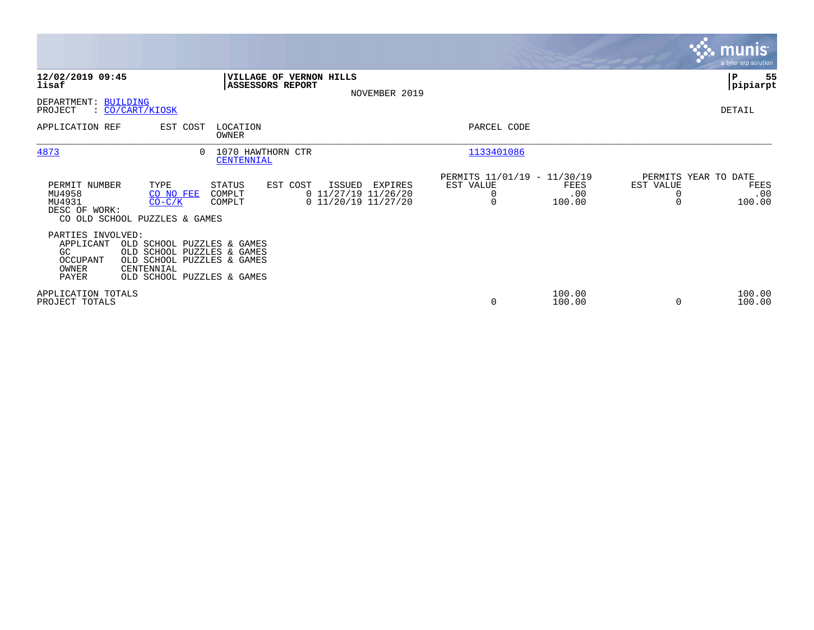|                                                                           |                                                                                                                                    |                            |                                                    |                                                                   |                                                           |                       |                                   | <b>munis</b><br>a tyler erp solution |
|---------------------------------------------------------------------------|------------------------------------------------------------------------------------------------------------------------------------|----------------------------|----------------------------------------------------|-------------------------------------------------------------------|-----------------------------------------------------------|-----------------------|-----------------------------------|--------------------------------------|
| 12/02/2019 09:45<br>lisaf                                                 |                                                                                                                                    |                            | VILLAGE OF VERNON HILLS<br><b>ASSESSORS REPORT</b> | NOVEMBER 2019                                                     |                                                           |                       |                                   | 55<br>ΙP<br> pipiarpt                |
| DEPARTMENT: BUILDING<br>PROJECT                                           | : CO/CART/KIOSK                                                                                                                    |                            |                                                    |                                                                   |                                                           |                       |                                   | DETAIL                               |
| APPLICATION REF                                                           | EST COST                                                                                                                           | LOCATION<br>OWNER          |                                                    |                                                                   | PARCEL CODE                                               |                       |                                   |                                      |
| 4873                                                                      | $\Omega$                                                                                                                           | <b>CENTENNIAL</b>          | 1070 HAWTHORN CTR                                  |                                                                   | 1133401086                                                |                       |                                   |                                      |
| PERMIT NUMBER<br>MU4958<br>MU4931<br>DESC OF WORK:                        | TYPE<br>CO NO FEE<br>$CO-C/K$<br>CO OLD SCHOOL PUZZLES & GAMES                                                                     | STATUS<br>COMPLT<br>COMPLT | EST COST                                           | ISSUED<br>EXPIRES<br>0 11/27/19 11/26/20<br>$0$ 11/20/19 11/27/20 | PERMITS 11/01/19 - 11/30/19<br>EST VALUE<br>0<br>$\Omega$ | FEES<br>.00<br>100.00 | PERMITS YEAR TO DATE<br>EST VALUE | FEES<br>.00<br>100.00                |
| PARTIES INVOLVED:<br>APPLICANT<br>GC<br><b>OCCUPANT</b><br>OWNER<br>PAYER | OLD SCHOOL PUZZLES & GAMES<br>OLD SCHOOL PUZZLES & GAMES<br>OLD SCHOOL PUZZLES & GAMES<br>CENTENNIAL<br>OLD SCHOOL PUZZLES & GAMES |                            |                                                    |                                                                   |                                                           |                       |                                   |                                      |
| APPLICATION TOTALS<br>PROJECT TOTALS                                      |                                                                                                                                    |                            |                                                    |                                                                   | $\mathbf 0$                                               | 100.00<br>100.00      | $\Omega$                          | 100.00<br>100.00                     |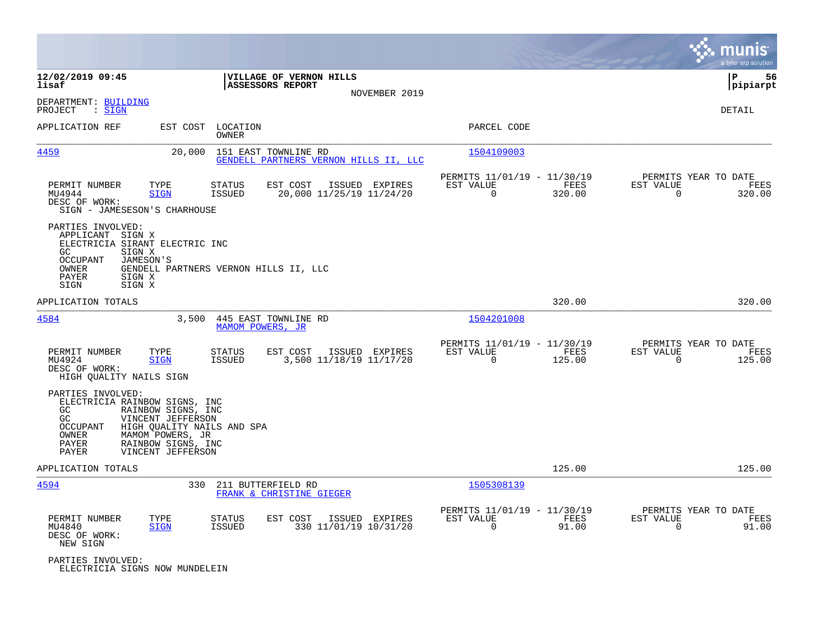|                                                                                                                                                                                                                                                       |                                                                                          |                                                         |                |                                                  | munis<br>a tyler erp solution |
|-------------------------------------------------------------------------------------------------------------------------------------------------------------------------------------------------------------------------------------------------------|------------------------------------------------------------------------------------------|---------------------------------------------------------|----------------|--------------------------------------------------|-------------------------------|
| 12/02/2019 09:45<br>lisaf                                                                                                                                                                                                                             | VILLAGE OF VERNON HILLS<br>ASSESSORS REPORT<br>NOVEMBER 2019                             |                                                         |                |                                                  | ΙP<br>56<br> pipiarpt         |
| DEPARTMENT: BUILDING<br>PROJECT<br>: SIGN                                                                                                                                                                                                             |                                                                                          |                                                         |                |                                                  | DETAIL                        |
| APPLICATION REF<br>EST COST                                                                                                                                                                                                                           | LOCATION<br>OWNER                                                                        | PARCEL CODE                                             |                |                                                  |                               |
| 4459<br>20,000                                                                                                                                                                                                                                        | 151 EAST TOWNLINE RD<br>GENDELL PARTNERS VERNON HILLS II, LLC                            | 1504109003                                              |                |                                                  |                               |
| PERMIT NUMBER<br>TYPE<br>MU4944<br><b>SIGN</b><br>DESC OF WORK:<br>SIGN - JAMESESON'S CHARHOUSE                                                                                                                                                       | <b>STATUS</b><br>EST COST<br>ISSUED EXPIRES<br>20,000 11/25/19 11/24/20<br><b>ISSUED</b> | PERMITS 11/01/19 - 11/30/19<br>EST VALUE<br>$\mathbf 0$ | FEES<br>320.00 | PERMITS YEAR TO DATE<br>EST VALUE<br>$\mathbf 0$ | FEES<br>320.00                |
| PARTIES INVOLVED:<br>APPLICANT SIGN X<br>ELECTRICIA SIRANT ELECTRIC INC<br>GC.<br>SIGN X<br><b>OCCUPANT</b><br>JAMESON'S<br>OWNER<br>PAYER<br>SIGN X<br>SIGN X<br>SIGN                                                                                | GENDELL PARTNERS VERNON HILLS II, LLC                                                    |                                                         |                |                                                  |                               |
| APPLICATION TOTALS                                                                                                                                                                                                                                    |                                                                                          |                                                         | 320.00         |                                                  | 320.00                        |
| 4584<br>3,500                                                                                                                                                                                                                                         | 445 EAST TOWNLINE RD<br>MAMOM POWERS, JR                                                 | 1504201008                                              |                |                                                  |                               |
| PERMIT NUMBER<br>TYPE<br>MU4924<br><b>SIGN</b><br>DESC OF WORK:<br>HIGH QUALITY NAILS SIGN                                                                                                                                                            | <b>STATUS</b><br>EST COST<br>ISSUED EXPIRES<br>3,500 11/18/19 11/17/20<br><b>ISSUED</b>  | PERMITS 11/01/19 - 11/30/19<br>EST VALUE<br>$\mathbf 0$ | FEES<br>125.00 | PERMITS YEAR TO DATE<br>EST VALUE<br>$\mathbf 0$ | FEES<br>125.00                |
| PARTIES INVOLVED:<br>ELECTRICIA RAINBOW SIGNS, INC<br>GC.<br>RAINBOW SIGNS, INC<br>GC<br>VINCENT JEFFERSON<br><b>OCCUPANT</b><br>HIGH QUALITY NAILS AND SPA<br>OWNER<br>MAMOM POWERS, JR<br>RAINBOW SIGNS, INC<br>PAYER<br>VINCENT JEFFERSON<br>PAYER |                                                                                          |                                                         |                |                                                  |                               |
| APPLICATION TOTALS                                                                                                                                                                                                                                    |                                                                                          |                                                         | 125.00         |                                                  | 125.00                        |
| 4594<br>330                                                                                                                                                                                                                                           | 211 BUTTERFIELD RD<br>FRANK & CHRISTINE GIEGER                                           | 1505308139                                              |                |                                                  |                               |
| TYPE<br>PERMIT NUMBER<br>MU4840<br><b>SIGN</b><br>DESC OF WORK:<br>NEW SIGN                                                                                                                                                                           | STATUS<br>EST COST<br>ISSUED EXPIRES<br><b>ISSUED</b><br>330 11/01/19 10/31/20           | PERMITS 11/01/19 - 11/30/19<br>EST VALUE<br>$\Omega$    | FEES<br>91.00  | PERMITS YEAR TO DATE<br>EST VALUE<br>$\Omega$    | FEES<br>91.00                 |
| PARTIES INVOLVED:<br>ELECTRICIA SIGNS NOW MUNDELEIN                                                                                                                                                                                                   |                                                                                          |                                                         |                |                                                  |                               |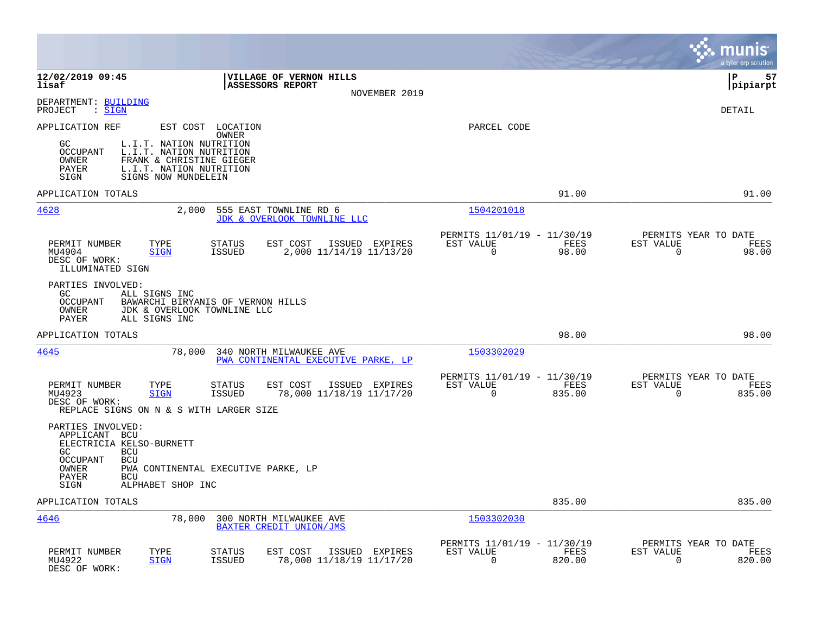|                                                                                                                                                                                                                                       |                                                                           | munis<br>a tyler erp solution                                   |
|---------------------------------------------------------------------------------------------------------------------------------------------------------------------------------------------------------------------------------------|---------------------------------------------------------------------------|-----------------------------------------------------------------|
| 12/02/2019 09:45<br>VILLAGE OF VERNON HILLS<br>lisaf<br><b>ASSESSORS REPORT</b><br>NOVEMBER 2019                                                                                                                                      |                                                                           | l P<br>57<br> pipiarpt                                          |
| DEPARTMENT: BUILDING<br>PROJECT<br>: SIGN                                                                                                                                                                                             |                                                                           | <b>DETAIL</b>                                                   |
| APPLICATION REF<br>EST COST LOCATION<br>OWNER<br>GC.<br>L.I.T. NATION NUTRITION<br>L.I.T. NATION NUTRITION<br><b>OCCUPANT</b><br>OWNER<br>FRANK & CHRISTINE GIEGER<br>PAYER<br>L.I.T. NATION NUTRITION<br>SIGNS NOW MUNDELEIN<br>SIGN | PARCEL CODE                                                               |                                                                 |
| APPLICATION TOTALS                                                                                                                                                                                                                    | 91.00                                                                     | 91.00                                                           |
| 4628<br>2,000<br>555 EAST TOWNLINE RD 6<br>JDK & OVERLOOK TOWNLINE LLC                                                                                                                                                                | 1504201018                                                                |                                                                 |
| PERMIT NUMBER<br>EST COST<br>TYPE<br><b>STATUS</b><br>ISSUED EXPIRES<br>2,000 11/14/19 11/13/20<br>MU4904<br><b>SIGN</b><br><b>ISSUED</b><br>DESC OF WORK:<br>ILLUMINATED SIGN                                                        | PERMITS 11/01/19 - 11/30/19<br>EST VALUE<br>FEES<br>$\Omega$<br>98.00     | PERMITS YEAR TO DATE<br>EST VALUE<br>FEES<br>$\Omega$<br>98.00  |
| PARTIES INVOLVED:<br>GC<br>ALL SIGNS INC<br><b>OCCUPANT</b><br>BAWARCHI BIRYANIS OF VERNON HILLS<br>OWNER<br>JDK & OVERLOOK TOWNLINE LLC<br>PAYER<br>ALL SIGNS INC                                                                    |                                                                           |                                                                 |
| APPLICATION TOTALS                                                                                                                                                                                                                    | 98.00                                                                     | 98.00                                                           |
| 4645<br>78,000<br>340 NORTH MILWAUKEE AVE<br>PWA CONTINENTAL EXECUTIVE PARKE, LP                                                                                                                                                      | 1503302029                                                                |                                                                 |
| PERMIT NUMBER<br>TYPE<br><b>STATUS</b><br>EST COST<br>ISSUED EXPIRES<br>78,000 11/18/19 11/17/20<br>MU4923<br><b>SIGN</b><br><b>ISSUED</b><br>DESC OF WORK:<br>REPLACE SIGNS ON N & S WITH LARGER SIZE                                | PERMITS 11/01/19 - 11/30/19<br>EST VALUE<br>FEES<br>$\mathbf 0$<br>835.00 | PERMITS YEAR TO DATE<br>EST VALUE<br>FEES<br>835.00<br>$\Omega$ |
| PARTIES INVOLVED:<br>APPLICANT BCU<br>ELECTRICIA KELSO-BURNETT<br>GC.<br><b>BCU</b><br><b>OCCUPANT</b><br><b>BCU</b><br>OWNER<br>PWA CONTINENTAL EXECUTIVE PARKE, LP<br><b>PAYER</b><br>BCU<br>SIGN<br>ALPHABET SHOP INC              |                                                                           |                                                                 |
| APPLICATION TOTALS                                                                                                                                                                                                                    | 835.00                                                                    | 835.00                                                          |
| 4646<br>78,000<br>300 NORTH MILWAUKEE AVE<br>BAXTER CREDIT UNION/JMS                                                                                                                                                                  | 1503302030                                                                |                                                                 |
| PERMIT NUMBER<br>TYPE<br><b>STATUS</b><br>EST COST<br>ISSUED EXPIRES<br>78,000 11/18/19 11/17/20<br>MU4922<br><b>SIGN</b><br><b>ISSUED</b><br>DESC OF WORK:                                                                           | PERMITS 11/01/19 - 11/30/19<br>EST VALUE<br>FEES<br>$\mathbf 0$<br>820.00 | PERMITS YEAR TO DATE<br>EST VALUE<br>FEES<br>820.00<br>0        |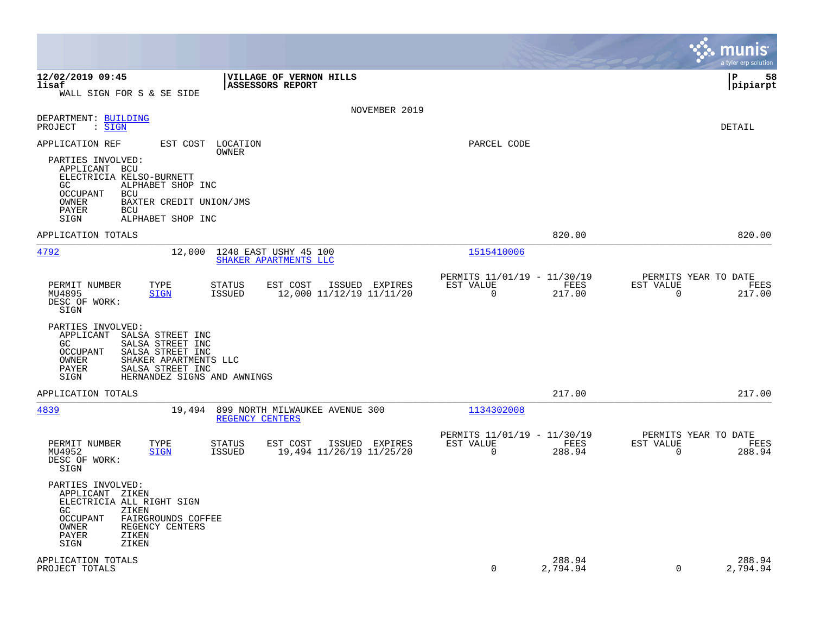|                                                                                                                                                                                                                                                          | munis<br>a tyler erp solution                                                                                                                                     |
|----------------------------------------------------------------------------------------------------------------------------------------------------------------------------------------------------------------------------------------------------------|-------------------------------------------------------------------------------------------------------------------------------------------------------------------|
| 12/02/2019 09:45<br>VILLAGE OF VERNON HILLS<br><b>ASSESSORS REPORT</b><br>lisaf<br>WALL SIGN FOR S & SE SIDE                                                                                                                                             | l P<br>58<br> pipiarpt                                                                                                                                            |
| DEPARTMENT: BUILDING<br>PROJECT<br>: SIGN                                                                                                                                                                                                                | NOVEMBER 2019<br>DETAIL                                                                                                                                           |
| APPLICATION REF<br>EST COST<br>LOCATION<br>OWNER<br>PARTIES INVOLVED:<br>APPLICANT BCU<br>ELECTRICIA KELSO-BURNETT<br>GC<br>ALPHABET SHOP INC<br>OCCUPANT<br><b>BCU</b><br>OWNER<br>BAXTER CREDIT UNION/JMS<br>PAYER<br>BCU<br>SIGN<br>ALPHABET SHOP INC | PARCEL CODE                                                                                                                                                       |
| APPLICATION TOTALS                                                                                                                                                                                                                                       | 820.00<br>820.00                                                                                                                                                  |
| 4792<br>12,000<br>1240 EAST USHY 45 100<br>SHAKER APARTMENTS LLC                                                                                                                                                                                         | 1515410006                                                                                                                                                        |
| PERMIT NUMBER<br>TYPE<br>STATUS<br>EST COST ISSUED EXPIRES<br>MU4895<br><b>SIGN</b><br>ISSUED<br>12,000 11/12/19 11/11/20<br>DESC OF WORK:<br>SIGN                                                                                                       | PERMITS 11/01/19 - 11/30/19<br>PERMITS YEAR TO DATE<br>EST VALUE<br>EST VALUE<br>FEES<br>FEES<br>217.00<br>$\mathbf 0$<br>$\mathbf 0$<br>217.00                   |
| PARTIES INVOLVED:<br>APPLICANT<br>SALSA STREET INC<br>SALSA STREET INC<br>GC.<br>OCCUPANT<br>SALSA STREET INC<br>SHAKER APARTMENTS LLC<br>OWNER<br>PAYER<br>SALSA STREET INC<br>SIGN<br>HERNANDEZ SIGNS AND AWNINGS                                      |                                                                                                                                                                   |
| APPLICATION TOTALS                                                                                                                                                                                                                                       | 217.00<br>217.00                                                                                                                                                  |
| 4839<br>19,494<br>899 NORTH MILWAUKEE AVENUE 300<br>REGENCY CENTERS                                                                                                                                                                                      | 1134302008                                                                                                                                                        |
| PERMIT NUMBER<br>EST COST<br>TYPE<br>STATUS<br>19,494 11/26/19 11/25/20<br>MU4952<br>SIGN<br>ISSUED<br>DESC OF WORK:<br>SIGN                                                                                                                             | PERMITS 11/01/19 - 11/30/19<br>PERMITS YEAR TO DATE<br>EST VALUE<br>ISSUED EXPIRES<br>FEES<br>EST VALUE<br>FEES<br>$\mathbf 0$<br>288.94<br>$\mathbf 0$<br>288.94 |
| PARTIES INVOLVED:<br>APPLICANT ZIKEN<br>ELECTRICIA ALL RIGHT SIGN<br>GC<br>ZIKEN<br>OCCUPANT<br>FAIRGROUNDS COFFEE<br>OWNER<br>REGENCY CENTERS<br>PAYER<br>ZIKEN<br>SIGN<br>ZIKEN                                                                        |                                                                                                                                                                   |
| APPLICATION TOTALS<br>PROJECT TOTALS                                                                                                                                                                                                                     | 288.94<br>288.94<br>$\mathsf{O}$<br>2,794.94<br>2,794.94<br>$\mathbf 0$                                                                                           |